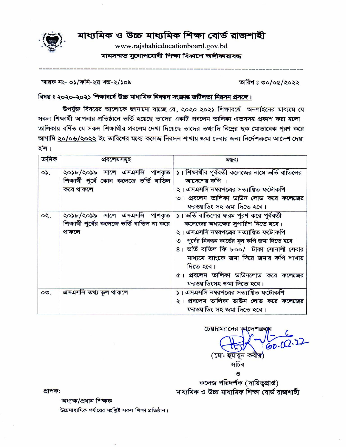

# মাধ্যমিক ও উচ্চ মাধ্যমিক শিক্ষা বোর্ড রাজশাহী

www.rajshahieducationboard.gov.bd মানসম্মত যুগোপযোগী শিক্ষা বিকাশে অঙ্গীকারাবদ্ধ

| স্মারক নং- ০১/কনি-২য় খন্ড-২/১০৯ |  |
|----------------------------------|--|
|----------------------------------|--|

তারিখঃ ৩০/০৫/২০২২

# বিষয় ঃ ২০২০-২০২১ শিক্ষাবৰ্ষে উচ্চ মাধ্যমিক নিবন্ধন সংক্ৰান্ত জটিলতা নিরসন প্রসঙ্গে।

উপর্যুক্ত বিষয়ের আলোকে জানানো যাচ্ছে যে, ২০২০-২০২১ শিক্ষাবর্ষে অনলাইনের মাধ্যমে যে সকল শিক্ষার্থী আপনার প্রতিষ্ঠানে ভর্তি হয়েছে তাদের একটি প্রবলেম তালিকা এতদসহ প্রকাশ করা হলো। তালিকায় বর্ণিত যে সকল শিক্ষার্থীর প্রবলেম দেখা দিয়েছে তাদের তথ্যাদি নিম্নের ছক মোতাবেক পূরণ করে আগামি ২০/০৬/২০২২ ইং তারিখের মধ্যে কলেজ নিবন্ধন শাখায় জমা দেবার জন্য নির্দেশক্রমে আদেশ দেয়া হ'ল।

| ক্ৰমিক | প্ৰবলেমসমূহ                                                                          | মন্তব্য                                                                                                                                                                                                                                                                                                                                                  |
|--------|--------------------------------------------------------------------------------------|----------------------------------------------------------------------------------------------------------------------------------------------------------------------------------------------------------------------------------------------------------------------------------------------------------------------------------------------------------|
| 0.5    | ২০১৮/২০১৯ সালে এসএসসি পাশকৃত<br>শিক্ষার্থী পূর্বে কোন কলেজে ভর্তি বাতিল<br>করে থাকলে | ১। শিক্ষার্থীর পূর্ববর্তী কলেজের নামে ভর্তি বাতিলের<br>আদেশের কপি<br>২। এসএসসি নম্বরপত্রের সত্যায়িত ফটোকপি<br>৩। প্রবলেম তালিকা ডাউন লোড করে কলেজের<br>ফরওয়াডিং সহ জমা দিতে হবে।                                                                                                                                                                       |
| ०२.    | ২০১৮/২০১৯ সালে এসএসসি পাশকৃত<br>শিক্ষার্থী পূর্বের কলেজে ভর্তি বাতিল না করে<br>থাকলে | ১। ভর্তি বাতিলের ফরম পুরণ করে পূর্ববর্তী<br>কলেজের অধ্যক্ষের সুপারিশ নিতে হবে।<br>২। এসএসসি নম্বরপত্রের সত্যায়িত ফটোকপি<br>৩। পূর্বের নিবন্ধন কার্ডের মূল কপি জমা দিতে হবে।<br>৪। ভর্তি বাতিল ফি ৮০০/- টাকা সোনালী সেবার<br>মাধ্যমে ব্যাংকে জমা দিয়ে জমার কপি শাখায়<br>দিতে হবে।<br>৫। প্রবলেম তালিকা ডাউনলোড করে কলেজের<br>ফরওয়াডিংসহ জমা দিতে হবে। |
| 00.    | এসএসসি তথ্য ভুল থাকলে                                                                | ১। এসএসসি নম্বরপত্রের সত্যায়িত ফটোকপি<br>২। প্রবলেম তালিকা ডাউন লোড করে কলেজের<br>ফরওয়াডিং সহ জমা দিতে হবে।                                                                                                                                                                                                                                            |

চেয়ারম্যানের আদে  $60.00$ (মো: হুমায়ন কবী<del>র</del>' সচিব

কলেজ পরিদর্শক (দায়িত্বপ্রাপ্ত) মাধ্যমিক ও উচ্চ মাধ্যমিক শিক্ষা বোর্ড রাজশাহী

ও

প্ৰাপক:

অধ্যক্ষ/প্ৰধান শিক্ষক

উচ্চমাধ্যমিক পর্যায়ের সংশ্লিষ্ট সকল শিক্ষা প্রতিষ্ঠান।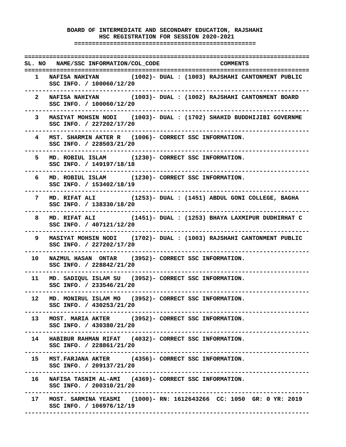# **BOARD OF INTERMEDIATE AND SECONDARY EDUCATION, RAJSHAHI HSC REGISTRATION FOR SESSION 2020-2021 ===================================================**

**================================================================================ SL. NO NAME/SSC INFORMATION/COL\_CODE COMMENTS ================================================================================ 1 NAFISA NAHIYAN (1002)- DUAL : (1003) RAJSHAHI CANTONMENT PUBLIC SSC INFO. / 100060/12/20 -------------------------------------------------------------------------------- 2 NAFISA NAHIYAN (1003)- DUAL : (1002) RAJSHAHI CANTONMENT BOARD SSC INFO. / 100060/12/20 -------------------------------------------------------------------------------- 3 MASIYAT MOHSIN NODI (1003)- DUAL : (1702) SHAHID BUDDHIJIBI GOVERNME SSC INFO. / 227202/17/20 -------------------------------------------------------------------------------- 4 MST. SHARMIN AKTER R (1006)- CORRECT SSC INFORMATION. SSC INFO. / 228503/21/20 -------------------------------------------------------------------------------- 5 MD. ROBIUL ISLAM (1230)- CORRECT SSC INFORMATION. SSC INFO. / 149197/18/18 -------------------------------------------------------------------------------- 6 MD. ROBIUL ISLAM (1230)- CORRECT SSC INFORMATION. SSC INFO. / 153402/18/19 -------------------------------------------------------------------------------- 7 MD. RIFAT ALI (1253)- DUAL : (1451) ABDUL GONI COLLEGE, BAGHA SSC INFO. / 138330/18/20 -------------------------------------------------------------------------------- 8 MD. RIFAT ALI (1451)- DUAL : (1253) BHAYA LAXMIPUR DUDHIRHAT C SSC INFO. / 407121/12/20 -------------------------------------------------------------------------------- 9 MASIYAT MOHSIN NODI (1702)- DUAL : (1003) RAJSHAHI CANTONMENT PUBLIC SSC INFO. / 227202/17/20 -------------------------------------------------------------------------------- 10 NAZMUL HASAN ONTAR (3952)- CORRECT SSC INFORMATION. SSC INFO. / 228842/21/20 -------------------------------------------------------------------------------- 11 MD. SADIQUL ISLAM SU (3952)- CORRECT SSC INFORMATION. SSC INFO. / 233546/21/20 -------------------------------------------------------------------------------- 12 MD. MONIRUL ISLAM MO (3952)- CORRECT SSC INFORMATION. SSC INFO. / 430253/21/20 -------------------------------------------------------------------------------- 13 MOST. MARIA AKTER (3952)- CORRECT SSC INFORMATION. SSC INFO. / 430380/21/20 -------------------------------------------------------------------------------- 14 HABIBUR RAHMAN RIFAT (4032)- CORRECT SSC INFORMATION. SSC INFO. / 228861/21/20 -------------------------------------------------------------------------------- 15 MST.FARJANA AKTER (4356)- CORRECT SSC INFORMATION. SSC INFO. / 209137/21/20 -------------------------------------------------------------------------------- 16 NAFISA TASNIM AL-AMI (4369)- CORRECT SSC INFORMATION. SSC INFO. / 200310/21/20 -------------------------------------------------------------------------------- 17 MOST. SARMINA YEASMI (1000)- RN: 1612643266 CC: 1050 GR: 0 YR: 2019 SSC INFO. / 106976/12/19 --------------------------------------------------------------------------------**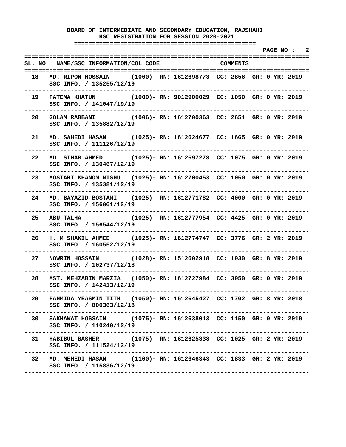**===================================================** 

 **PAGE NO : 2 ================================================================================ SL. NO NAME/SSC INFORMATION/COL\_CODE COMMENTS ================================================================================ 18 MD. RIPON HOSSAIN (1000)- RN: 1612698773 CC: 2856 GR: 0 YR: 2019 SSC INFO. / 135255/12/19 -------------------------------------------------------------------------------- 19 FATEMA KHATUN (1000)- RN: 9012900029 CC: 1050 GR: 0 YR: 2019 SSC INFO. / 141047/19/19 -------------------------------------------------------------------------------- 20 GOLAM RABBANI (1006)- RN: 1612700363 CC: 2651 GR: 0 YR: 2019 SSC INFO. / 135882/12/19 -------------------------------------------------------------------------------- 21 MD. SAHEDI HASAN (1025)- RN: 1612624677 CC: 1665 GR: 0 YR: 2019 SSC INFO. / 111126/12/19 -------------------------------------------------------------------------------- 22 MD. SIHAB AHMED (1025)- RN: 1612697278 CC: 1075 GR: 0 YR: 2019 SSC INFO. / 130467/12/19 -------------------------------------------------------------------------------- 23 MOSTARI KHANOM MISHU (1025)- RN: 1612700453 CC: 1050 GR: 0 YR: 2019 SSC INFO. / 135381/12/19 -------------------------------------------------------------------------------- 24 MD. BAYAZID BOSTAMI (1025)- RN: 1612771782 CC: 4000 GR: 0 YR: 2019 SSC INFO. / 156061/12/19 -------------------------------------------------------------------------------- 25 ABU TALHA (1025)- RN: 1612777954 CC: 4425 GR: 0 YR: 2019 SSC INFO. / 156544/12/19 -------------------------------------------------------------------------------- 26 H. M SHAKIL AHMED (1025)- RN: 1612774747 CC: 3776 GR: 2 YR: 2019 SSC INFO. / 160552/12/19 -------------------------------------------------------------------------------- 27 NOWRIN HOSSAIN (1028)- RN: 1512602918 CC: 1030 GR: 8 YR: 2019 SSC INFO. / 102737/12/18 -------------------------------------------------------------------------------- 28 MST. MEHZABIN MARZIA (1050)- RN: 1612727984 CC: 3050 GR: 0 YR: 2019 SSC INFO. / 142413/12/19 -------------------------------------------------------------------------------- 29 FAHMIDA YEASMIN TITH (1050)- RN: 1512645427 CC: 1702 GR: 8 YR: 2018 SSC INFO. / 800363/12/18 -------------------------------------------------------------------------------- 30 SAKHAWAT HOSSAIN (1075)- RN: 1612638013 CC: 1150 GR: 0 YR: 2019 SSC INFO. / 110240/12/19 -------------------------------------------------------------------------------- 31 HABIBUL BASHER (1075)- RN: 1612625338 CC: 1025 GR: 2 YR: 2019 SSC INFO. / 111524/12/19 -------------------------------------------------------------------------------- 32 MD. MEHEDI HASAN (1100)- RN: 1612646343 CC: 1833 GR: 2 YR: 2019 SSC INFO. / 115836/12/19 --------------------------------------------------------------------------------**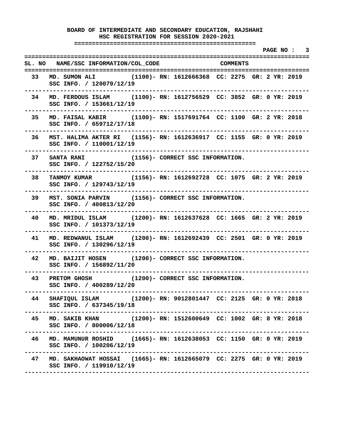**===================================================** 

 **PAGE NO : 3 ================================================================================ SL. NO NAME/SSC INFORMATION/COL\_CODE COMMENTS ================================================================================ 33 MD. SUMON ALI (1100)- RN: 1612666368 CC: 2275 GR: 2 YR: 2019 SSC INFO. / 120079/12/19 -------------------------------------------------------------------------------- 34 MD. FERDOUS ISLAM (1100)- RN: 1612756529 CC: 3852 GR: 0 YR: 2019 SSC INFO. / 153661/12/19 -------------------------------------------------------------------------------- 35 MD. FAISAL KABIR (1100)- RN: 1517691764 CC: 1100 GR: 2 YR: 2018 SSC INFO. / 659712/17/18 -------------------------------------------------------------------------------- 36 MST. HALIMA AKTER RI (1156)- RN: 1612636917 CC: 1155 GR: 0 YR: 2019 SSC INFO. / 110001/12/19 -------------------------------------------------------------------------------- 37 SANTA RANI (1156)- CORRECT SSC INFORMATION. SSC INFO. / 122752/15/20 -------------------------------------------------------------------------------- 38 TANMOY KUMAR (1156)- RN: 1612692728 CC: 1075 GR: 2 YR: 2019 SSC INFO. / 129743/12/19 -------------------------------------------------------------------------------- 39 MST. SONIA PARVIN (1156)- CORRECT SSC INFORMATION. SSC INFO. / 400813/12/20 -------------------------------------------------------------------------------- 40 MD. MRIDUL ISLAM (1200)- RN: 1612637628 CC: 1665 GR: 2 YR: 2019 SSC INFO. / 101373/12/19 -------------------------------------------------------------------------------- 41 MD. REDWANUL ISLAM (1200)- RN: 1612692439 CC: 2501 GR: 0 YR: 2019 SSC INFO. / 130296/12/19 -------------------------------------------------------------------------------- 42 MD. BAIJIT HOSEN (1200)- CORRECT SSC INFORMATION. SSC INFO. / 156892/11/20 -------------------------------------------------------------------------------- 43 PRETOM GHOSH (1200)- CORRECT SSC INFORMATION. SSC INFO. / 400289/12/20 -------------------------------------------------------------------------------- 44 SHAFIQUL ISLAM (1200)- RN: 9012801447 CC: 2125 GR: 0 YR: 2018 SSC INFO. / 637345/19/18 -------------------------------------------------------------------------------- 45 MD. SAKIB KHAN (1200)- RN: 1512600649 CC: 1002 GR: 8 YR: 2018 SSC INFO. / 800006/12/18 -------------------------------------------------------------------------------- 46 MD. MAMUNUR ROSHID (1665)- RN: 1612638053 CC: 1150 GR: 0 YR: 2019 SSC INFO. / 100206/12/19 -------------------------------------------------------------------------------- 47 MD. SAKHAOWAT HOSSAI (1665)- RN: 1612665079 CC: 2275 GR: 0 YR: 2019 SSC INFO. / 119910/12/19 --------------------------------------------------------------------------------**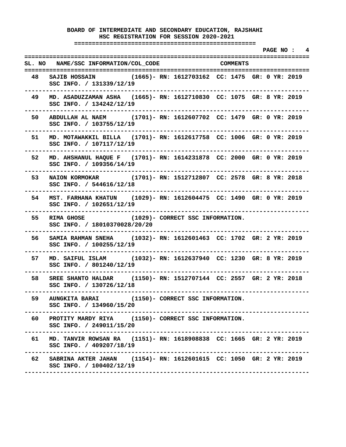**===================================================** 

 **PAGE NO : 4 ================================================================================ SL. NO NAME/SSC INFORMATION/COL\_CODE COMMENTS ================================================================================ 48 SAJIB HOSSAIN (1665)- RN: 1612703162 CC: 1475 GR: 0 YR: 2019 SSC INFO. / 131339/12/19 -------------------------------------------------------------------------------- 49 MD. ASADUZZAMAN ASHA (1665)- RN: 1612710830 CC: 1075 GR: 8 YR: 2019 SSC INFO. / 134242/12/19 -------------------------------------------------------------------------------- 50 ABDULLAH AL NAEM (1701)- RN: 1612607702 CC: 1479 GR: 0 YR: 2019 SSC INFO. / 103755/12/19 -------------------------------------------------------------------------------- 51 MD. MOTAWAKKIL BILLA (1701)- RN: 1612617758 CC: 1006 GR: 0 YR: 2019 SSC INFO. / 107117/12/19 -------------------------------------------------------------------------------- 52 MD. AHSHANUL HAQUE F (1701)- RN: 1614231878 CC: 2000 GR: 0 YR: 2019 SSC INFO. / 109356/14/19 -------------------------------------------------------------------------------- 53 NAION KORMOKAR (1701)- RN: 1512712807 CC: 2578 GR: 8 YR: 2018 SSC INFO. / 544616/12/18 -------------------------------------------------------------------------------- 54 MST. FARHANA KHATUN (1029)- RN: 1612604475 CC: 1490 GR: 0 YR: 2019 SSC INFO. / 102651/12/19 -------------------------------------------------------------------------------- 55 RIMA GHOSE (1029)- CORRECT SSC INFORMATION. SSC INFO. / 18010370028/20/20 -------------------------------------------------------------------------------- 56 SAMIA RAHMAN SNEHA (1032)- RN: 1612601463 CC: 1702 GR: 2 YR: 2019 SSC INFO. / 100255/12/19 -------------------------------------------------------------------------------- 57 MD. SAIFUL ISLAM (1032)- RN: 1612637940 CC: 1230 GR: 8 YR: 2019 SSC INFO. / 801240/12/19 -------------------------------------------------------------------------------- 58 SREE SHANTO HALDAR (1150)- RN: 1512707144 CC: 2557 GR: 2 YR: 2018 SSC INFO. / 130726/12/18 -------------------------------------------------------------------------------- 59 AUNGKITA BARAI (1150)- CORRECT SSC INFORMATION. SSC INFO. / 134960/15/20 -------------------------------------------------------------------------------- 60 PROTITY MARDY RIYA (1150)- CORRECT SSC INFORMATION. SSC INFO. / 249011/15/20 -------------------------------------------------------------------------------- 61 MD. TANVIR ROWSAN RA (1151)- RN: 1618908838 CC: 1665 GR: 2 YR: 2019 SSC INFO. / 409207/18/19 -------------------------------------------------------------------------------- 62 SABRINA AKTER JAHAN (1154)- RN: 1612601615 CC: 1050 GR: 2 YR: 2019 SSC INFO. / 100402/12/19 --------------------------------------------------------------------------------**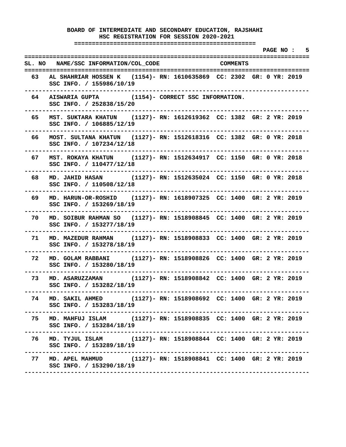**===================================================** 

 **PAGE NO : 5 ================================================================================ SL. NO NAME/SSC INFORMATION/COL\_CODE COMMENTS ================================================================================ 63 AL SHAHRIAR HOSSEN K (1154)- RN: 1610635869 CC: 2302 GR: 0 YR: 2019 SSC INFO. / 155986/10/19 -------------------------------------------------------------------------------- 64 AISWARIA GUPTA (1154)- CORRECT SSC INFORMATION. SSC INFO. / 252838/15/20 -------------------------------------------------------------------------------- 65 MST. SUKTARA KHATUN (1127)- RN: 1612619362 CC: 1382 GR: 2 YR: 2019 SSC INFO. / 106885/12/19 -------------------------------------------------------------------------------- 66 MOST. SULTANA KHATUN (1127)- RN: 1512618316 CC: 1382 GR: 0 YR: 2018 SSC INFO. / 107234/12/18 -------------------------------------------------------------------------------- 67 MST. ROKAYA KHATUN (1127)- RN: 1512634917 CC: 1150 GR: 0 YR: 2018 SSC INFO. / 110477/12/18 -------------------------------------------------------------------------------- 68 MD. JAHID HASAN (1127)- RN: 1512635024 CC: 1150 GR: 0 YR: 2018 SSC INFO. / 110508/12/18 -------------------------------------------------------------------------------- 69 MD. HARUN-OR-ROSHID (1127)- RN: 1618907325 CC: 1400 GR: 2 YR: 2019 SSC INFO. / 153269/18/19 -------------------------------------------------------------------------------- 70 MD. SOIBUR RAHMAN SO (1127)- RN: 1518908845 CC: 1400 GR: 2 YR: 2019 SSC INFO. / 153277/18/19 -------------------------------------------------------------------------------- 71 MD. MAZEDUR RAHMAN (1127)- RN: 1518908833 CC: 1400 GR: 2 YR: 2019 SSC INFO. / 153278/18/19 -------------------------------------------------------------------------------- 72 MD. GOLAM RABBANI (1127)- RN: 1518908826 CC: 1400 GR: 2 YR: 2019 SSC INFO. / 153280/18/19 -------------------------------------------------------------------------------- 73 MD. ASARUZZAMAN (1127)- RN: 1518908842 CC: 1400 GR: 2 YR: 2019 SSC INFO. / 153282/18/19 -------------------------------------------------------------------------------- 74 MD. SAKIL AHMED (1127)- RN: 1518908692 CC: 1400 GR: 2 YR: 2019 SSC INFO. / 153283/18/19 -------------------------------------------------------------------------------- 75 MD. MAHFUJ ISLAM (1127)- RN: 1518908835 CC: 1400 GR: 2 YR: 2019 SSC INFO. / 153284/18/19 -------------------------------------------------------------------------------- 76 MD. TYJUL ISLAM (1127)- RN: 1518908844 CC: 1400 GR: 2 YR: 2019 SSC INFO. / 153289/18/19 -------------------------------------------------------------------------------- 77 MD. APEL MAHMUD (1127)- RN: 1518908841 CC: 1400 GR: 2 YR: 2019 SSC INFO. / 153290/18/19 --------------------------------------------------------------------------------**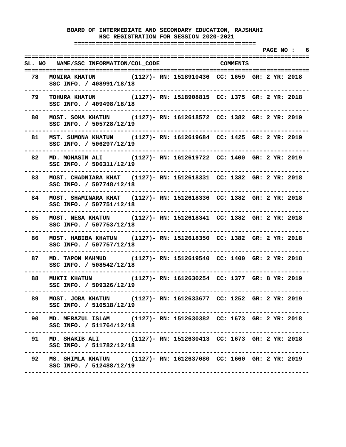**===================================================** 

 **PAGE NO : 6 ================================================================================ SL. NO NAME/SSC INFORMATION/COL\_CODE COMMENTS ================================================================================ 78 MONIRA KHATUN (1127)- RN: 1518910436 CC: 1659 GR: 2 YR: 2018 SSC INFO. / 408991/18/18 -------------------------------------------------------------------------------- 79 TOHURA KHATUN (1127)- RN: 1518908815 CC: 1375 GR: 2 YR: 2018 SSC INFO. / 409498/18/18 -------------------------------------------------------------------------------- 80 MOST. SOMA KHATUN (1127)- RN: 1612618572 CC: 1382 GR: 2 YR: 2019 SSC INFO. / 505728/12/19 -------------------------------------------------------------------------------- 81 MST. SUMONA KHATUN (1127)- RN: 1612619684 CC: 1425 GR: 2 YR: 2019 SSC INFO. / 506297/12/19 -------------------------------------------------------------------------------- 82 MD. MOHASIN ALI (1127)- RN: 1612619722 CC: 1400 GR: 2 YR: 2019 SSC INFO. / 506311/12/19 -------------------------------------------------------------------------------- 83 MOST. CHADNIARA KHAT (1127)- RN: 1512618331 CC: 1382 GR: 2 YR: 2018 SSC INFO. / 507748/12/18 -------------------------------------------------------------------------------- 84 MOST. SHAMINARA KHAT (1127)- RN: 1512618336 CC: 1382 GR: 2 YR: 2018 SSC INFO. / 507751/12/18 -------------------------------------------------------------------------------- 85 MOST. NESA KHATUN (1127)- RN: 1512618341 CC: 1382 GR: 2 YR: 2018 SSC INFO. / 507753/12/18 -------------------------------------------------------------------------------- 86 MOST. HABIBA KHATUN (1127)- RN: 1512618350 CC: 1382 GR: 2 YR: 2018 SSC INFO. / 507757/12/18 -------------------------------------------------------------------------------- 87 MD. TAPON MAHMUD (1127)- RN: 1512619540 CC: 1400 GR: 2 YR: 2018 SSC INFO. / 508542/12/18 -------------------------------------------------------------------------------- 88 MUKTI KHATUN (1127)- RN: 1612630254 CC: 1377 GR: 8 YR: 2019 SSC INFO. / 509326/12/19 -------------------------------------------------------------------------------- 89 MOST. JOBA KHATUN (1127)- RN: 1612633677 CC: 1252 GR: 2 YR: 2019 SSC INFO. / 510518/12/19 -------------------------------------------------------------------------------- 90 MD. MERAZUL ISLAM (1127)- RN: 1512630382 CC: 1673 GR: 2 YR: 2018 SSC INFO. / 511764/12/18 -------------------------------------------------------------------------------- 91 MD. SHAKIB ALI (1127)- RN: 1512630413 CC: 1673 GR: 2 YR: 2018 SSC INFO. / 511782/12/18 -------------------------------------------------------------------------------- 92 MS. SHIMLA KHATUN (1127)- RN: 1612637080 CC: 1660 GR: 2 YR: 2019 SSC INFO. / 512488/12/19 --------------------------------------------------------------------------------**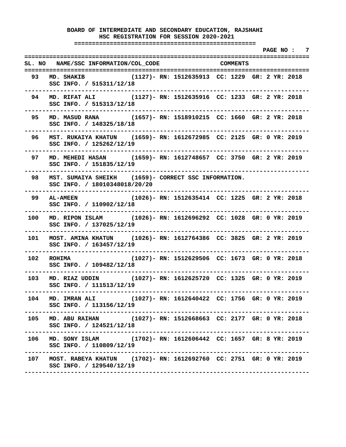**===================================================** 

 **PAGE NO : 7 ================================================================================ SL. NO NAME/SSC INFORMATION/COL\_CODE COMMENTS ================================================================================ 93 MD. SHAKIB (1127)- RN: 1512635913 CC: 1229 GR: 2 YR: 2018 SSC INFO. / 515311/12/18 -------------------------------------------------------------------------------- 94 MD. RIFAT ALI (1127)- RN: 1512635916 CC: 1233 GR: 2 YR: 2018 SSC INFO. / 515313/12/18 -------------------------------------------------------------------------------- 95 MD. MASUD RANA (1657)- RN: 1518910215 CC: 1660 GR: 2 YR: 2018 SSC INFO. / 148325/18/18 -------------------------------------------------------------------------------- 96 MST. RUKAIYA KHATUN (1659)- RN: 1612672985 CC: 2125 GR: 0 YR: 2019 SSC INFO. / 125262/12/19 -------------------------------------------------------------------------------- 97 MD. MEHEDI HASAN (1659)- RN: 1612748657 CC: 3750 GR: 2 YR: 2019 SSC INFO. / 151835/12/19 -------------------------------------------------------------------------------- 98 MST. SUMAIYA SHEIKH (1659)- CORRECT SSC INFORMATION. SSC INFO. / 18010348018/20/20 -------------------------------------------------------------------------------- 99 AL-AMEEN (1026)- RN: 1512635414 CC: 1225 GR: 2 YR: 2018 SSC INFO. / 110902/12/18 -------------------------------------------------------------------------------- 100 MD. RIPON ISLAM (1026)- RN: 1612696292 CC: 1028 GR: 0 YR: 2019 SSC INFO. / 137025/12/19 -------------------------------------------------------------------------------- 101 MOST. AMINA KHATUN (1026)- RN: 1612764386 CC: 3825 GR: 2 YR: 2019 SSC INFO. / 163457/12/19 -------------------------------------------------------------------------------- 102 ROHIMA (1027)- RN: 1512629506 CC: 1673 GR: 0 YR: 2018 SSC INFO. / 109482/12/18 -------------------------------------------------------------------------------- 103 MD. RIAZ UDDIN (1027)- RN: 1612625720 CC: 1325 GR: 0 YR: 2019 SSC INFO. / 111513/12/19 -------------------------------------------------------------------------------- 104 MD. IMRAN ALI (1027)- RN: 1612640422 CC: 1756 GR: 0 YR: 2019 SSC INFO. / 113156/12/19 -------------------------------------------------------------------------------- 105 MD. ABU RAIHAN (1027)- RN: 1512668663 CC: 2177 GR: 0 YR: 2018 SSC INFO. / 124521/12/18 -------------------------------------------------------------------------------- 106 MD. SONY ISLAM (1702)- RN: 1612606442 CC: 1657 GR: 8 YR: 2019 SSC INFO. / 110809/12/19 -------------------------------------------------------------------------------- 107 MOST. RABEYA KHATUN (1702)- RN: 1612692760 CC: 2751 GR: 0 YR: 2019 SSC INFO. / 129540/12/19 --------------------------------------------------------------------------------**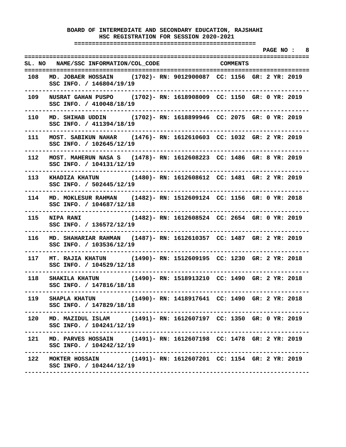**===================================================** 

 **PAGE NO : 8 ================================================================================ SL. NO NAME/SSC INFORMATION/COL\_CODE COMMENTS ================================================================================ 108 MD. JOBAER HOSSAIN (1702)- RN: 9012900087 CC: 1156 GR: 2 YR: 2019 SSC INFO. / 146804/19/19 -------------------------------------------------------------------------------- 109 NUSRAT GAHAN PUSPO (1702)- RN: 1618908009 CC: 1150 GR: 0 YR: 2019 SSC INFO. / 410048/18/19 -------------------------------------------------------------------------------- 110 MD. SHIHAB UDDIN (1702)- RN: 1618899946 CC: 2075 GR: 0 YR: 2019 SSC INFO. / 411394/18/19 -------------------------------------------------------------------------------- 111 MOST. SABIKUN NAHAR (1476)- RN: 1612610603 CC: 1032 GR: 2 YR: 2019 SSC INFO. / 102645/12/19 -------------------------------------------------------------------------------- 112 MOST. MAHERUN NASA S (1478)- RN: 1612608223 CC: 1486 GR: 8 YR: 2019 SSC INFO. / 104131/12/19 -------------------------------------------------------------------------------- 113 KHADIZA KHATUN (1480)- RN: 1612608612 CC: 1481 GR: 2 YR: 2019 SSC INFO. / 502445/12/19 -------------------------------------------------------------------------------- 114 MD. MOKLESUR RAHMAN (1482)- RN: 1512609124 CC: 1156 GR: 0 YR: 2018 SSC INFO. / 104687/12/18 -------------------------------------------------------------------------------- 115 NIPA RANI (1482)- RN: 1612608524 CC: 2654 GR: 0 YR: 2019 SSC INFO. / 136572/12/19 -------------------------------------------------------------------------------- 116 MD. SHAHARIAR RAHMAN (1487)- RN: 1612610357 CC: 1487 GR: 2 YR: 2019 SSC INFO. / 103536/12/19 -------------------------------------------------------------------------------- 117 MT. RAJIA KHATUN (1490)- RN: 1512609195 CC: 1230 GR: 2 YR: 2018 SSC INFO. / 104529/12/18 -------------------------------------------------------------------------------- 118 SHAKILA KHATUN (1490)- RN: 1518913210 CC: 1490 GR: 2 YR: 2018 SSC INFO. / 147816/18/18 -------------------------------------------------------------------------------- 119 SHAPLA KHATUN (1490)- RN: 1418917641 CC: 1490 GR: 2 YR: 2018 SSC INFO. / 147829/18/18 -------------------------------------------------------------------------------- 120 MD. MAZIDUL ISLAM (1491)- RN: 1612607197 CC: 1350 GR: 0 YR: 2019 SSC INFO. / 104241/12/19 -------------------------------------------------------------------------------- 121 MD. PARVES HOSSAIN (1491)- RN: 1612607198 CC: 1478 GR: 2 YR: 2019 SSC INFO. / 104242/12/19 -------------------------------------------------------------------------------- 122 MOKTER HOSSAIN (1491)- RN: 1612607201 CC: 1154 GR: 2 YR: 2019 SSC INFO. / 104244/12/19 --------------------------------------------------------------------------------**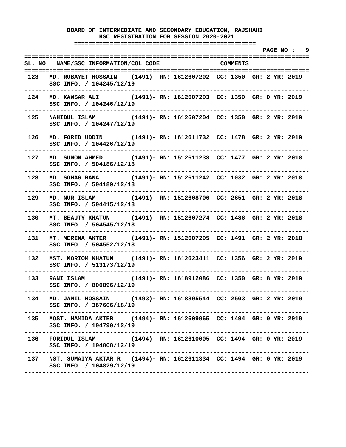**===================================================** 

 **PAGE NO : 9 ================================================================================ SL. NO NAME/SSC INFORMATION/COL\_CODE COMMENTS ================================================================================ 123 MD. RUBAYET HOSSAIN (1491)- RN: 1612607202 CC: 1350 GR: 2 YR: 2019 SSC INFO. / 104245/12/19 -------------------------------------------------------------------------------- 124 MD. KAWSAR ALI (1491)- RN: 1612607203 CC: 1350 GR: 0 YR: 2019 SSC INFO. / 104246/12/19 -------------------------------------------------------------------------------- 125 NAHIDUL ISLAM (1491)- RN: 1612607204 CC: 1350 GR: 2 YR: 2019 SSC INFO. / 104247/12/19 -------------------------------------------------------------------------------- 126 MD. FORID UDDIN (1491)- RN: 1612611732 CC: 1478 GR: 2 YR: 2019 SSC INFO. / 104426/12/19 -------------------------------------------------------------------------------- 127 MD. SUMON AHMED (1491)- RN: 1512611238 CC: 1477 GR: 2 YR: 2018 SSC INFO. / 504186/12/18 -------------------------------------------------------------------------------- 128 MD. SOHAG RANA (1491)- RN: 1512611242 CC: 1032 GR: 2 YR: 2018 SSC INFO. / 504189/12/18 -------------------------------------------------------------------------------- 129 MD. NUR ISLAM (1491)- RN: 1512608706 CC: 2651 GR: 2 YR: 2018 SSC INFO. / 504415/12/18 -------------------------------------------------------------------------------- 130 MT. BEAUTY KHATUN (1491)- RN: 1512607274 CC: 1486 GR: 2 YR: 2018 SSC INFO. / 504545/12/18 -------------------------------------------------------------------------------- 131 MT. MERINA AKTER (1491)- RN: 1512607295 CC: 1491 GR: 2 YR: 2018 SSC INFO. / 504552/12/18 -------------------------------------------------------------------------------- 132 MST. MORIOM KHATUN (1491)- RN: 1612623411 CC: 1356 GR: 2 YR: 2019 SSC INFO. / 513173/12/19 -------------------------------------------------------------------------------- 133 RANI ISLAM (1491)- RN: 1618912086 CC: 1350 GR: 8 YR: 2019 SSC INFO. / 800896/12/19 -------------------------------------------------------------------------------- 134 MD. JAMIL HOSSAIN (1493)- RN: 1618895544 CC: 2503 GR: 2 YR: 2019 SSC INFO. / 367606/18/19 -------------------------------------------------------------------------------- 135 MOST. HAMIDA AKTER (1494)- RN: 1612609965 CC: 1494 GR: 0 YR: 2019 SSC INFO. / 104790/12/19 -------------------------------------------------------------------------------- 136 FORIDUL ISLAM (1494)- RN: 1612610005 CC: 1494 GR: 0 YR: 2019 SSC INFO. / 104808/12/19 -------------------------------------------------------------------------------- 137 NST. SUMAIYA AKTAR R (1494)- RN: 1612611334 CC: 1494 GR: 0 YR: 2019 SSC INFO. / 104829/12/19 --------------------------------------------------------------------------------**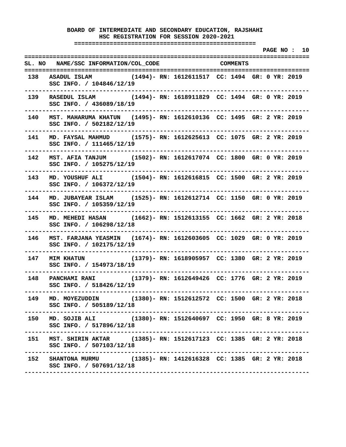**===================================================** 

 **PAGE NO : 10 ================================================================================ SL. NO NAME/SSC INFORMATION/COL\_CODE COMMENTS ================================================================================ 138 ASADUL ISLAM (1494)- RN: 1612611517 CC: 1494 GR: 0 YR: 2019 SSC INFO. / 104846/12/19 -------------------------------------------------------------------------------- 139 RASEDUL ISLAM (1494)- RN: 1618911829 CC: 1494 GR: 0 YR: 2019 SSC INFO. / 436089/18/19 -------------------------------------------------------------------------------- 140 MST. MAHARUMA KHATUN (1495)- RN: 1612610136 CC: 1495 GR: 2 YR: 2019 SSC INFO. / 502182/12/19 -------------------------------------------------------------------------------- 141 MD. FAYSAL MAHMUD (1575)- RN: 1612625613 CC: 1075 GR: 2 YR: 2019 SSC INFO. / 111465/12/19 -------------------------------------------------------------------------------- 142 MST. AFIA TANJUM (1502)- RN: 1612617074 CC: 1800 GR: 0 YR: 2019 SSC INFO. / 105275/12/19 -------------------------------------------------------------------------------- 143 MD. YOUSHUF ALI (1504)- RN: 1612616815 CC: 1500 GR: 2 YR: 2019 SSC INFO. / 106372/12/19 -------------------------------------------------------------------------------- 144 MD. JUBAYEAR ISLAM (1525)- RN: 1612612714 CC: 1150 GR: 0 YR: 2019 SSC INFO. / 105359/12/19 -------------------------------------------------------------------------------- 145 MD. MEHEDI HASAN (1662)- RN: 1512613155 CC: 1662 GR: 2 YR: 2018 SSC INFO. / 106298/12/18 -------------------------------------------------------------------------------- 146 MST. FARJANA YEASMIN (1674)- RN: 1612603605 CC: 1029 GR: 0 YR: 2019 SSC INFO. / 102175/12/19 -------------------------------------------------------------------------------- 147 MIM KHATUN (1379)- RN: 1618905957 CC: 1380 GR: 2 YR: 2019 SSC INFO. / 154973/18/19 -------------------------------------------------------------------------------- 148 PANCHAMI RANI (1379)- RN: 1612649426 CC: 1776 GR: 2 YR: 2019 SSC INFO. / 518426/12/19 -------------------------------------------------------------------------------- 149 MD. MOYEZUDDIN (1380)- RN: 1512612572 CC: 1500 GR: 2 YR: 2018 SSC INFO. / 505189/12/18 -------------------------------------------------------------------------------- 150 MD. SOJIB ALI (1380)- RN: 1512640697 CC: 1950 GR: 8 YR: 2019 SSC INFO. / 517896/12/18 -------------------------------------------------------------------------------- 151 MST. SHIRIN AKTAR (1385)- RN: 1512617123 CC: 1385 GR: 2 YR: 2018 SSC INFO. / 507103/12/18 -------------------------------------------------------------------------------- 152 SHANTONA MURMU (1385)- RN: 1412616328 CC: 1385 GR: 2 YR: 2018 SSC INFO. / 507691/12/18 --------------------------------------------------------------------------------**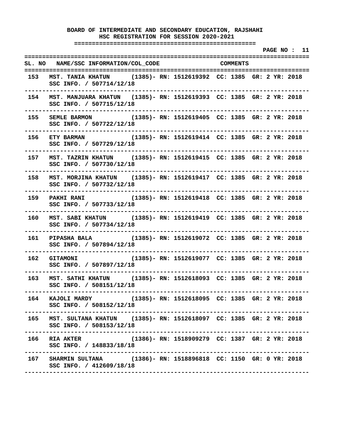**===================================================** 

 **PAGE NO : 11 ================================================================================ SL. NO NAME/SSC INFORMATION/COL\_CODE COMMENTS ================================================================================ 153 MST. TANIA KHATUN (1385)- RN: 1512619392 CC: 1385 GR: 2 YR: 2018 SSC INFO. / 507714/12/18 -------------------------------------------------------------------------------- 154 MST. MANJUARA KHATUN (1385)- RN: 1512619393 CC: 1385 GR: 2 YR: 2018 SSC INFO. / 507715/12/18 -------------------------------------------------------------------------------- 155 SEMLE BARMON (1385)- RN: 1512619405 CC: 1385 GR: 2 YR: 2018 SSC INFO. / 507722/12/18 -------------------------------------------------------------------------------- 156 ETY BARMAN (1385)- RN: 1512619414 CC: 1385 GR: 2 YR: 2018 SSC INFO. / 507729/12/18 -------------------------------------------------------------------------------- 157 MST. TAZRIN KHATUN (1385)- RN: 1512619415 CC: 1385 GR: 2 YR: 2018 SSC INFO. / 507730/12/18 -------------------------------------------------------------------------------- 158 MST. MORJINA KHATUN (1385)- RN: 1512619417 CC: 1385 GR: 2 YR: 2018 SSC INFO. / 507732/12/18 -------------------------------------------------------------------------------- 159 PAKHI RANI (1385)- RN: 1512619418 CC: 1385 GR: 2 YR: 2018 SSC INFO. / 507733/12/18 -------------------------------------------------------------------------------- 160 MST. SABI KHATUN (1385)- RN: 1512619419 CC: 1385 GR: 2 YR: 2018 SSC INFO. / 507734/12/18 -------------------------------------------------------------------------------- 161 PIPASHA BALA (1385)- RN: 1512619072 CC: 1385 GR: 2 YR: 2018 SSC INFO. / 507894/12/18 -------------------------------------------------------------------------------- 162 GITAMONI (1385)- RN: 1512619077 CC: 1385 GR: 2 YR: 2018 SSC INFO. / 507897/12/18 -------------------------------------------------------------------------------- 163 MST. SATHI KHATUN (1385)- RN: 1512618093 CC: 1385 GR: 2 YR: 2018 SSC INFO. / 508151/12/18 -------------------------------------------------------------------------------- 164 KAJOLI MARDY (1385)- RN: 1512618095 CC: 1385 GR: 2 YR: 2018 SSC INFO. / 508152/12/18 -------------------------------------------------------------------------------- 165 MST. SULTANA KHATUN (1385)- RN: 1512618097 CC: 1385 GR: 2 YR: 2018 SSC INFO. / 508153/12/18 -------------------------------------------------------------------------------- 166 RIA AKTER (1386)- RN: 1518909279 CC: 1387 GR: 2 YR: 2018 SSC INFO. / 148833/18/18 -------------------------------------------------------------------------------- 167 SHARMIN SULTANA (1386)- RN: 1518896818 CC: 1150 GR: 0 YR: 2018 SSC INFO. / 412609/18/18 --------------------------------------------------------------------------------**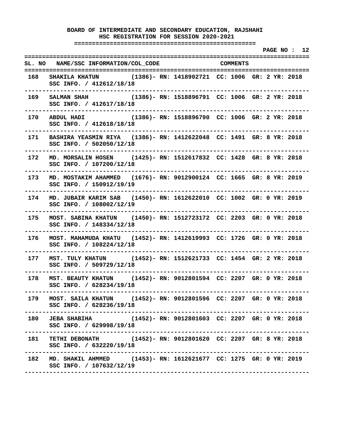**===================================================** 

 **PAGE NO : 12 ================================================================================ SL. NO NAME/SSC INFORMATION/COL\_CODE COMMENTS ================================================================================ 168 SHAKILA KHATUN (1386)- RN: 1418902721 CC: 1006 GR: 2 YR: 2018 SSC INFO. / 412612/18/18 -------------------------------------------------------------------------------- 169 SALMAN SHAH (1386)- RN: 1518896791 CC: 1006 GR: 2 YR: 2018 SSC INFO. / 412617/18/18 -------------------------------------------------------------------------------- 170 ABDUL HADI (1386)- RN: 1518896790 CC: 1006 GR: 2 YR: 2018 SSC INFO. / 412618/18/18 -------------------------------------------------------------------------------- 171 BASHIRA YEASMIN RIYA (1386)- RN: 1412622048 CC: 1491 GR: 8 YR: 2018 SSC INFO. / 502050/12/18 -------------------------------------------------------------------------------- 172 MD. MORSALIN HOSEN (1425)- RN: 1512617832 CC: 1428 GR: 8 YR: 2018 SSC INFO. / 107200/12/18 -------------------------------------------------------------------------------- 173 MD. MOSTAKIM AHAMMED (1676)- RN: 9012900124 CC: 1665 GR: 8 YR: 2019 SSC INFO. / 150912/19/19 -------------------------------------------------------------------------------- 174 MD. JUBAIR KARIM SAB (1450)- RN: 1612622010 CC: 1002 GR: 0 YR: 2019 SSC INFO. / 108002/12/19 -------------------------------------------------------------------------------- 175 MOST. SABINA KHATUN (1450)- RN: 1512723172 CC: 2203 GR: 0 YR: 2018 SSC INFO. / 148334/12/18 -------------------------------------------------------------------------------- 176 MOST. MAHAMUDA KHATU (1452)- RN: 1412619993 CC: 1726 GR: 0 YR: 2018 SSC INFO. / 108224/12/18 -------------------------------------------------------------------------------- 177 MST. TULY KHATUN (1452)- RN: 1512621733 CC: 1454 GR: 2 YR: 2018 SSC INFO. / 509729/12/18 -------------------------------------------------------------------------------- 178 MST. BEAUTY KHATUN (1452)- RN: 9012801594 CC: 2207 GR: 0 YR: 2018 SSC INFO. / 628234/19/18 -------------------------------------------------------------------------------- 179 MOST. SAILA KHATUN (1452)- RN: 9012801596 CC: 2207 GR: 0 YR: 2018 SSC INFO. / 628236/19/18 -------------------------------------------------------------------------------- 180 JEBA SHABIHA (1452)- RN: 9012801603 CC: 2207 GR: 0 YR: 2018 SSC INFO. / 629998/19/18 -------------------------------------------------------------------------------- 181 TETHI DEBONATH (1452)- RN: 9012801620 CC: 2207 GR: 8 YR: 2018 SSC INFO. / 632220/19/18 -------------------------------------------------------------------------------- 182 MD. SHAKIL AHMMED (1453)- RN: 1612621677 CC: 1275 GR: 0 YR: 2019 SSC INFO. / 107632/12/19 --------------------------------------------------------------------------------**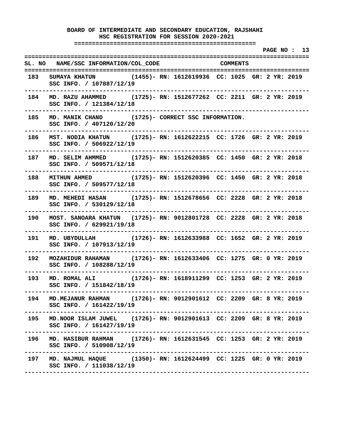**===================================================** 

|       |                                                                                                                                          |  |                                     |  |  | PAGE NO: 13 |  |
|-------|------------------------------------------------------------------------------------------------------------------------------------------|--|-------------------------------------|--|--|-------------|--|
|       | SL. NO NAME/SSC INFORMATION/COL_CODE COMMENTS                                                                                            |  |                                     |  |  |             |  |
|       | 183 SUMAYA KHATUN (1455)- RN: 1612619936 CC: 1025 GR: 2 YR: 2019<br>SSC INFO. / 107887/12/19<br>---------------------------              |  |                                     |  |  |             |  |
|       | 184 MD. RAZU AHAMMED (1725)- RN: 1512677262 CC: 2211 GR: 2 YR: 2019<br>SSC INFO. / 121384/12/18<br>-----------------------------         |  |                                     |  |  |             |  |
|       | 185 MD. MANIK CHAND (1725)- CORRECT SSC INFORMATION.<br>SSC INFO. / 407120/12/20                                                         |  |                                     |  |  |             |  |
|       | 186 MST. NODIA KHATUN (1725)- RN: 1612622215 CC: 1726 GR: 2 YR: 2019<br>SSC INFO. / 506922/12/19<br>. <u>.</u> .                         |  |                                     |  |  |             |  |
|       | 187 MD. SELIM AHMMED (1725)-RN: 1512620385 CC: 1450 GR: 2 YR: 2018<br>SSC INFO. / 509571/12/18                                           |  |                                     |  |  |             |  |
|       | 188 MITHUN AHMED (1725) - RN: 1512620396 CC: 1450 GR: 2 YR: 2018<br>SSC INFO. / 509577/12/18<br>. <u>_ _ _ _ _ _ _ _ _ _ _ _ _ _ _</u> _ |  |                                     |  |  |             |  |
|       | 189 MD. MEHEDI HASAN (1725)- RN: 1512678656 CC: 2228 GR: 2 YR: 2018<br>SSC INFO. / 530129/12/18                                          |  |                                     |  |  |             |  |
| 190 - | MOST. SANOARA KHATUN (1725)- RN: 9012801728 CC: 2228 GR: 2 YR: 2018<br>SSC INFO. / 629921/19/18                                          |  |                                     |  |  |             |  |
| 191   | MD. UBYDULLAH (1726)- RN: 1612633988 CC: 1652 GR: 2 YR: 2019<br>SSC INFO. / 107913/12/19<br>-----------------                            |  | ----------------------------------- |  |  |             |  |
| 192   | MOZAHIDUR RAHAMAN (1726)- RN: 1612633406 CC: 1275 GR: 0 YR: 2019<br>SSC INFO. / 108288/12/19                                             |  |                                     |  |  |             |  |
| 193   | MD. ROMAL ALI (1726)- RN: 1618911299 CC: 1253 GR: 2 YR: 2019<br>SSC INFO. / 151842/18/19                                                 |  |                                     |  |  |             |  |
| 194   | MD. MEJANUR RAHMAN (1726)- RN: 9012901612 CC: 2209 GR: 8 YR: 2019<br>SSC INFO. / 161422/19/19                                            |  |                                     |  |  |             |  |
| 195   | MD. NOOR ISLAM JUWEL (1726)- RN: 9012901613 CC: 2209 GR: 8 YR: 2019<br>SSC INFO. / 161427/19/19                                          |  |                                     |  |  |             |  |
| 196   | MD. HASIBUR RAHMAN (1726)- RN: 1612631545 CC: 1253 GR: 2 YR: 2019<br>SSC INFO. / 510908/12/19                                            |  |                                     |  |  |             |  |
|       | 197 MD. NAJMUL HAQUE (1350) - RN: 1612624499 CC: 1225 GR: 0 YR: 2019<br>SSC INFO. / 111038/12/19                                         |  |                                     |  |  |             |  |
|       |                                                                                                                                          |  |                                     |  |  |             |  |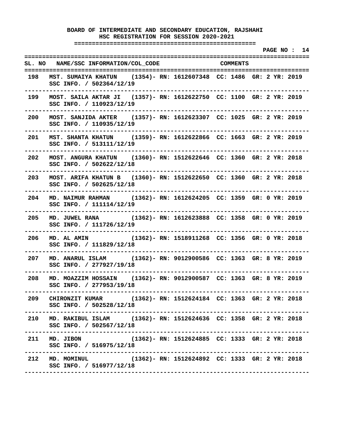**===================================================** 

 **PAGE NO : 14 ================================================================================ SL. NO NAME/SSC INFORMATION/COL\_CODE COMMENTS ================================================================================ 198 MST. SUMAIYA KHATUN (1354)- RN: 1612607348 CC: 1486 GR: 2 YR: 2019 SSC INFO. / 502364/12/19 -------------------------------------------------------------------------------- 199 MOST. SAILA AKTAR JI (1357)- RN: 1612622750 CC: 1100 GR: 2 YR: 2019 SSC INFO. / 110923/12/19 -------------------------------------------------------------------------------- 200 MOST. SANJIDA AKTER (1357)- RN: 1612623307 CC: 1025 GR: 2 YR: 2019 SSC INFO. / 110935/12/19 -------------------------------------------------------------------------------- 201 MST. SHANTA KHATUN (1359)- RN: 1612622866 CC: 1663 GR: 2 YR: 2019 SSC INFO. / 513111/12/19 -------------------------------------------------------------------------------- 202 MOST. ANGURA KHATUN (1360)- RN: 1512622646 CC: 1360 GR: 2 YR: 2018 SSC INFO. / 502622/12/18 -------------------------------------------------------------------------------- 203 MOST. ARIFA KHATUN B (1360)- RN: 1512622650 CC: 1360 GR: 2 YR: 2018 SSC INFO. / 502625/12/18 -------------------------------------------------------------------------------- 204 MD. NAIMUR RAHMAN (1362)- RN: 1612624205 CC: 1359 GR: 0 YR: 2019 SSC INFO. / 111114/12/19 -------------------------------------------------------------------------------- 205 MD. JUWEL RANA (1362)- RN: 1612623888 CC: 1358 GR: 0 YR: 2019 SSC INFO. / 111726/12/19 -------------------------------------------------------------------------------- 206 MD. AL AMIN (1362)- RN: 1518911268 CC: 1356 GR: 0 YR: 2018 SSC INFO. / 111829/12/18 -------------------------------------------------------------------------------- 207 MD. ANARUL ISLAM (1362)- RN: 9012900586 CC: 1363 GR: 8 YR: 2019 SSC INFO. / 277927/19/18 -------------------------------------------------------------------------------- 208 MD. MOAZZIM HOSSAIN (1362)- RN: 9012900587 CC: 1363 GR: 8 YR: 2019 SSC INFO. / 277953/19/18 -------------------------------------------------------------------------------- 209 CHIRONZIT KUMAR (1362)- RN: 1512624184 CC: 1363 GR: 2 YR: 2018 SSC INFO. / 502528/12/18 -------------------------------------------------------------------------------- 210 MD. RAKIBUL ISLAM (1362)- RN: 1512624636 CC: 1358 GR: 2 YR: 2018 SSC INFO. / 502567/12/18 -------------------------------------------------------------------------------- 211 MD. JIBON (1362)- RN: 1512624885 CC: 1333 GR: 2 YR: 2018 SSC INFO. / 516975/12/18 -------------------------------------------------------------------------------- 212 MD. MOMINUL (1362)- RN: 1512624892 CC: 1333 GR: 2 YR: 2018 SSC INFO. / 516977/12/18 --------------------------------------------------------------------------------**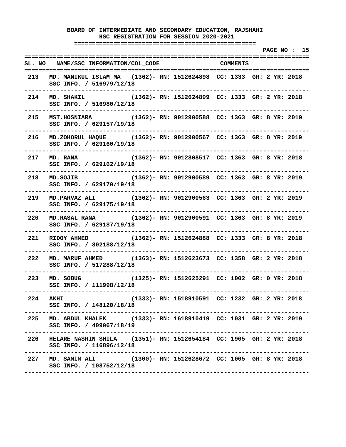**===================================================** 

 **PAGE NO : 15 ================================================================================ SL. NO NAME/SSC INFORMATION/COL\_CODE COMMENTS ================================================================================ 213 MD. MANIKUL ISLAM MA (1362)- RN: 1512624898 CC: 1333 GR: 2 YR: 2018 SSC INFO. / 516979/12/18 -------------------------------------------------------------------------------- 214 MD. SHAKIL (1362)- RN: 1512624899 CC: 1333 GR: 2 YR: 2018 SSC INFO. / 516980/12/18 -------------------------------------------------------------------------------- 215 MST.HOSNIARA (1362)- RN: 9012900588 CC: 1363 GR: 8 YR: 2019 SSC INFO. / 629157/19/18 -------------------------------------------------------------------------------- 216 MD.ZOHORUL HAQUE (1362)- RN: 9012900567 CC: 1363 GR: 8 YR: 2019 SSC INFO. / 629160/19/18 -------------------------------------------------------------------------------- 217 MD. RANA (1362)- RN: 9012808517 CC: 1363 GR: 8 YR: 2018 SSC INFO. / 629162/19/18 -------------------------------------------------------------------------------- 218 MD.SOJIB (1362)- RN: 9012900589 CC: 1363 GR: 8 YR: 2019 SSC INFO. / 629170/19/18 -------------------------------------------------------------------------------- 219 MD.PARVAZ ALI (1362)- RN: 9012900563 CC: 1363 GR: 2 YR: 2019 SSC INFO. / 629175/19/18 -------------------------------------------------------------------------------- 220 MD.RASAL RANA (1362)- RN: 9012900591 CC: 1363 GR: 8 YR: 2019 SSC INFO. / 629187/19/18 -------------------------------------------------------------------------------- 221 RIDOY AHMED (1362)- RN: 1512624888 CC: 1333 GR: 8 YR: 2018 SSC INFO. / 802188/12/18 -------------------------------------------------------------------------------- 222 MD. MARUF AHMED (1363)- RN: 1512623673 CC: 1358 GR: 2 YR: 2018 SSC INFO. / 517288/12/18 -------------------------------------------------------------------------------- 223 MD. SOBUG (1325)- RN: 1512625291 CC: 1002 GR: 0 YR: 2018 SSC INFO. / 111998/12/18 -------------------------------------------------------------------------------- 224 AKHI (1333)- RN: 1518910591 CC: 1232 GR: 2 YR: 2018 SSC INFO. / 148120/18/18 -------------------------------------------------------------------------------- 225 MD. ABDUL KHALEK (1333)- RN: 1618910419 CC: 1031 GR: 2 YR: 2019 SSC INFO. / 409067/18/19 -------------------------------------------------------------------------------- 226 HELARE NASRIN SHILA (1351)- RN: 1512654184 CC: 1905 GR: 2 YR: 2018 SSC INFO. / 116896/12/18 -------------------------------------------------------------------------------- 227 MD. SAMIM ALI (1300)- RN: 1512628672 CC: 1005 GR: 8 YR: 2018 SSC INFO. / 108752/12/18 --------------------------------------------------------------------------------**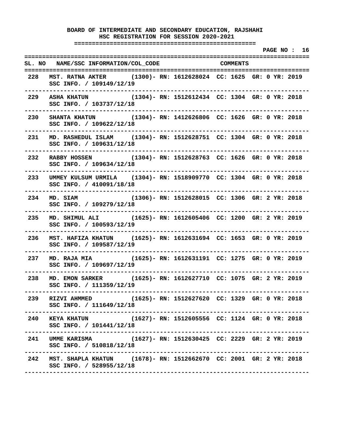**===================================================** 

 **PAGE NO : 16 ================================================================================ SL. NO NAME/SSC INFORMATION/COL\_CODE COMMENTS ================================================================================ 228 MST. RATNA AKTER (1300)- RN: 1612628024 CC: 1625 GR: 0 YR: 2019 SSC INFO. / 109149/12/19 -------------------------------------------------------------------------------- 229 ASHA KHATUN (1304)- RN: 1512612434 CC: 1304 GR: 0 YR: 2018 SSC INFO. / 103737/12/18 -------------------------------------------------------------------------------- 230 SHANTA KHATUN (1304)- RN: 1412626806 CC: 1626 GR: 0 YR: 2018 SSC INFO. / 109622/12/18 -------------------------------------------------------------------------------- 231 MD. RASHEDUL ISLAM (1304)- RN: 1512628751 CC: 1304 GR: 0 YR: 2018 SSC INFO. / 109631/12/18 -------------------------------------------------------------------------------- 232 RABBY HOSSEN (1304)- RN: 1512628763 CC: 1626 GR: 0 YR: 2018 SSC INFO. / 109634/12/18 -------------------------------------------------------------------------------- 233 UMMEY KULSUM URMILA (1304)- RN: 1518909770 CC: 1304 GR: 0 YR: 2018 SSC INFO. / 410091/18/18 -------------------------------------------------------------------------------- 234 MD. SIAM (1306)- RN: 1512628015 CC: 1306 GR: 2 YR: 2018 SSC INFO. / 109279/12/18 -------------------------------------------------------------------------------- 235 MD. SHIMUL ALI (1625)- RN: 1612605406 CC: 1200 GR: 2 YR: 2019 SSC INFO. / 100593/12/19 -------------------------------------------------------------------------------- 236 MST. HAFIZA KHATUN (1625)- RN: 1612631694 CC: 1653 GR: 0 YR: 2019 SSC INFO. / 109587/12/19 -------------------------------------------------------------------------------- 237 MD. RAJA MIA (1625)- RN: 1612631191 CC: 1275 GR: 0 YR: 2019 SSC INFO. / 109697/12/19 -------------------------------------------------------------------------------- 238 MD. EMON SARKER (1625)- RN: 1612627710 CC: 1075 GR: 2 YR: 2019 SSC INFO. / 111359/12/19 -------------------------------------------------------------------------------- 239 RIZVI AHMMED (1625)- RN: 1512627620 CC: 1329 GR: 0 YR: 2018 SSC INFO. / 111649/12/18 -------------------------------------------------------------------------------- 240 KEYA KHATUN (1627)- RN: 1512605556 CC: 1124 GR: 0 YR: 2018 SSC INFO. / 101441/12/18 -------------------------------------------------------------------------------- 241 UMME KARISMA (1627)- RN: 1512630425 CC: 2229 GR: 2 YR: 2019 SSC INFO. / 510818/12/18 -------------------------------------------------------------------------------- 242 MST. SHAPLA KHATUN (1678)- RN: 1512662670 CC: 2001 GR: 2 YR: 2018 SSC INFO. / 528955/12/18 --------------------------------------------------------------------------------**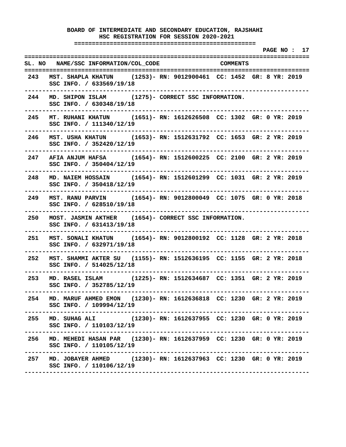**===================================================** 

 **PAGE NO : 17 ================================================================================ SL. NO NAME/SSC INFORMATION/COL\_CODE COMMENTS ================================================================================ 243 MST. SHAPLA KHATUN (1253)- RN: 9012900461 CC: 1452 GR: 8 YR: 2019 SSC INFO. / 633569/19/18 -------------------------------------------------------------------------------- 244 MD. SHIPON ISLAM (1275)- CORRECT SSC INFORMATION. SSC INFO. / 630348/19/18 -------------------------------------------------------------------------------- 245 MT. RUHANI KHATUN (1651)- RN: 1612626508 CC: 1302 GR: 0 YR: 2019 SSC INFO. / 111340/12/19 -------------------------------------------------------------------------------- 246 MST. USHA KHATUN (1653)- RN: 1512631792 CC: 1653 GR: 2 YR: 2019 SSC INFO. / 352420/12/19 -------------------------------------------------------------------------------- 247 AFIA ANJUM HAFSA (1654)- RN: 1512600225 CC: 2100 GR: 2 YR: 2019 SSC INFO. / 350404/12/19 -------------------------------------------------------------------------------- 248 MD. NAIEM HOSSAIN (1654)- RN: 1512601299 CC: 1031 GR: 2 YR: 2019 SSC INFO. / 350418/12/19 -------------------------------------------------------------------------------- 249 MST. RANU PARVIN (1654)- RN: 9012800049 CC: 1075 GR: 0 YR: 2018 SSC INFO. / 628510/19/18 -------------------------------------------------------------------------------- 250 MOST. JASMIN AKTHER (1654)- CORRECT SSC INFORMATION. SSC INFO. / 631413/19/18 -------------------------------------------------------------------------------- 251 MST. SONALI KHATUN (1654)- RN: 9012800192 CC: 1128 GR: 2 YR: 2018 SSC INFO. / 632971/19/18 -------------------------------------------------------------------------------- 252 MST. SHAMMI AKTER SU (1155)- RN: 1512636195 CC: 1155 GR: 2 YR: 2018 SSC INFO. / 514025/12/18 -------------------------------------------------------------------------------- 253 MD. RASEL ISLAM (1225)- RN: 1512634687 CC: 1351 GR: 2 YR: 2019 SSC INFO. / 352785/12/19 -------------------------------------------------------------------------------- 254 MD. MARUF AHMED EMON (1230)- RN: 1612636818 CC: 1230 GR: 2 YR: 2019 SSC INFO. / 109994/12/19 -------------------------------------------------------------------------------- 255 MD. SUHAG ALI (1230)- RN: 1612637955 CC: 1230 GR: 0 YR: 2019 SSC INFO. / 110103/12/19 -------------------------------------------------------------------------------- 256 MD. MEHEDI HASAN PAR (1230)- RN: 1612637959 CC: 1230 GR: 0 YR: 2019 SSC INFO. / 110105/12/19 -------------------------------------------------------------------------------- 257 MD. JOBAYER AHMED (1230)- RN: 1612637963 CC: 1230 GR: 0 YR: 2019 SSC INFO. / 110106/12/19 --------------------------------------------------------------------------------**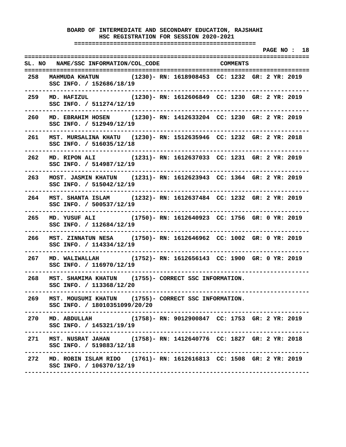**===================================================** 

 **PAGE NO : 18 ================================================================================ SL. NO NAME/SSC INFORMATION/COL\_CODE COMMENTS ================================================================================ 258 MAHMUDA KHATUN (1230)- RN: 1618908453 CC: 1232 GR: 2 YR: 2019 SSC INFO. / 152686/18/19 -------------------------------------------------------------------------------- 259 MD. HAFIZUL (1230)- RN: 1612606849 CC: 1230 GR: 2 YR: 2019 SSC INFO. / 511274/12/19 -------------------------------------------------------------------------------- 260 MD. EBRAHIM HOSEN (1230)- RN: 1412633204 CC: 1230 GR: 2 YR: 2019 SSC INFO. / 512949/12/19 -------------------------------------------------------------------------------- 261 MST. MURSALINA KHATU (1230)- RN: 1512635946 CC: 1232 GR: 2 YR: 2018 SSC INFO. / 516035/12/18 -------------------------------------------------------------------------------- 262 MD. RIPON ALI (1231)- RN: 1612637033 CC: 1231 GR: 2 YR: 2019 SSC INFO. / 514987/12/19 -------------------------------------------------------------------------------- 263 MOST. JASMIN KHATUN (1231)- RN: 1612623943 CC: 1364 GR: 2 YR: 2019 SSC INFO. / 515042/12/19 -------------------------------------------------------------------------------- 264 MST. SHANTA ISLAM (1232)- RN: 1612637484 CC: 1232 GR: 2 YR: 2019 SSC INFO. / 500537/12/19 -------------------------------------------------------------------------------- 265 MD. YUSUF ALI (1750)- RN: 1612640923 CC: 1756 GR: 0 YR: 2019 SSC INFO. / 112684/12/19 -------------------------------------------------------------------------------- 266 MST. ZINNATUN NESA (1750)- RN: 1612646962 CC: 1002 GR: 0 YR: 2019 SSC INFO. / 114334/12/19 -------------------------------------------------------------------------------- 267 MD. WALIWALLAH (1752)- RN: 1612656143 CC: 1900 GR: 0 YR: 2019 SSC INFO. / 116970/12/19 -------------------------------------------------------------------------------- 268 MST. SHAMIMA KHATUN (1755)- CORRECT SSC INFORMATION. SSC INFO. / 113368/12/20 -------------------------------------------------------------------------------- 269 MST. MOUSUMI KHATUN (1755)- CORRECT SSC INFORMATION. SSC INFO. / 18010351099/20/20 -------------------------------------------------------------------------------- 270 MD. ABDULLAH (1758)- RN: 9012900847 CC: 1753 GR: 2 YR: 2019 SSC INFO. / 145321/19/19 -------------------------------------------------------------------------------- 271 MST. NUSRAT JAHAN (1758)- RN: 1412640776 CC: 1827 GR: 2 YR: 2018 SSC INFO. / 519883/12/18 -------------------------------------------------------------------------------- 272 MD. ROBIN ISLAM RIDO (1761)- RN: 1612616813 CC: 1508 GR: 2 YR: 2019 SSC INFO. / 106370/12/19 --------------------------------------------------------------------------------**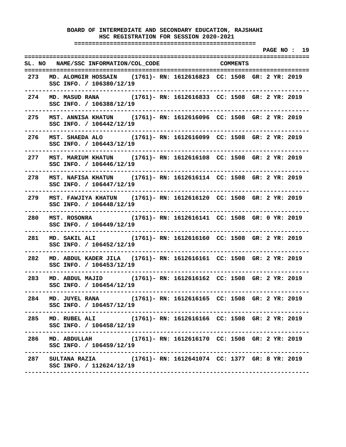**===================================================** 

 **PAGE NO : 19 ================================================================================ SL. NO NAME/SSC INFORMATION/COL\_CODE COMMENTS ================================================================================ 273 MD. ALOMGIR HOSSAIN (1761)- RN: 1612616823 CC: 1508 GR: 2 YR: 2019 SSC INFO. / 106380/12/19 -------------------------------------------------------------------------------- 274 MD. MASUD RANA (1761)- RN: 1612616833 CC: 1508 GR: 2 YR: 2019 SSC INFO. / 106388/12/19 -------------------------------------------------------------------------------- 275 MST. ANNISA KHATUN (1761)- RN: 1612616096 CC: 1508 GR: 2 YR: 2019 SSC INFO. / 106442/12/19 -------------------------------------------------------------------------------- 276 MST. SHAEDA ALO (1761)- RN: 1612616099 CC: 1508 GR: 2 YR: 2019 SSC INFO. / 106443/12/19 -------------------------------------------------------------------------------- 277 MST. MARIUM KHATUN (1761)- RN: 1612616108 CC: 1508 GR: 2 YR: 2019 SSC INFO. / 106446/12/19 -------------------------------------------------------------------------------- 278 MST. NAFISA KHATUN (1761)- RN: 1612616114 CC: 1508 GR: 2 YR: 2019 SSC INFO. / 106447/12/19 -------------------------------------------------------------------------------- 279 MST. FAWJIYA KHATUN (1761)- RN: 1612616120 CC: 1508 GR: 2 YR: 2019 SSC INFO. / 106448/12/19 -------------------------------------------------------------------------------- 280 MST. ROSONRA (1761)- RN: 1612616141 CC: 1508 GR: 0 YR: 2019 SSC INFO. / 106449/12/19 -------------------------------------------------------------------------------- 281 MD. SAKIL ALI (1761)- RN: 1612616160 CC: 1508 GR: 2 YR: 2019 SSC INFO. / 106452/12/19 -------------------------------------------------------------------------------- 282 MD. ABDUL KADER JILA (1761)- RN: 1612616161 CC: 1508 GR: 2 YR: 2019 SSC INFO. / 106453/12/19 -------------------------------------------------------------------------------- 283 MD. ABDUL MAJID (1761)- RN: 1612616162 CC: 1508 GR: 2 YR: 2019 SSC INFO. / 106454/12/19 -------------------------------------------------------------------------------- 284 MD. JUYEL RANA (1761)- RN: 1612616165 CC: 1508 GR: 2 YR: 2019 SSC INFO. / 106457/12/19 -------------------------------------------------------------------------------- 285 MD. RUBEL ALI (1761)- RN: 1612616166 CC: 1508 GR: 2 YR: 2019 SSC INFO. / 106458/12/19 -------------------------------------------------------------------------------- 286 MD. ABDULLAH (1761)- RN: 1612616170 CC: 1508 GR: 2 YR: 2019 SSC INFO. / 106459/12/19 -------------------------------------------------------------------------------- 287 SULTANA RAZIA (1761)- RN: 1612641074 CC: 1377 GR: 8 YR: 2019 SSC INFO. / 112624/12/19 --------------------------------------------------------------------------------**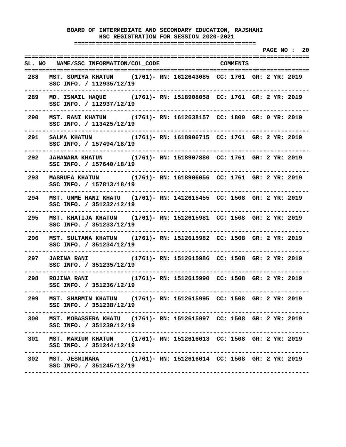**===================================================** 

 **PAGE NO : 20 ================================================================================ SL. NO NAME/SSC INFORMATION/COL\_CODE COMMENTS ================================================================================ 288 MST. SUMIYA KHATUN (1761)- RN: 1612643085 CC: 1761 GR: 2 YR: 2019 SSC INFO. / 112935/12/19 -------------------------------------------------------------------------------- 289 MD. ISMAIL HAQUE (1761)- RN: 1518908058 CC: 1761 GR: 2 YR: 2019 SSC INFO. / 112937/12/19 -------------------------------------------------------------------------------- 290 MST. RANI KHATUN (1761)- RN: 1612638157 CC: 1800 GR: 0 YR: 2019 SSC INFO. / 113425/12/19 -------------------------------------------------------------------------------- 291 SALMA KHATUN (1761)- RN: 1618906715 CC: 1761 GR: 2 YR: 2019 SSC INFO. / 157494/18/19 -------------------------------------------------------------------------------- 292 JAHANARA KHATUN (1761)- RN: 1518907880 CC: 1761 GR: 2 YR: 2019 SSC INFO. / 157640/18/19 -------------------------------------------------------------------------------- 293 MASRUFA KHATUN (1761)- RN: 1618906056 CC: 1761 GR: 2 YR: 2019 SSC INFO. / 157813/18/19 -------------------------------------------------------------------------------- 294 MST. UMME HANI KHATU (1761)- RN: 1412615455 CC: 1508 GR: 2 YR: 2019 SSC INFO. / 351232/12/19 -------------------------------------------------------------------------------- 295 MST. KHATIJA KHATUN (1761)- RN: 1512615981 CC: 1508 GR: 2 YR: 2019 SSC INFO. / 351233/12/19 -------------------------------------------------------------------------------- 296 MST. SULTANA KHATUN (1761)- RN: 1512615982 CC: 1508 GR: 2 YR: 2019 SSC INFO. / 351234/12/19 -------------------------------------------------------------------------------- 297 JARINA RANI (1761)- RN: 1512615986 CC: 1508 GR: 2 YR: 2019 SSC INFO. / 351235/12/19 -------------------------------------------------------------------------------- 298 ROJINA RANI (1761)- RN: 1512615990 CC: 1508 GR: 2 YR: 2019 SSC INFO. / 351236/12/19 -------------------------------------------------------------------------------- 299 MST. SHARMIN KHATUN (1761)- RN: 1512615995 CC: 1508 GR: 2 YR: 2019 SSC INFO. / 351238/12/19 -------------------------------------------------------------------------------- 300 MST. MOBASSERA KHATU (1761)- RN: 1512615997 CC: 1508 GR: 2 YR: 2019 SSC INFO. / 351239/12/19 -------------------------------------------------------------------------------- 301 MST. MARIUM KHATUN (1761)- RN: 1512616013 CC: 1508 GR: 2 YR: 2019 SSC INFO. / 351244/12/19 -------------------------------------------------------------------------------- 302 MST. JESMINARA (1761)- RN: 1512616014 CC: 1508 GR: 2 YR: 2019 SSC INFO. / 351245/12/19 --------------------------------------------------------------------------------**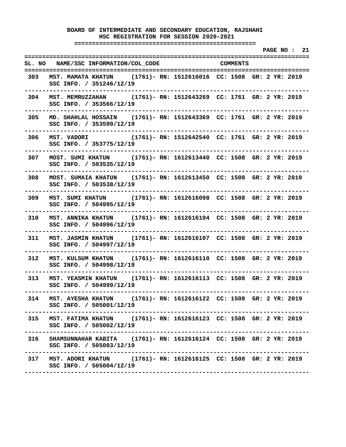**===================================================** 

 **PAGE NO : 21 ================================================================================ SL. NO NAME/SSC INFORMATION/COL\_CODE COMMENTS ================================================================================ 303 MST. MAMATA KHATUN (1761)- RN: 1512616016 CC: 1508 GR: 2 YR: 2019 SSC INFO. / 351246/12/19 -------------------------------------------------------------------------------- 304 MST. MEMRUZZAHAN (1761)- RN: 1512643269 CC: 1761 GR: 2 YR: 2019 SSC INFO. / 353566/12/19 -------------------------------------------------------------------------------- 305 MD. SHAHLAL HOSSAIN (1761)- RN: 1512643369 CC: 1761 GR: 2 YR: 2019 SSC INFO. / 353599/12/19 -------------------------------------------------------------------------------- 306 MST. VADORI (1761)- RN: 1512642540 CC: 1761 GR: 2 YR: 2019 SSC INFO. / 353775/12/19 -------------------------------------------------------------------------------- 307 MOST. SUMI KHATUN (1761)- RN: 1612613440 CC: 1508 GR: 2 YR: 2019 SSC INFO. / 503535/12/19 -------------------------------------------------------------------------------- 308 MOST. SUMAIA KHATUN (1761)- RN: 1612613450 CC: 1508 GR: 2 YR: 2019 SSC INFO. / 503538/12/19 -------------------------------------------------------------------------------- 309 MST. SUMI KHATUN (1761)- RN: 1612616098 CC: 1508 GR: 2 YR: 2019 SSC INFO. / 504995/12/19 -------------------------------------------------------------------------------- 310 MST. ANNIKA KHATUN (1761)- RN: 1612616104 CC: 1508 GR: 2 YR: 2019 SSC INFO. / 504996/12/19 -------------------------------------------------------------------------------- 311 MST. JASMIN KHATUN (1761)- RN: 1612616107 CC: 1508 GR: 2 YR: 2019 SSC INFO. / 504997/12/19 -------------------------------------------------------------------------------- 312 MST. KULSUM KHATUN (1761)- RN: 1612616110 CC: 1508 GR: 2 YR: 2019 SSC INFO. / 504998/12/19 -------------------------------------------------------------------------------- 313 MST. YEASMIN KHATUN (1761)- RN: 1612616113 CC: 1508 GR: 2 YR: 2019 SSC INFO. / 504999/12/19 -------------------------------------------------------------------------------- 314 MST. AYESHA KHATUN (1761)- RN: 1612616122 CC: 1508 GR: 2 YR: 2019 SSC INFO. / 505001/12/19 -------------------------------------------------------------------------------- 315 MST. FATIMA KHATUN (1761)- RN: 1612616123 CC: 1508 GR: 2 YR: 2019 SSC INFO. / 505002/12/19 -------------------------------------------------------------------------------- 316 SHAMSUNNAHAR KABITA (1761)- RN: 1612616124 CC: 1508 GR: 2 YR: 2019 SSC INFO. / 505003/12/19 -------------------------------------------------------------------------------- 317 MST. ADORI KHATUN (1761)- RN: 1612616125 CC: 1508 GR: 2 YR: 2019 SSC INFO. / 505004/12/19 --------------------------------------------------------------------------------**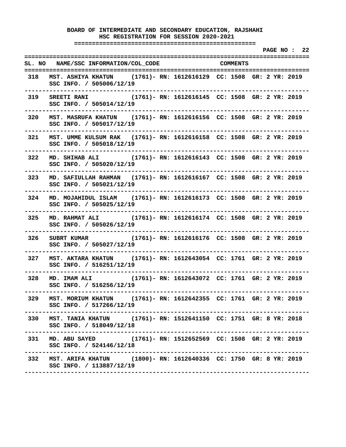**===================================================** 

 **PAGE NO : 22 ================================================================================ SL. NO NAME/SSC INFORMATION/COL\_CODE COMMENTS ================================================================================ 318 MST. ASHIYA KHATUN (1761)- RN: 1612616129 CC: 1508 GR: 2 YR: 2019 SSC INFO. / 505006/12/19 -------------------------------------------------------------------------------- 319 SREETI RANI (1761)- RN: 1612616145 CC: 1508 GR: 2 YR: 2019 SSC INFO. / 505014/12/19 -------------------------------------------------------------------------------- 320 MST. MASRUFA KHATUN (1761)- RN: 1612616156 CC: 1508 GR: 2 YR: 2019 SSC INFO. / 505017/12/19 -------------------------------------------------------------------------------- 321 MST. UMME KULSUM RAK (1761)- RN: 1612616158 CC: 1508 GR: 2 YR: 2019 SSC INFO. / 505018/12/19 -------------------------------------------------------------------------------- 322 MD. SHIHAB ALI (1761)- RN: 1612616143 CC: 1508 GR: 2 YR: 2019 SSC INFO. / 505020/12/19 -------------------------------------------------------------------------------- 323 MD. SAFIULLAH RAHMAN (1761)- RN: 1612616167 CC: 1508 GR: 2 YR: 2019 SSC INFO. / 505021/12/19 -------------------------------------------------------------------------------- 324 MD. MOJAHIDUL ISLAM (1761)- RN: 1612616173 CC: 1508 GR: 2 YR: 2019 SSC INFO. / 505025/12/19 -------------------------------------------------------------------------------- 325 MD. RAHMAT ALI (1761)- RN: 1612616174 CC: 1508 GR: 2 YR: 2019 SSC INFO. / 505026/12/19 -------------------------------------------------------------------------------- 326 SUBRT KUMAR (1761)- RN: 1612616176 CC: 1508 GR: 2 YR: 2019 SSC INFO. / 505027/12/19 -------------------------------------------------------------------------------- 327 MST. AKTARA KHATUN (1761)- RN: 1612643054 CC: 1761 GR: 2 YR: 2019 SSC INFO. / 516251/12/19 -------------------------------------------------------------------------------- 328 MD. IMAM ALI (1761)- RN: 1612643072 CC: 1761 GR: 2 YR: 2019 SSC INFO. / 516256/12/19 -------------------------------------------------------------------------------- 329 MST. MORIUM KHATUN (1761)- RN: 1612642355 CC: 1761 GR: 2 YR: 2019 SSC INFO. / 517266/12/19 -------------------------------------------------------------------------------- 330 MST. TANIA KHATUN (1761)- RN: 1512641150 CC: 1751 GR: 8 YR: 2018 SSC INFO. / 518049/12/18 -------------------------------------------------------------------------------- 331 MD. ABU SAYED (1761)- RN: 1512652569 CC: 1508 GR: 2 YR: 2019 SSC INFO. / 524146/12/18 -------------------------------------------------------------------------------- 332 MST. ARIFA KHATUN (1800)- RN: 1612640336 CC: 1750 GR: 8 YR: 2019 SSC INFO. / 113887/12/19 --------------------------------------------------------------------------------**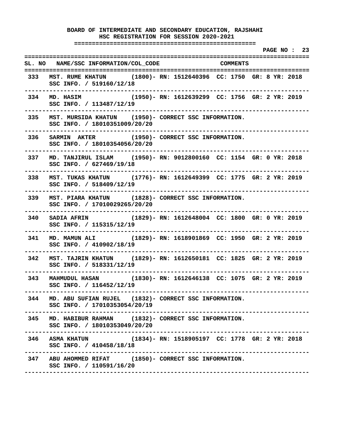**===================================================** 

 **PAGE NO : 23 ================================================================================ SL. NO NAME/SSC INFORMATION/COL\_CODE COMMENTS ================================================================================ 333 MST. RUME KHATUN (1800)- RN: 1512640396 CC: 1750 GR: 8 YR: 2018 SSC INFO. / 519160/12/18 -------------------------------------------------------------------------------- 334 MD. HASIM (1950)- RN: 1612639299 CC: 1756 GR: 2 YR: 2019 SSC INFO. / 113487/12/19 -------------------------------------------------------------------------------- 335 MST. MURSIDA KHATUN (1950)- CORRECT SSC INFORMATION. SSC INFO. / 18010351009/20/20 -------------------------------------------------------------------------------- 336 SARMIN AKTER (1950)- CORRECT SSC INFORMATION. SSC INFO. / 18010354056/20/20 -------------------------------------------------------------------------------- 337 MD. TANJIRUL ISLAM (1950)- RN: 9012800160 CC: 1154 GR: 0 YR: 2018 SSC INFO. / 627469/19/18 -------------------------------------------------------------------------------- 338 MST. TUKAS KHATUN (1776)- RN: 1612649399 CC: 1775 GR: 2 YR: 2019 SSC INFO. / 518409/12/19 -------------------------------------------------------------------------------- 339 MST. PIARA KHATUN (1828)- CORRECT SSC INFORMATION. SSC INFO. / 17010029265/20/20 -------------------------------------------------------------------------------- 340 SADIA AFRIN (1829)- RN: 1612648004 CC: 1800 GR: 0 YR: 2019 SSC INFO. / 115315/12/19 -------------------------------------------------------------------------------- 341 MD. MAMUN ALI (1829)- RN: 1618901869 CC: 1950 GR: 2 YR: 2019 SSC INFO. / 410902/18/19 -------------------------------------------------------------------------------- 342 MST. TAJRIN KHATUN (1829)- RN: 1612650181 CC: 1825 GR: 2 YR: 2019 SSC INFO. / 518331/12/19 -------------------------------------------------------------------------------- 343 MAHMUDUL HASAN (1830)- RN: 1612646138 CC: 1075 GR: 2 YR: 2019 SSC INFO. / 116452/12/19 -------------------------------------------------------------------------------- 344 MD. ABU SUFIAN RUJEL (1832)- CORRECT SSC INFORMATION. SSC INFO. / 17010353054/20/19 -------------------------------------------------------------------------------- 345 MD. HABIBUR RAHMAN (1832)- CORRECT SSC INFORMATION. SSC INFO. / 18010353049/20/20 -------------------------------------------------------------------------------- 346 ASMA KHATUN (1834)- RN: 1518905197 CC: 1778 GR: 2 YR: 2018 SSC INFO. / 410458/18/18 -------------------------------------------------------------------------------- 347 ABU AHOMMED RIFAT (1850)- CORRECT SSC INFORMATION. SSC INFO. / 110591/16/20 --------------------------------------------------------------------------------**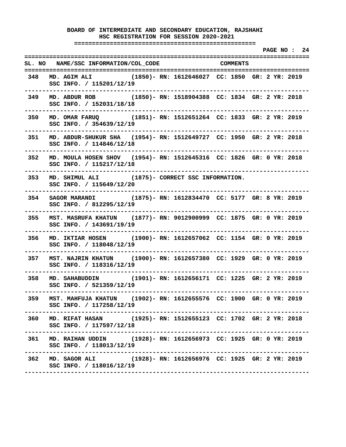**===================================================** 

 **PAGE NO : 24 ================================================================================ SL. NO NAME/SSC INFORMATION/COL\_CODE COMMENTS ================================================================================ 348 MD. AGIM ALI (1850)- RN: 1612646027 CC: 1850 GR: 2 YR: 2019 SSC INFO. / 115201/12/19 -------------------------------------------------------------------------------- 349 MD. ABDUR ROB (1850)- RN: 1518904388 CC: 1834 GR: 2 YR: 2018 SSC INFO. / 152031/18/18 -------------------------------------------------------------------------------- 350 MD. OMAR FARUQ (1851)- RN: 1512651264 CC: 1833 GR: 2 YR: 2019 SSC INFO. / 354639/12/19 -------------------------------------------------------------------------------- 351 MD. ABDUR-SHUKUR SHA (1954)- RN: 1512649727 CC: 1950 GR: 2 YR: 2018 SSC INFO. / 114846/12/18 -------------------------------------------------------------------------------- 352 MD. MOULA HOSEN SHOV (1954)- RN: 1512645316 CC: 1826 GR: 0 YR: 2018 SSC INFO. / 115217/12/18 -------------------------------------------------------------------------------- 353 MD. SHIMUL ALI (1875)- CORRECT SSC INFORMATION. SSC INFO. / 115649/12/20 -------------------------------------------------------------------------------- 354 SAGOR MARANDI (1875)- RN: 1612834470 CC: 5177 GR: 8 YR: 2019 SSC INFO. / 812295/12/19 -------------------------------------------------------------------------------- 355 MST. MASRUFA KHATUN (1877)- RN: 9012900999 CC: 1875 GR: 0 YR: 2019 SSC INFO. / 143691/19/19 -------------------------------------------------------------------------------- 356 MD. IKTIAR HOSEN (1900)- RN: 1612657062 CC: 1154 GR: 0 YR: 2019 SSC INFO. / 118048/12/19 -------------------------------------------------------------------------------- 357 MST. NAJRIN KHATUN (1900)- RN: 1612657380 CC: 1929 GR: 0 YR: 2019 SSC INFO. / 118316/12/19 -------------------------------------------------------------------------------- 358 MD. SAHABUDDIN (1901)- RN: 1612656171 CC: 1225 GR: 2 YR: 2019 SSC INFO. / 521359/12/19 -------------------------------------------------------------------------------- 359 MST. MAHFUJA KHATUN (1902)- RN: 1612655576 CC: 1900 GR: 0 YR: 2019 SSC INFO. / 117258/12/19 -------------------------------------------------------------------------------- 360 MD. RIFAT HASAN (1925)- RN: 1512655123 CC: 1702 GR: 2 YR: 2018 SSC INFO. / 117597/12/18 -------------------------------------------------------------------------------- 361 MD. RAIHAN UDDIN (1928)- RN: 1612656973 CC: 1925 GR: 0 YR: 2019 SSC INFO. / 118013/12/19 -------------------------------------------------------------------------------- 362 MD. SAGOR ALI (1928)- RN: 1612656976 CC: 1925 GR: 2 YR: 2019 SSC INFO. / 118016/12/19 --------------------------------------------------------------------------------**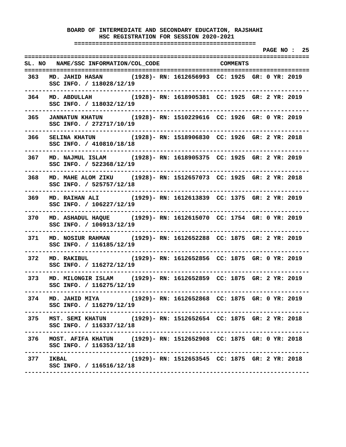**===================================================** 

 **PAGE NO : 25 ================================================================================ SL. NO NAME/SSC INFORMATION/COL\_CODE COMMENTS ================================================================================ 363 MD. JAHID HASAN (1928)- RN: 1612656993 CC: 1925 GR: 0 YR: 2019 SSC INFO. / 118028/12/19 -------------------------------------------------------------------------------- 364 MD. ABDULLAH (1928)- RN: 1618905381 CC: 1925 GR: 2 YR: 2019 SSC INFO. / 118032/12/19 -------------------------------------------------------------------------------- 365 JANNATUN KHATUN (1928)- RN: 1510229616 CC: 1926 GR: 0 YR: 2019 SSC INFO. / 272717/10/19 -------------------------------------------------------------------------------- 366 SELINA KHATUN (1928)- RN: 1518906830 CC: 1926 GR: 2 YR: 2018 SSC INFO. / 410810/18/18 -------------------------------------------------------------------------------- 367 MD. NAJMUL ISLAM (1928)- RN: 1618905375 CC: 1925 GR: 2 YR: 2019 SSC INFO. / 522368/12/19 -------------------------------------------------------------------------------- 368 MD. MAHE ALOM ZIKU (1928)- RN: 1512657073 CC: 1925 GR: 2 YR: 2018 SSC INFO. / 525757/12/18 -------------------------------------------------------------------------------- 369 MD. RAIHAN ALI (1929)- RN: 1612613839 CC: 1375 GR: 2 YR: 2019 SSC INFO. / 106227/12/19 -------------------------------------------------------------------------------- 370 MD. ASHADUL HAQUE (1929)- RN: 1612615070 CC: 1754 GR: 0 YR: 2019 SSC INFO. / 106913/12/19 -------------------------------------------------------------------------------- 371 MD. NOSIUR RAHMAN (1929)- RN: 1612652288 CC: 1875 GR: 2 YR: 2019 SSC INFO. / 116185/12/19 -------------------------------------------------------------------------------- 372 MD. RAKIBUL (1929)- RN: 1612652856 CC: 1875 GR: 0 YR: 2019 SSC INFO. / 116272/12/19 -------------------------------------------------------------------------------- 373 MD. MILONGIR ISLAM (1929)- RN: 1612652859 CC: 1875 GR: 2 YR: 2019 SSC INFO. / 116275/12/19 -------------------------------------------------------------------------------- 374 MD. JAHID MIYA (1929)- RN: 1612652868 CC: 1875 GR: 0 YR: 2019 SSC INFO. / 116279/12/19 -------------------------------------------------------------------------------- 375 MST. SEMI KHATUN (1929)- RN: 1512652654 CC: 1875 GR: 2 YR: 2018 SSC INFO. / 116337/12/18 -------------------------------------------------------------------------------- 376 MOST. AFIFA KHATUN (1929)- RN: 1512652908 CC: 1875 GR: 0 YR: 2018 SSC INFO. / 116353/12/18 -------------------------------------------------------------------------------- 377 IKBAL (1929)- RN: 1512653545 CC: 1875 GR: 2 YR: 2018 SSC INFO. / 116516/12/18 --------------------------------------------------------------------------------**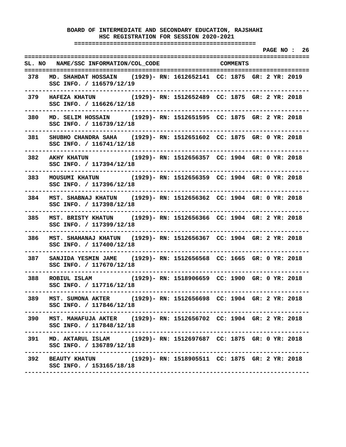**===================================================** 

 **PAGE NO : 26 ================================================================================ SL. NO NAME/SSC INFORMATION/COL\_CODE COMMENTS ================================================================================ 378 MD. SHAHDAT HOSSAIN (1929)- RN: 1612652141 CC: 1875 GR: 2 YR: 2019 SSC INFO. / 116579/12/19 -------------------------------------------------------------------------------- 379 HAFEZA KHATUN (1929)- RN: 1512652489 CC: 1875 GR: 2 YR: 2018 SSC INFO. / 116626/12/18 -------------------------------------------------------------------------------- 380 MD. SELIM HOSSAIN (1929)- RN: 1512651595 CC: 1875 GR: 2 YR: 2018 SSC INFO. / 116739/12/18 -------------------------------------------------------------------------------- 381 SHUBHO CHANDRA SAHA (1929)- RN: 1512651602 CC: 1875 GR: 0 YR: 2018 SSC INFO. / 116741/12/18 -------------------------------------------------------------------------------- 382 AKHY KHATUN (1929)- RN: 1512656357 CC: 1904 GR: 0 YR: 2018 SSC INFO. / 117394/12/18 -------------------------------------------------------------------------------- 383 MOUSUMI KHATUN (1929)- RN: 1512656359 CC: 1904 GR: 0 YR: 2018 SSC INFO. / 117396/12/18 -------------------------------------------------------------------------------- 384 MST. SHABNAJ KHATUN (1929)- RN: 1512656362 CC: 1904 GR: 0 YR: 2018 SSC INFO. / 117398/12/18 -------------------------------------------------------------------------------- 385 MST. BRISTY KHATUN (1929)- RN: 1512656366 CC: 1904 GR: 2 YR: 2018 SSC INFO. / 117399/12/18 -------------------------------------------------------------------------------- 386 MST. SHAHANAJ KHATUN (1929)- RN: 1512656367 CC: 1904 GR: 2 YR: 2018 SSC INFO. / 117400/12/18 -------------------------------------------------------------------------------- 387 SANJIDA YESMIN JAME (1929)- RN: 1512656568 CC: 1665 GR: 0 YR: 2018 SSC INFO. / 117670/12/18 -------------------------------------------------------------------------------- 388 ROBIUL ISLAM (1929)- RN: 1518906659 CC: 1900 GR: 0 YR: 2018 SSC INFO. / 117716/12/18 -------------------------------------------------------------------------------- 389 MST. SUMONA AKTER (1929)- RN: 1512656698 CC: 1904 GR: 2 YR: 2018 SSC INFO. / 117846/12/18 -------------------------------------------------------------------------------- 390 MST. MAHAFUJA AKTER (1929)- RN: 1512656702 CC: 1904 GR: 2 YR: 2018 SSC INFO. / 117848/12/18 -------------------------------------------------------------------------------- 391 MD. AKTARUL ISLAM (1929)- RN: 1512697687 CC: 1875 GR: 0 YR: 2018 SSC INFO. / 136789/12/18 -------------------------------------------------------------------------------- 392 BEAUTY KHATUN (1929)- RN: 1518905511 CC: 1875 GR: 2 YR: 2018 SSC INFO. / 153165/18/18 --------------------------------------------------------------------------------**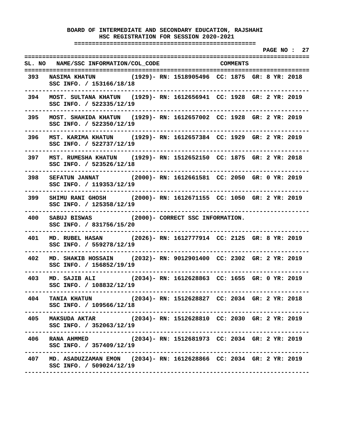**===================================================** 

 **PAGE NO : 27 ================================================================================ SL. NO NAME/SSC INFORMATION/COL\_CODE COMMENTS ================================================================================ 393 NASIMA KHATUN (1929)- RN: 1518905496 CC: 1875 GR: 8 YR: 2018 SSC INFO. / 153166/18/18 -------------------------------------------------------------------------------- 394 MOST. SULTANA KHATUN (1929)- RN: 1612656941 CC: 1928 GR: 2 YR: 2019 SSC INFO. / 522335/12/19 -------------------------------------------------------------------------------- 395 MOST. SHAHIDA KHATUN (1929)- RN: 1612657002 CC: 1928 GR: 2 YR: 2019 SSC INFO. / 522350/12/19 -------------------------------------------------------------------------------- 396 MST. KARIMA KHATUN (1929)- RN: 1612657384 CC: 1929 GR: 2 YR: 2019 SSC INFO. / 522737/12/19 -------------------------------------------------------------------------------- 397 MST. RUMESHA KHATUN (1929)- RN: 1512652150 CC: 1875 GR: 2 YR: 2018 SSC INFO. / 523526/12/18 -------------------------------------------------------------------------------- 398 SEFATUN JANNAT (2000)- RN: 1612661581 CC: 2050 GR: 0 YR: 2019 SSC INFO. / 119353/12/19 -------------------------------------------------------------------------------- 399 SHIMU RANI GHOSH (2000)- RN: 1612671155 CC: 1050 GR: 2 YR: 2019 SSC INFO. / 125358/12/19 -------------------------------------------------------------------------------- 400 SABUJ BISWAS (2000)- CORRECT SSC INFORMATION. SSC INFO. / 831756/15/20 -------------------------------------------------------------------------------- 401 MD. RUBEL HASAN (2026)- RN: 1612777914 CC: 2125 GR: 8 YR: 2019 SSC INFO. / 559278/12/19 -------------------------------------------------------------------------------- 402 MD. SHAKIB HOSSAIN (2032)- RN: 9012901400 CC: 2302 GR: 2 YR: 2019 SSC INFO. / 156852/19/19 -------------------------------------------------------------------------------- 403 MD. SAJIB ALI (2034)- RN: 1612628863 CC: 1655 GR: 0 YR: 2019 SSC INFO. / 108832/12/19 -------------------------------------------------------------------------------- 404 TANIA KHATUN (2034)- RN: 1512628827 CC: 2034 GR: 2 YR: 2018 SSC INFO. / 109566/12/18 -------------------------------------------------------------------------------- 405 MAKSUDA AKTAR (2034)- RN: 1512628810 CC: 2030 GR: 2 YR: 2019 SSC INFO. / 352063/12/19 -------------------------------------------------------------------------------- 406 RANA AHMMED (2034)- RN: 1512681973 CC: 2034 GR: 2 YR: 2019 SSC INFO. / 357409/12/19 -------------------------------------------------------------------------------- 407 MD. ASADUZZAMAN EMON (2034)- RN: 1612628866 CC: 2034 GR: 2 YR: 2019 SSC INFO. / 509024/12/19 --------------------------------------------------------------------------------**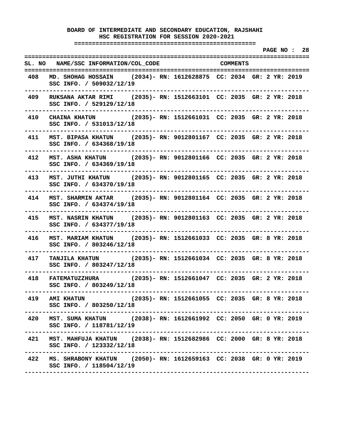**===================================================** 

 **PAGE NO : 28 ================================================================================ SL. NO NAME/SSC INFORMATION/COL\_CODE COMMENTS ================================================================================ 408 MD. SHOHAG HOSSAIN (2034)- RN: 1612628875 CC: 2034 GR: 2 YR: 2019 SSC INFO. / 509032/12/19 -------------------------------------------------------------------------------- 409 RUKSANA AKTAR RIMI (2035)- RN: 1512663101 CC: 2035 GR: 2 YR: 2018 SSC INFO. / 529129/12/18 -------------------------------------------------------------------------------- 410 CHAINA KHATUN (2035)- RN: 1512661031 CC: 2035 GR: 2 YR: 2018 SSC INFO. / 531013/12/18 -------------------------------------------------------------------------------- 411 MST. BIPASA KHATUN (2035)- RN: 9012801167 CC: 2035 GR: 2 YR: 2018 SSC INFO. / 634368/19/18 -------------------------------------------------------------------------------- 412 MST. ASHA KHATUN (2035)- RN: 9012801166 CC: 2035 GR: 2 YR: 2018 SSC INFO. / 634369/19/18 -------------------------------------------------------------------------------- 413 MST. JUTHI KHATUN (2035)- RN: 9012801165 CC: 2035 GR: 2 YR: 2018 SSC INFO. / 634370/19/18 -------------------------------------------------------------------------------- 414 MST. SHARMIN AKTAR (2035)- RN: 9012801164 CC: 2035 GR: 2 YR: 2018 SSC INFO. / 634374/19/18 -------------------------------------------------------------------------------- 415 MST. NASRIN KHATUN (2035)- RN: 9012801163 CC: 2035 GR: 2 YR: 2018 SSC INFO. / 634377/19/18 -------------------------------------------------------------------------------- 416 MST. MARIAM KHATUN (2035)- RN: 1512661033 CC: 2035 GR: 8 YR: 2018 SSC INFO. / 803246/12/18 -------------------------------------------------------------------------------- 417 TANJILA KHATUN (2035)- RN: 1512661034 CC: 2035 GR: 8 YR: 2018 SSC INFO. / 803247/12/18 -------------------------------------------------------------------------------- 418 FATEMATUZZHURA (2035)- RN: 1512661047 CC: 2035 GR: 2 YR: 2018 SSC INFO. / 803249/12/18 -------------------------------------------------------------------------------- 419 AMI KHATUN (2035)- RN: 1512661055 CC: 2035 GR: 8 YR: 2018 SSC INFO. / 803250/12/18 -------------------------------------------------------------------------------- 420 MST. SUMA KHATUN (2038)- RN: 1612661992 CC: 2050 GR: 0 YR: 2019 SSC INFO. / 118781/12/19 -------------------------------------------------------------------------------- 421 MST. MAHFUJA KHATUN (2038)- RN: 1512682986 CC: 2000 GR: 8 YR: 2018 SSC INFO. / 123332/12/18 -------------------------------------------------------------------------------- 422 MS. SHRABONY KHATUN (2050)- RN: 1612659163 CC: 2038 GR: 0 YR: 2019 SSC INFO. / 118504/12/19 --------------------------------------------------------------------------------**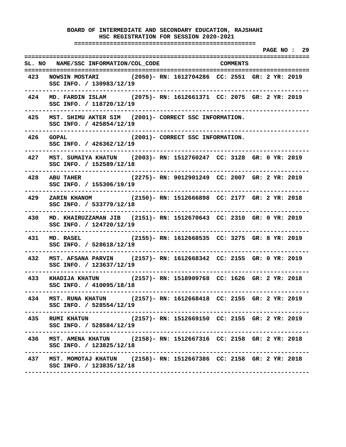**===================================================** 

 **PAGE NO : 29 ================================================================================ SL. NO NAME/SSC INFORMATION/COL\_CODE COMMENTS ================================================================================ 423 NOWSIN MOSTARI (2050)- RN: 1612704286 CC: 2551 GR: 2 YR: 2019 SSC INFO. / 130983/12/19 -------------------------------------------------------------------------------- 424 MD. FARDIN ISLAM (2075)- RN: 1612661371 CC: 2075 GR: 2 YR: 2019 SSC INFO. / 118720/12/19 -------------------------------------------------------------------------------- 425 MST. SHIMU AKTER SIM (2001)- CORRECT SSC INFORMATION. SSC INFO. / 425854/12/19 -------------------------------------------------------------------------------- 426 GOPAL (2001)- CORRECT SSC INFORMATION. SSC INFO. / 426362/12/19 -------------------------------------------------------------------------------- 427 MST. SUMAIYA KHATUN (2003)- RN: 1512760247 CC: 3128 GR: 0 YR: 2019 SSC INFO. / 152589/12/18 -------------------------------------------------------------------------------- 428 ABU TAHER (2275)- RN: 9012901249 CC: 2007 GR: 2 YR: 2019 SSC INFO. / 155306/19/19 -------------------------------------------------------------------------------- 429 ZARIN KHANOM (2150)- RN: 1512666898 CC: 2177 GR: 2 YR: 2018 SSC INFO. / 533779/12/18 -------------------------------------------------------------------------------- 430 MD. KHAIRUZZAMAN JIB (2151)- RN: 1512670643 CC: 2310 GR: 0 YR: 2019 SSC INFO. / 124720/12/19 -------------------------------------------------------------------------------- 431 MD. RASEL (2155)- RN: 1612668535 CC: 3275 GR: 8 YR: 2019 SSC INFO. / 528618/12/19 -------------------------------------------------------------------------------- 432 MST. AFSANA PARVIN (2157)- RN: 1612668342 CC: 2155 GR: 0 YR: 2019 SSC INFO. / 123637/12/19 -------------------------------------------------------------------------------- 433 KHADIJA KHATUN (2157)- RN: 1518909768 CC: 1626 GR: 2 YR: 2018 SSC INFO. / 410095/18/18 -------------------------------------------------------------------------------- 434 MST. RUNA KHATUN (2157)- RN: 1612668418 CC: 2155 GR: 2 YR: 2019 SSC INFO. / 528554/12/19 -------------------------------------------------------------------------------- 435 RUMI KHATUN (2157)- RN: 1512669150 CC: 2155 GR: 2 YR: 2019 SSC INFO. / 528584/12/19 -------------------------------------------------------------------------------- 436 MST. AMENA KHATUN (2158)- RN: 1512667316 CC: 2158 GR: 2 YR: 2018 SSC INFO. / 123825/12/18 -------------------------------------------------------------------------------- 437 MST. MOMOTAJ KHATUN (2158)- RN: 1512667386 CC: 2158 GR: 2 YR: 2018 SSC INFO. / 123835/12/18 --------------------------------------------------------------------------------**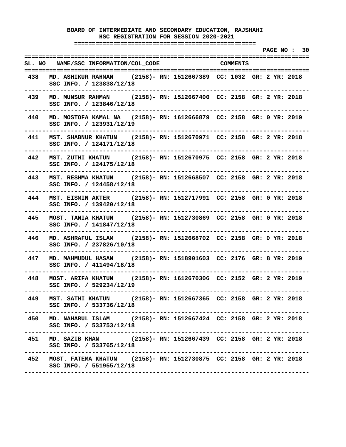**===================================================** 

 **PAGE NO : 30 ================================================================================ SL. NO NAME/SSC INFORMATION/COL\_CODE COMMENTS ================================================================================ 438 MD. ASHIKUR RAHMAN (2158)- RN: 1512667389 CC: 1032 GR: 2 YR: 2018 SSC INFO. / 123838/12/18 -------------------------------------------------------------------------------- 439 MD. MUNSUR RAHMAN (2158)- RN: 1512667400 CC: 2158 GR: 2 YR: 2018 SSC INFO. / 123846/12/18 -------------------------------------------------------------------------------- 440 MD. MOSTOFA KAMAL NA (2158)- RN: 1612666879 CC: 2158 GR: 0 YR: 2019 SSC INFO. / 123931/12/19 -------------------------------------------------------------------------------- 441 MST. SHABNUR KHATUN (2158)- RN: 1512670971 CC: 2158 GR: 2 YR: 2018 SSC INFO. / 124171/12/18 -------------------------------------------------------------------------------- 442 MST. ZUTHI KHATUN (2158)- RN: 1512670975 CC: 2158 GR: 2 YR: 2018 SSC INFO. / 124175/12/18 -------------------------------------------------------------------------------- 443 MST. RESHMA KHATUN (2158)- RN: 1512668507 CC: 2158 GR: 2 YR: 2018 SSC INFO. / 124458/12/18 -------------------------------------------------------------------------------- 444 MST. EISMIN AKTER (2158)- RN: 1512717991 CC: 2158 GR: 0 YR: 2018 SSC INFO. / 139420/12/18 -------------------------------------------------------------------------------- 445 MOST. TANIA KHATUN (2158)- RN: 1512730869 CC: 2158 GR: 0 YR: 2018 SSC INFO. / 141847/12/18 -------------------------------------------------------------------------------- 446 MD. ASHRAFUL ISLAM (2158)- RN: 1512668702 CC: 2158 GR: 0 YR: 2018 SSC INFO. / 237826/10/18 -------------------------------------------------------------------------------- 447 MD. MAHMUDUL HASAN (2158)- RN: 1518901603 CC: 2176 GR: 8 YR: 2019 SSC INFO. / 411494/18/18 -------------------------------------------------------------------------------- 448 MOST. ARIFA KHATUN (2158)- RN: 1612670306 CC: 2152 GR: 2 YR: 2019 SSC INFO. / 529234/12/19 -------------------------------------------------------------------------------- 449 MST. SATHI KHATUN (2158)- RN: 1512667365 CC: 2158 GR: 2 YR: 2018 SSC INFO. / 533736/12/18 -------------------------------------------------------------------------------- 450 MD. NAHARUL ISLAM (2158)- RN: 1512667424 CC: 2158 GR: 2 YR: 2018 SSC INFO. / 533753/12/18 -------------------------------------------------------------------------------- 451 MD. SAZIB KHAN (2158)- RN: 1512667439 CC: 2158 GR: 2 YR: 2018 SSC INFO. / 533765/12/18 -------------------------------------------------------------------------------- 452 MOST. FATEMA KHATUN (2158)- RN: 1512730875 CC: 2158 GR: 2 YR: 2018 SSC INFO. / 551955/12/18 --------------------------------------------------------------------------------**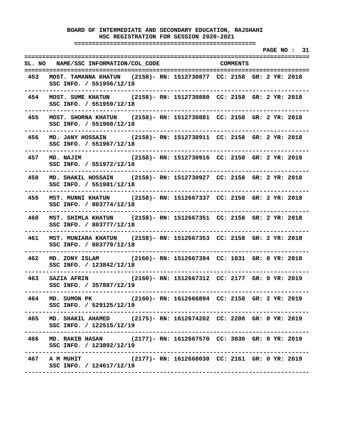**===================================================** 

 **PAGE NO : 31 ================================================================================ SL. NO NAME/SSC INFORMATION/COL\_CODE COMMENTS ================================================================================ 453 MOST. TAMANNA KHATUN (2158)- RN: 1512730877 CC: 2158 GR: 2 YR: 2018 SSC INFO. / 551956/12/18 -------------------------------------------------------------------------------- 454 MOST. SUME KHATUN (2158)- RN: 1512730880 CC: 2158 GR: 2 YR: 2018 SSC INFO. / 551959/12/18 -------------------------------------------------------------------------------- 455 MOST. SHORNA KHATUN (2158)- RN: 1512730881 CC: 2158 GR: 2 YR: 2018 SSC INFO. / 551960/12/18 -------------------------------------------------------------------------------- 456 MD. JANY HOSSAIN (2158)- RN: 1512730911 CC: 2158 GR: 2 YR: 2018 SSC INFO. / 551967/12/18 -------------------------------------------------------------------------------- 457 MD. NAJIM (2158)- RN: 1512730916 CC: 2158 GR: 2 YR: 2018 SSC INFO. / 551972/12/18 -------------------------------------------------------------------------------- 458 MD. SHAKIL HOSSAIN (2158)- RN: 1512730927 CC: 2158 GR: 2 YR: 2018 SSC INFO. / 551981/12/18 -------------------------------------------------------------------------------- 459 MST. MUNNI KHATUN (2158)- RN: 1512667337 CC: 2158 GR: 2 YR: 2018 SSC INFO. / 803774/12/18 -------------------------------------------------------------------------------- 460 MST. SHIMLA KHATUN (2158)- RN: 1512667351 CC: 2158 GR: 2 YR: 2018 SSC INFO. / 803777/12/18 -------------------------------------------------------------------------------- 461 MST. MUNIARA KHATUN (2158)- RN: 1512667353 CC: 2158 GR: 2 YR: 2018 SSC INFO. / 803779/12/18 -------------------------------------------------------------------------------- 462 MD. ZONY ISLAM (2160)- RN: 1512667394 CC: 1031 GR: 0 YR: 2018 SSC INFO. / 123842/12/18 -------------------------------------------------------------------------------- 463 SAZIA AFRIN (2160)- RN: 1512667312 CC: 2177 GR: 0 YR: 2019 SSC INFO. / 357887/12/19 -------------------------------------------------------------------------------- 464 MD. SUMON PK (2160)- RN: 1612666894 CC: 2158 GR: 2 YR: 2019 SSC INFO. / 529125/12/19 -------------------------------------------------------------------------------- 465 MD. SHAKIL AHAMED (2175)- RN: 1612674202 CC: 2200 GR: 0 YR: 2019 SSC INFO. / 122515/12/19 -------------------------------------------------------------------------------- 466 MD. RAKIB HASAN (2177)- RN: 1612667570 CC: 3030 GR: 0 YR: 2019 SSC INFO. / 123892/12/19 -------------------------------------------------------------------------------- 467 A M MUHIT (2177)- RN: 1612668030 CC: 2161 GR: 0 YR: 2019 SSC INFO. / 124617/12/19 --------------------------------------------------------------------------------**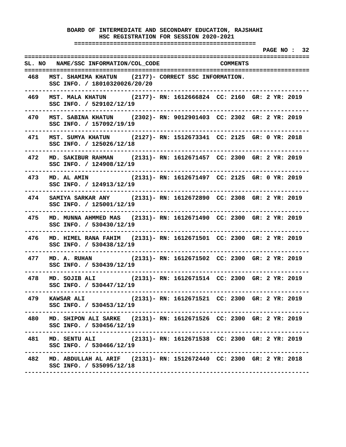**===================================================** 

 **PAGE NO : 32 ================================================================================ SL. NO NAME/SSC INFORMATION/COL\_CODE COMMENTS ================================================================================ 468 MST. SHAMIMA KHATUN (2177)- CORRECT SSC INFORMATION. SSC INFO. / 18010320026/20/20 -------------------------------------------------------------------------------- 469 MST. MALA KHATUN (2177)- RN: 1612666824 CC: 2160 GR: 2 YR: 2019 SSC INFO. / 529102/12/19 -------------------------------------------------------------------------------- 470 MST. SABINA KHATUN (2302)- RN: 9012901403 CC: 2302 GR: 2 YR: 2019 SSC INFO. / 157092/19/19 -------------------------------------------------------------------------------- 471 MST. SUMYA KHATUN (2127)- RN: 1512673341 CC: 2125 GR: 0 YR: 2018 SSC INFO. / 125026/12/18 -------------------------------------------------------------------------------- 472 MD. SAKIBUR RAHMAN (2131)- RN: 1612671457 CC: 2300 GR: 2 YR: 2019 SSC INFO. / 124908/12/19 -------------------------------------------------------------------------------- 473 MD. AL AMIN (2131)- RN: 1612671497 CC: 2125 GR: 0 YR: 2019 SSC INFO. / 124913/12/19 -------------------------------------------------------------------------------- 474 SAMIYA SARKAR ANY (2131)- RN: 1612672890 CC: 2308 GR: 2 YR: 2019 SSC INFO. / 125001/12/19 -------------------------------------------------------------------------------- 475 MD. MUNNA AHMMED MAS (2131)- RN: 1612671490 CC: 2300 GR: 2 YR: 2019 SSC INFO. / 530430/12/19 -------------------------------------------------------------------------------- 476 MD. HIMEL RANA FAHIM (2131)- RN: 1612671501 CC: 2300 GR: 2 YR: 2019 SSC INFO. / 530438/12/19 -------------------------------------------------------------------------------- 477 MD. A. RUHAN (2131)- RN: 1612671502 CC: 2300 GR: 2 YR: 2019 SSC INFO. / 530439/12/19 -------------------------------------------------------------------------------- 478 MD. SOJIB ALI (2131)- RN: 1612671514 CC: 2300 GR: 2 YR: 2019 SSC INFO. / 530447/12/19 -------------------------------------------------------------------------------- 479 KAWSAR ALI (2131)- RN: 1612671521 CC: 2300 GR: 2 YR: 2019 SSC INFO. / 530453/12/19 -------------------------------------------------------------------------------- 480 MD. SHIPON ALI SARKE (2131)- RN: 1612671526 CC: 2300 GR: 2 YR: 2019 SSC INFO. / 530456/12/19 -------------------------------------------------------------------------------- 481 MD. SENTU ALI (2131)- RN: 1612671538 CC: 2300 GR: 2 YR: 2019 SSC INFO. / 530466/12/19 -------------------------------------------------------------------------------- 482 MD. ABDULLAH AL ARIF (2131)- RN: 1512672440 CC: 2300 GR: 2 YR: 2018 SSC INFO. / 535095/12/18 --------------------------------------------------------------------------------**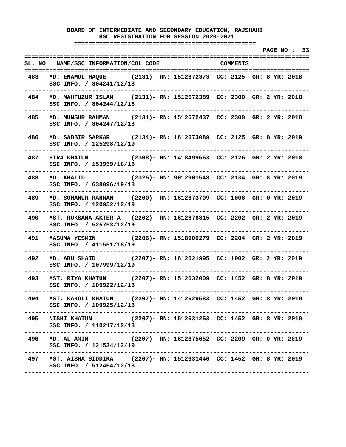**===================================================** 

 **PAGE NO : 33 ================================================================================ SL. NO NAME/SSC INFORMATION/COL\_CODE COMMENTS ================================================================================ 483 MD. ENAMUL HAQUE (2131)- RN: 1512672373 CC: 2125 GR: 8 YR: 2018 SSC INFO. / 804241/12/18 -------------------------------------------------------------------------------- 484 MD. MAHFUZUR ISLAM (2131)- RN: 1512672389 CC: 2300 GR: 2 YR: 2018 SSC INFO. / 804244/12/18 -------------------------------------------------------------------------------- 485 MD. MUNSUR RAHMAN (2131)- RN: 1512672437 CC: 2300 GR: 2 YR: 2018 SSC INFO. / 804247/12/18 -------------------------------------------------------------------------------- 486 MD. SABBIR SARKAR (2134)- RN: 1612673089 CC: 2125 GR: 8 YR: 2019 SSC INFO. / 125298/12/19 -------------------------------------------------------------------------------- 487 HIRA KHATUN (2308)- RN: 1418499663 CC: 2126 GR: 2 YR: 2018 SSC INFO. / 153959/18/18 -------------------------------------------------------------------------------- 488 MD. KHALID (2325)- RN: 9012901548 CC: 2134 GR: 8 YR: 2019 SSC INFO. / 638096/19/18 -------------------------------------------------------------------------------- 489 MD. SOHANUR RAHMAN (2200)- RN: 1612673709 CC: 1006 GR: 0 YR: 2019 SSC INFO. / 120952/12/19 -------------------------------------------------------------------------------- 490 MST. RUKSANA AKTER A (2202)- RN: 1612676815 CC: 2202 GR: 2 YR: 2019 SSC INFO. / 525753/12/19 -------------------------------------------------------------------------------- 491 MASUMA YESMIN (2206)- RN: 1518900279 CC: 2204 GR: 2 YR: 2019 SSC INFO. / 411551/18/19 -------------------------------------------------------------------------------- 492 MD. ABU SHAID (2207)- RN: 1612621995 CC: 1002 GR: 2 YR: 2019 SSC INFO. / 107999/12/19 -------------------------------------------------------------------------------- 493 MST. RIYA KHATUN (2207)- RN: 1512632009 CC: 1452 GR: 8 YR: 2019 SSC INFO. / 109922/12/18 -------------------------------------------------------------------------------- 494 MST. KAKOLI KHATUN (2207)- RN: 1412629583 CC: 1452 GR: 8 YR: 2019 SSC INFO. / 109925/12/18 -------------------------------------------------------------------------------- 495 NISHI KHATUN (2207)- RN: 1512631253 CC: 1452 GR: 8 YR: 2019 SSC INFO. / 110217/12/18 -------------------------------------------------------------------------------- 496 MD. AL-AMIN (2207)- RN: 1612675652 CC: 2209 GR: 0 YR: 2019 SSC INFO. / 121534/12/19 -------------------------------------------------------------------------------- 497 MST. AISHA SIDDIKA (2207)- RN: 1512631446 CC: 1452 GR: 8 YR: 2019 SSC INFO. / 512464/12/18 --------------------------------------------------------------------------------**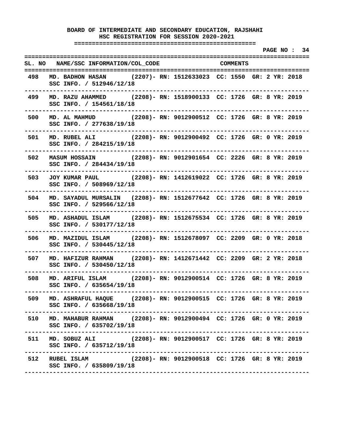**===================================================** 

 **PAGE NO : 34 ================================================================================ SL. NO NAME/SSC INFORMATION/COL\_CODE COMMENTS ================================================================================ 498 MD. BADHON HASAN (2207)- RN: 1512633023 CC: 1550 GR: 2 YR: 2018 SSC INFO. / 512946/12/18 -------------------------------------------------------------------------------- 499 MD. RAZU AHAMMED (2208)- RN: 1518900133 CC: 1726 GR: 8 YR: 2019 SSC INFO. / 154561/18/18 -------------------------------------------------------------------------------- 500 MD. AL MAHMUD (2208)- RN: 9012900512 CC: 1726 GR: 8 YR: 2019 SSC INFO. / 277638/19/18 -------------------------------------------------------------------------------- 501 MD. RUBEL ALI (2208)- RN: 9012900492 CC: 1726 GR: 0 YR: 2019 SSC INFO. / 284215/19/18 -------------------------------------------------------------------------------- 502 MASUM HOSSAIN (2208)- RN: 9012901654 CC: 2226 GR: 8 YR: 2019 SSC INFO. / 284434/19/18 -------------------------------------------------------------------------------- 503 JOY KUMAR PAUL (2208)- RN: 1412619022 CC: 1726 GR: 8 YR: 2019 SSC INFO. / 508969/12/18 -------------------------------------------------------------------------------- 504 MD. SAYADUL MURSALIN (2208)- RN: 1512677642 CC: 1726 GR: 8 YR: 2019 SSC INFO. / 529566/12/18 -------------------------------------------------------------------------------- 505 MD. ASHADUL ISLAM (2208)- RN: 1512675534 CC: 1726 GR: 8 YR: 2019 SSC INFO. / 530177/12/18 -------------------------------------------------------------------------------- 506 MD. MAZIDUL ISLAM (2208)- RN: 1512678097 CC: 2209 GR: 0 YR: 2018 SSC INFO. / 530445/12/18 -------------------------------------------------------------------------------- 507 MD. HAFIZUR RAHMAN (2208)- RN: 1412671442 CC: 2209 GR: 2 YR: 2018 SSC INFO. / 530450/12/18 -------------------------------------------------------------------------------- 508 MD. ARIFUL ISLAM (2208)- RN: 9012900514 CC: 1726 GR: 8 YR: 2019 SSC INFO. / 635654/19/18 -------------------------------------------------------------------------------- 509 MD. ASHRAFUL HAQUE (2208)- RN: 9012900515 CC: 1726 GR: 8 YR: 2019 SSC INFO. / 635668/19/18 -------------------------------------------------------------------------------- 510 MD. MAHABUR RAHMAN (2208)- RN: 9012900494 CC: 1726 GR: 0 YR: 2019 SSC INFO. / 635702/19/18 -------------------------------------------------------------------------------- 511 MD. SOBUZ ALI (2208)- RN: 9012900517 CC: 1726 GR: 8 YR: 2019 SSC INFO. / 635712/19/18 -------------------------------------------------------------------------------- 512 RUBEL ISLAM (2208)- RN: 9012900518 CC: 1726 GR: 8 YR: 2019 SSC INFO. / 635809/19/18 --------------------------------------------------------------------------------**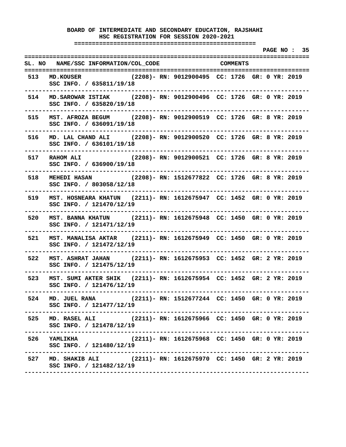**===================================================** 

 **PAGE NO : 35 ================================================================================ SL. NO NAME/SSC INFORMATION/COL\_CODE COMMENTS ================================================================================ 513 MD.KOUSER (2208)- RN: 9012900495 CC: 1726 GR: 0 YR: 2019 SSC INFO. / 635811/19/18 -------------------------------------------------------------------------------- 514 MD.SAROWAR ISTIAK (2208)- RN: 9012900496 CC: 1726 GR: 0 YR: 2019 SSC INFO. / 635820/19/18 -------------------------------------------------------------------------------- 515 MST. AFROZA BEGUM (2208)- RN: 9012900519 CC: 1726 GR: 8 YR: 2019 SSC INFO. / 636091/19/18 -------------------------------------------------------------------------------- 516 MD. LAL CHAND ALI (2208)- RN: 9012900520 CC: 1726 GR: 8 YR: 2019 SSC INFO. / 636101/19/18 -------------------------------------------------------------------------------- 517 RAHOM ALI (2208)- RN: 9012900521 CC: 1726 GR: 8 YR: 2019 SSC INFO. / 636900/19/18 -------------------------------------------------------------------------------- 518 MEHEDI HASAN (2208)- RN: 1512677822 CC: 1726 GR: 8 YR: 2019 SSC INFO. / 803058/12/18 -------------------------------------------------------------------------------- 519 MST. HOSNEARA KHATUN (2211)- RN: 1612675947 CC: 1452 GR: 0 YR: 2019 SSC INFO. / 121470/12/19 -------------------------------------------------------------------------------- 520 MST. BANNA KHATUN (2211)- RN: 1612675948 CC: 1450 GR: 0 YR: 2019 SSC INFO. / 121471/12/19 -------------------------------------------------------------------------------- 521 MST. MANALISA AKTAR (2211)- RN: 1612675949 CC: 1450 GR: 0 YR: 2019 SSC INFO. / 121472/12/19 -------------------------------------------------------------------------------- 522 MST. ASHRAT JAHAN (2211)- RN: 1612675953 CC: 1452 GR: 2 YR: 2019 SSC INFO. / 121475/12/19 -------------------------------------------------------------------------------- 523 MST. SUMI AKTER SHIK (2211)- RN: 1612675954 CC: 1452 GR: 2 YR: 2019 SSC INFO. / 121476/12/19 -------------------------------------------------------------------------------- 524 MD. JUEL RANA (2211)- RN: 1512677244 CC: 1450 GR: 0 YR: 2019 SSC INFO. / 121477/12/19 -------------------------------------------------------------------------------- 525 MD. RASEL ALI (2211)- RN: 1612675966 CC: 1450 GR: 0 YR: 2019 SSC INFO. / 121478/12/19 -------------------------------------------------------------------------------- 526 YAMLIKHA (2211)- RN: 1612675968 CC: 1450 GR: 0 YR: 2019 SSC INFO. / 121480/12/19 -------------------------------------------------------------------------------- 527 MD. SHAKIB ALI (2211)- RN: 1612675970 CC: 1450 GR: 2 YR: 2019 SSC INFO. / 121482/12/19 --------------------------------------------------------------------------------**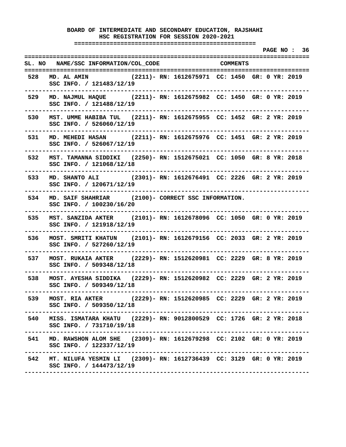**===================================================** 

 **PAGE NO : 36 ================================================================================ SL. NO NAME/SSC INFORMATION/COL\_CODE COMMENTS ================================================================================ 528 MD. AL AMIN (2211)- RN: 1612675971 CC: 1450 GR: 0 YR: 2019 SSC INFO. / 121483/12/19 -------------------------------------------------------------------------------- 529 MD. NAJMUL HAQUE (2211)- RN: 1612675982 CC: 1450 GR: 0 YR: 2019 SSC INFO. / 121488/12/19 -------------------------------------------------------------------------------- 530 MST. UMME HABIBA TUL (2211)- RN: 1612675955 CC: 1452 GR: 2 YR: 2019 SSC INFO. / 526060/12/19 -------------------------------------------------------------------------------- 531 MD. MEHEDI HASAN (2211)- RN: 1612675976 CC: 1451 GR: 2 YR: 2019 SSC INFO. / 526067/12/19 -------------------------------------------------------------------------------- 532 MST. TAMANNA SIDDIKI (2250)- RN: 1512675021 CC: 1050 GR: 8 YR: 2018 SSC INFO. / 121068/12/18 -------------------------------------------------------------------------------- 533 MD. SHANTO ALI (2301)- RN: 1612676491 CC: 2226 GR: 2 YR: 2019 SSC INFO. / 120671/12/19 -------------------------------------------------------------------------------- 534 MD. SAIF SHAHRIAR (2100)- CORRECT SSC INFORMATION. SSC INFO. / 100230/16/20 -------------------------------------------------------------------------------- 535 MST. SANZIDA AKTER (2101)- RN: 1612678096 CC: 1050 GR: 0 YR: 2019 SSC INFO. / 121918/12/19 -------------------------------------------------------------------------------- 536 MOST. SMRITI KHATUN (2101)- RN: 1612679156 CC: 2033 GR: 2 YR: 2019 SSC INFO. / 527260/12/19 -------------------------------------------------------------------------------- 537 MOST. RUKAIA AKTER (2229)- RN: 1512620981 CC: 2229 GR: 8 YR: 2019 SSC INFO. / 509348/12/18 -------------------------------------------------------------------------------- 538 MOST. AYESHA SIDDIKA (2229)- RN: 1512620982 CC: 2229 GR: 2 YR: 2019 SSC INFO. / 509349/12/18 -------------------------------------------------------------------------------- 539 MOST. RIA AKTER (2229)- RN: 1512620985 CC: 2229 GR: 2 YR: 2019 SSC INFO. / 509350/12/18 -------------------------------------------------------------------------------- 540 MISS. ISMATARA KHATU (2229)- RN: 9012800529 CC: 1726 GR: 2 YR: 2018 SSC INFO. / 731710/19/18 -------------------------------------------------------------------------------- 541 MD. RAWSHON ALOM SHE (2309)- RN: 1612679298 CC: 2102 GR: 0 YR: 2019 SSC INFO. / 122337/12/19 -------------------------------------------------------------------------------- 542 MT. NILUFA YESMIN LI (2309)- RN: 1612736439 CC: 3129 GR: 0 YR: 2019 SSC INFO. / 144473/12/19 --------------------------------------------------------------------------------**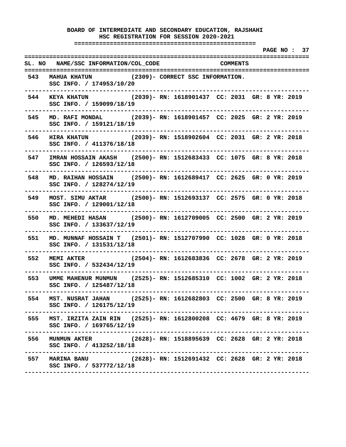**===================================================** 

 **PAGE NO : 37 ================================================================================ SL. NO NAME/SSC INFORMATION/COL\_CODE COMMENTS ================================================================================ 543 MAHUA KHATUN (2309)- CORRECT SSC INFORMATION. SSC INFO. / 174953/10/20 -------------------------------------------------------------------------------- 544 KEYA KHATUN (2039)- RN: 1618901437 CC: 2031 GR: 8 YR: 2019 SSC INFO. / 159099/18/19 -------------------------------------------------------------------------------- 545 MD. RAFI MONDAL (2039)- RN: 1618901457 CC: 2025 GR: 2 YR: 2019 SSC INFO. / 159121/18/19 -------------------------------------------------------------------------------- 546 HIRA KHATUN (2039)- RN: 1518902604 CC: 2031 GR: 2 YR: 2018 SSC INFO. / 411376/18/18 -------------------------------------------------------------------------------- 547 IMRAN HOSSAIN AKASH (2500)- RN: 1512683433 CC: 1075 GR: 8 YR: 2018 SSC INFO. / 126593/12/18 -------------------------------------------------------------------------------- 548 MD. RAIHAN HOSSAIN (2500)- RN: 1612689417 CC: 2625 GR: 0 YR: 2019 SSC INFO. / 128274/12/19 -------------------------------------------------------------------------------- 549 MOST. SIMU AKTAR (2500)- RN: 1512693137 CC: 2575 GR: 0 YR: 2018 SSC INFO. / 129001/12/18 -------------------------------------------------------------------------------- 550 MD. MEHEDI HASAN (2500)- RN: 1612709005 CC: 2500 GR: 2 YR: 2019 SSC INFO. / 133637/12/19 -------------------------------------------------------------------------------- 551 MD. MUNNAF HOSSAIN T (2501)- RN: 1512707990 CC: 1028 GR: 0 YR: 2018 SSC INFO. / 131531/12/18 -------------------------------------------------------------------------------- 552 MEMI AKTER (2504)- RN: 1612683836 CC: 2678 GR: 2 YR: 2019 SSC INFO. / 532434/12/19 -------------------------------------------------------------------------------- 553 UMME MAHENUR MUNMUN (2525)- RN: 1512685310 CC: 1002 GR: 2 YR: 2018 SSC INFO. / 125487/12/18 -------------------------------------------------------------------------------- 554 MST. NUSRAT JAHAN (2525)- RN: 1612682803 CC: 2500 GR: 8 YR: 2019 SSC INFO. / 126175/12/19 -------------------------------------------------------------------------------- 555 MST. IRZITA ZAIN RIN (2525)- RN: 1612800208 CC: 4679 GR: 8 YR: 2019 SSC INFO. / 169765/12/19 -------------------------------------------------------------------------------- 556 MUNMUN AKTER (2628)- RN: 1518895639 CC: 2628 GR: 2 YR: 2018 SSC INFO. / 413252/18/18 -------------------------------------------------------------------------------- 557 MARINA BANU (2628)- RN: 1512691432 CC: 2628 GR: 2 YR: 2018 SSC INFO. / 537772/12/18 --------------------------------------------------------------------------------**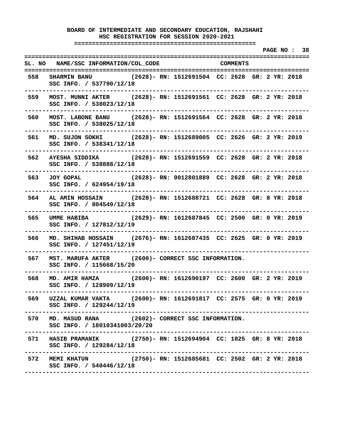**===================================================** 

 **PAGE NO : 38 ================================================================================ SL. NO NAME/SSC INFORMATION/COL\_CODE COMMENTS ================================================================================ 558 SHARMIN BANU (2628)- RN: 1512691504 CC: 2628 GR: 2 YR: 2018 SSC INFO. / 537790/12/18 -------------------------------------------------------------------------------- 559 MOST. MUNNI AKTER (2628)- RN: 1512691561 CC: 2628 GR: 2 YR: 2018 SSC INFO. / 538023/12/18 -------------------------------------------------------------------------------- 560 MOST. LABONE BANU (2628)- RN: 1512691564 CC: 2628 GR: 2 YR: 2018 SSC INFO. / 538025/12/18 -------------------------------------------------------------------------------- 561 MD. SUJON SOKHI (2628)- RN: 1512689005 CC: 2626 GR: 2 YR: 2019 SSC INFO. / 538341/12/18 -------------------------------------------------------------------------------- 562 AYESHA SIDDIKA (2628)- RN: 1512691559 CC: 2628 GR: 2 YR: 2018 SSC INFO. / 538888/12/18 -------------------------------------------------------------------------------- 563 JOY GOPAL (2628)- RN: 9012801889 CC: 2628 GR: 2 YR: 2018 SSC INFO. / 624954/19/18 -------------------------------------------------------------------------------- 564 AL AMIN HOSSAIN (2628)- RN: 1512688721 CC: 2628 GR: 8 YR: 2018 SSC INFO. / 804549/12/18 -------------------------------------------------------------------------------- 565 UMME HABIBA (2629)- RN: 1612687845 CC: 2500 GR: 0 YR: 2019 SSC INFO. / 127812/12/19 -------------------------------------------------------------------------------- 566 MD. SHIHAB HOSSAIN (2676)- RN: 1612687435 CC: 2625 GR: 0 YR: 2019 SSC INFO. / 127451/12/19 -------------------------------------------------------------------------------- 567 MST. MARUFA AKTER (2600)- CORRECT SSC INFORMATION. SSC INFO. / 115668/15/20 -------------------------------------------------------------------------------- 568 MD. AMIR HAMZA (2600)- RN: 1612690197 CC: 2600 GR: 2 YR: 2019 SSC INFO. / 128909/12/19 -------------------------------------------------------------------------------- 569 UZZAL KUMAR VAKTA (2600)- RN: 1612691817 CC: 2575 GR: 0 YR: 2019 SSC INFO. / 129244/12/19 -------------------------------------------------------------------------------- 570 MD. MASUD RANA (2602)- CORRECT SSC INFORMATION. SSC INFO. / 18010341003/20/20 -------------------------------------------------------------------------------- 571 HASIB PRAMANIK (2750)- RN: 1512694904 CC: 1025 GR: 8 YR: 2018 SSC INFO. / 129284/12/18 -------------------------------------------------------------------------------- 572 MEMI KHATUN (2750)- RN: 1512685681 CC: 2502 GR: 2 YR: 2018 SSC INFO. / 540446/12/18 --------------------------------------------------------------------------------**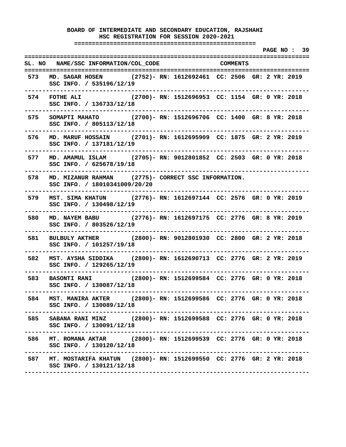**===================================================** 

 **PAGE NO : 39 ================================================================================ SL. NO NAME/SSC INFORMATION/COL\_CODE COMMENTS ================================================================================ 573 MD. SAGAR HOSEN (2752)- RN: 1612692461 CC: 2506 GR: 2 YR: 2019 SSC INFO. / 535196/12/19 -------------------------------------------------------------------------------- 574 FOTHE ALI (2700)- RN: 1512696953 CC: 1154 GR: 0 YR: 2018 SSC INFO. / 136733/12/18 -------------------------------------------------------------------------------- 575 SOMAPTI MAHATO (2700)- RN: 1512696706 CC: 1400 GR: 8 YR: 2018 SSC INFO. / 805113/12/18 -------------------------------------------------------------------------------- 576 MD. MARUF HOSSAIN (2701)- RN: 1612695909 CC: 1875 GR: 2 YR: 2019 SSC INFO. / 137181/12/19 -------------------------------------------------------------------------------- 577 MD. AMAMUL ISLAM (2705)- RN: 9012801852 CC: 2503 GR: 0 YR: 2018 SSC INFO. / 625678/19/18 -------------------------------------------------------------------------------- 578 MD. MIZANUR RAHMAN (2775)- CORRECT SSC INFORMATION. SSC INFO. / 18010341009/20/20 -------------------------------------------------------------------------------- 579 MST. SIMA KHATUN (2776)- RN: 1612697144 CC: 2576 GR: 0 YR: 2019 SSC INFO. / 130498/12/19 -------------------------------------------------------------------------------- 580 MD. NAYEM BABU (2776)- RN: 1612697175 CC: 2776 GR: 8 YR: 2019 SSC INFO. / 803526/12/19 -------------------------------------------------------------------------------- 581 BULBULY AKTHER (2800)- RN: 9012801930 CC: 2800 GR: 2 YR: 2018 SSC INFO. / 101257/19/18 -------------------------------------------------------------------------------- 582 MST. AYSHA SIDDIKA (2800)- RN: 1612690713 CC: 2776 GR: 2 YR: 2019 SSC INFO. / 129265/12/19 -------------------------------------------------------------------------------- 583 BASONTI RANI (2800)- RN: 1512699584 CC: 2776 GR: 0 YR: 2018 SSC INFO. / 130087/12/18 -------------------------------------------------------------------------------- 584 MST. MANIRA AKTER (2800)- RN: 1512699586 CC: 2776 GR: 0 YR: 2018 SSC INFO. / 130089/12/18 -------------------------------------------------------------------------------- 585 SABANA RANI MINZ (2800)- RN: 1512699588 CC: 2776 GR: 0 YR: 2018 SSC INFO. / 130091/12/18 -------------------------------------------------------------------------------- 586 MT. ROMANA AKTAR (2800)- RN: 1512699539 CC: 2776 GR: 0 YR: 2018 SSC INFO. / 130120/12/18 -------------------------------------------------------------------------------- 587 MT. MOSTARIFA KHATUN (2800)- RN: 1512699550 CC: 2776 GR: 2 YR: 2018 SSC INFO. / 130121/12/18 --------------------------------------------------------------------------------**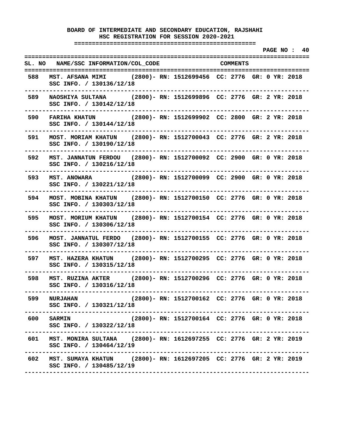**===================================================** 

 **PAGE NO : 40 ================================================================================ SL. NO NAME/SSC INFORMATION/COL\_CODE COMMENTS ================================================================================ 588 MST. AFSANA MIMI (2800)- RN: 1512699456 CC: 2776 GR: 0 YR: 2018 SSC INFO. / 130136/12/18 -------------------------------------------------------------------------------- 589 NAOSHIYA SULTANA (2800)- RN: 1512699896 CC: 2776 GR: 2 YR: 2018 SSC INFO. / 130142/12/18 -------------------------------------------------------------------------------- 590 FARIHA KHATUN (2800)- RN: 1512699902 CC: 2800 GR: 2 YR: 2018 SSC INFO. / 130144/12/18 -------------------------------------------------------------------------------- 591 MOST. MORIAM KHATUN (2800)- RN: 1512700043 CC: 2776 GR: 2 YR: 2018 SSC INFO. / 130190/12/18 -------------------------------------------------------------------------------- 592 MST. JANNATUN FERDOU (2800)- RN: 1512700092 CC: 2900 GR: 0 YR: 2018 SSC INFO. / 130216/12/18 -------------------------------------------------------------------------------- 593 MST. ANOWARA (2800)- RN: 1512700099 CC: 2900 GR: 0 YR: 2018 SSC INFO. / 130221/12/18 -------------------------------------------------------------------------------- 594 MOST. MOBINA KHATUN (2800)- RN: 1512700150 CC: 2776 GR: 0 YR: 2018 SSC INFO. / 130303/12/18 -------------------------------------------------------------------------------- 595 MOST. MORIUM KHATUN (2800)- RN: 1512700154 CC: 2776 GR: 0 YR: 2018 SSC INFO. / 130306/12/18 -------------------------------------------------------------------------------- 596 MOST. JANNATUL FERDO (2800)- RN: 1512700155 CC: 2776 GR: 0 YR: 2018 SSC INFO. / 130307/12/18 -------------------------------------------------------------------------------- 597 MST. HAZERA KHATUN (2800)- RN: 1512700295 CC: 2776 GR: 0 YR: 2018 SSC INFO. / 130315/12/18 -------------------------------------------------------------------------------- 598 MST. RUZINA AKTER (2800)- RN: 1512700296 CC: 2776 GR: 0 YR: 2018 SSC INFO. / 130316/12/18 -------------------------------------------------------------------------------- 599 NURJAHAN (2800)- RN: 1512700162 CC: 2776 GR: 0 YR: 2018 SSC INFO. / 130321/12/18 -------------------------------------------------------------------------------- 600 SARMIN (2800)- RN: 1512700164 CC: 2776 GR: 0 YR: 2018 SSC INFO. / 130322/12/18 -------------------------------------------------------------------------------- 601 MST. MONIRA SULTANA (2800)- RN: 1612697255 CC: 2776 GR: 2 YR: 2019 SSC INFO. / 130464/12/19 -------------------------------------------------------------------------------- 602 MST. SUMAYA KHATUN (2800)- RN: 1612697205 CC: 2776 GR: 2 YR: 2019 SSC INFO. / 130485/12/19 --------------------------------------------------------------------------------**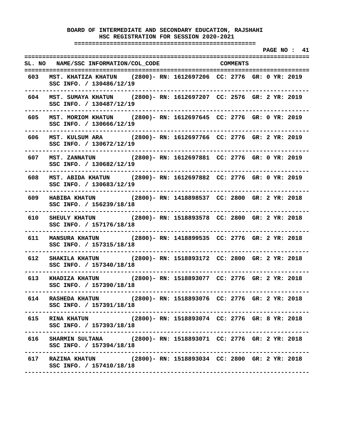**===================================================** 

 **PAGE NO : 41 ================================================================================ SL. NO NAME/SSC INFORMATION/COL\_CODE COMMENTS ================================================================================ 603 MST. KHATIZA KHATUN (2800)- RN: 1612697206 CC: 2776 GR: 0 YR: 2019 SSC INFO. / 130486/12/19 -------------------------------------------------------------------------------- 604 MST. SUMAYA KHATUN (2800)- RN: 1612697207 CC: 2576 GR: 2 YR: 2019 SSC INFO. / 130487/12/19 -------------------------------------------------------------------------------- 605 MST. MORIOM KHATUN (2800)- RN: 1612697645 CC: 2776 GR: 0 YR: 2019 SSC INFO. / 130666/12/19 -------------------------------------------------------------------------------- 606 MST. KULSUM ARA (2800)- RN: 1612697766 CC: 2776 GR: 2 YR: 2019 SSC INFO. / 130672/12/19 -------------------------------------------------------------------------------- 607 MST. ZANNATUN (2800)- RN: 1612697881 CC: 2776 GR: 0 YR: 2019 SSC INFO. / 130682/12/19 -------------------------------------------------------------------------------- 608 MST. ABIDA KHATUN (2800)- RN: 1612697882 CC: 2776 GR: 0 YR: 2019 SSC INFO. / 130683/12/19 -------------------------------------------------------------------------------- 609 HABIBA KHATUN (2800)- RN: 1418898537 CC: 2800 GR: 2 YR: 2018 SSC INFO. / 156239/18/18 -------------------------------------------------------------------------------- 610 SHEULY KHATUN (2800)- RN: 1518893578 CC: 2800 GR: 2 YR: 2018 SSC INFO. / 157176/18/18 -------------------------------------------------------------------------------- 611 MANSURA KHATUN (2800)- RN: 1418899535 CC: 2776 GR: 2 YR: 2018 SSC INFO. / 157315/18/18 -------------------------------------------------------------------------------- 612 SHAKILA KHATUN (2800)- RN: 1518893172 CC: 2800 GR: 2 YR: 2018 SSC INFO. / 157340/18/18 -------------------------------------------------------------------------------- 613 KHADIZA KHATUN (2800)- RN: 1518893077 CC: 2776 GR: 2 YR: 2018 SSC INFO. / 157390/18/18 -------------------------------------------------------------------------------- 614 RASHEDA KHATUN (2800)- RN: 1518893076 CC: 2776 GR: 2 YR: 2018 SSC INFO. / 157391/18/18 -------------------------------------------------------------------------------- 615 RINA KHATUN (2800)- RN: 1518893074 CC: 2776 GR: 8 YR: 2018 SSC INFO. / 157393/18/18 -------------------------------------------------------------------------------- 616 SHARMIN SULTANA (2800)- RN: 1518893071 CC: 2776 GR: 2 YR: 2018 SSC INFO. / 157394/18/18 -------------------------------------------------------------------------------- 617 RAZINA KHATUN (2800)- RN: 1518893034 CC: 2800 GR: 2 YR: 2018 SSC INFO. / 157410/18/18 --------------------------------------------------------------------------------**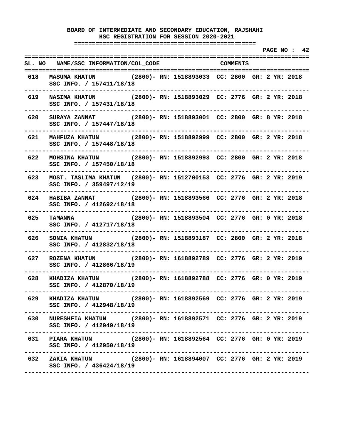**===================================================** 

 **PAGE NO : 42 ================================================================================ SL. NO NAME/SSC INFORMATION/COL\_CODE COMMENTS ================================================================================ 618 MASUMA KHATUN (2800)- RN: 1518893033 CC: 2800 GR: 2 YR: 2018 SSC INFO. / 157411/18/18 -------------------------------------------------------------------------------- 619 NASIMA KHATUN (2800)- RN: 1518893029 CC: 2776 GR: 2 YR: 2018 SSC INFO. / 157431/18/18 -------------------------------------------------------------------------------- 620 SURAYA ZANNAT (2800)- RN: 1518893001 CC: 2800 GR: 8 YR: 2018 SSC INFO. / 157447/18/18 -------------------------------------------------------------------------------- 621 MAHFUZA KHATUN (2800)- RN: 1518892999 CC: 2800 GR: 2 YR: 2018 SSC INFO. / 157448/18/18 -------------------------------------------------------------------------------- 622 MOHSINA KHATUN (2800)- RN: 1518892993 CC: 2800 GR: 2 YR: 2018 SSC INFO. / 157450/18/18 -------------------------------------------------------------------------------- 623 MOST. TASLIMA KHATUN (2800)- RN: 1512700153 CC: 2776 GR: 2 YR: 2019 SSC INFO. / 359497/12/19 -------------------------------------------------------------------------------- 624 HABIBA ZANNAT (2800)- RN: 1518893566 CC: 2776 GR: 2 YR: 2018 SSC INFO. / 412692/18/18 -------------------------------------------------------------------------------- 625 TAMANNA (2800)- RN: 1518893504 CC: 2776 GR: 0 YR: 2018 SSC INFO. / 412717/18/18 -------------------------------------------------------------------------------- 626 SONIA KHATUN (2800)- RN: 1518893187 CC: 2800 GR: 2 YR: 2018 SSC INFO. / 412832/18/18 -------------------------------------------------------------------------------- 627 ROZENA KHATUN (2800)- RN: 1618892789 CC: 2776 GR: 2 YR: 2019 SSC INFO. / 412866/18/19 -------------------------------------------------------------------------------- 628 KHADIZA KHATUN (2800)- RN: 1618892788 CC: 2776 GR: 0 YR: 2019 SSC INFO. / 412870/18/19 -------------------------------------------------------------------------------- 629 KHADIZA KHATUN (2800)- RN: 1618892569 CC: 2776 GR: 2 YR: 2019 SSC INFO. / 412948/18/19 -------------------------------------------------------------------------------- 630 NURESHFIA KHATUN (2800)- RN: 1618892571 CC: 2776 GR: 2 YR: 2019 SSC INFO. / 412949/18/19 -------------------------------------------------------------------------------- 631 PIARA KHATUN (2800)- RN: 1618892564 CC: 2776 GR: 0 YR: 2019 SSC INFO. / 412950/18/19 -------------------------------------------------------------------------------- 632 ZAKIA KHATUN (2800)- RN: 1618894007 CC: 2776 GR: 2 YR: 2019 SSC INFO. / 436424/18/19 --------------------------------------------------------------------------------**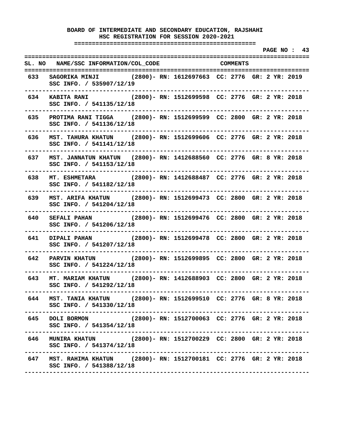**===================================================** 

 **PAGE NO : 43 ================================================================================ SL. NO NAME/SSC INFORMATION/COL\_CODE COMMENTS ================================================================================ 633 SAGORIKA MINJI (2800)- RN: 1612697663 CC: 2776 GR: 2 YR: 2019 SSC INFO. / 535907/12/19 -------------------------------------------------------------------------------- 634 KABITA RANI (2800)- RN: 1512699598 CC: 2776 GR: 2 YR: 2018 SSC INFO. / 541135/12/18 -------------------------------------------------------------------------------- 635 PROTIMA RANI TIGGA (2800)- RN: 1512699599 CC: 2800 GR: 2 YR: 2018 SSC INFO. / 541136/12/18 -------------------------------------------------------------------------------- 636 MST. TAHURA KHATUN (2800)- RN: 1512699606 CC: 2776 GR: 2 YR: 2018 SSC INFO. / 541141/12/18 -------------------------------------------------------------------------------- 637 MST. JANNATUN KHATUN (2800)- RN: 1412688560 CC: 2776 GR: 8 YR: 2018 SSC INFO. / 541153/12/18 -------------------------------------------------------------------------------- 638 MT. ESHMETARA (2800)- RN: 1412688487 CC: 2776 GR: 2 YR: 2018 SSC INFO. / 541182/12/18 -------------------------------------------------------------------------------- 639 MST. ARIFA KHATUN (2800)- RN: 1512699473 CC: 2800 GR: 2 YR: 2018 SSC INFO. / 541204/12/18 -------------------------------------------------------------------------------- 640 SEFALI PAHAN (2800)- RN: 1512699476 CC: 2800 GR: 2 YR: 2018 SSC INFO. / 541206/12/18 -------------------------------------------------------------------------------- 641 DIPALI PAHAN (2800)- RN: 1512699478 CC: 2800 GR: 2 YR: 2018 SSC INFO. / 541207/12/18 -------------------------------------------------------------------------------- 642 PARVIN KHATUN (2800)- RN: 1512699895 CC: 2800 GR: 2 YR: 2018 SSC INFO. / 541224/12/18 -------------------------------------------------------------------------------- 643 MT. MARIAM KHATUN (2800)- RN: 1412688903 CC: 2800 GR: 2 YR: 2018 SSC INFO. / 541292/12/18 -------------------------------------------------------------------------------- 644 MST. TANIA KHATUN (2800)- RN: 1512699510 CC: 2776 GR: 8 YR: 2018 SSC INFO. / 541330/12/18 -------------------------------------------------------------------------------- 645 DOLI BORMON (2800)- RN: 1512700063 CC: 2776 GR: 2 YR: 2018 SSC INFO. / 541354/12/18 -------------------------------------------------------------------------------- 646 MUNIRA KHATUN (2800)- RN: 1512700229 CC: 2800 GR: 2 YR: 2018 SSC INFO. / 541374/12/18 -------------------------------------------------------------------------------- 647 MST. RAHIMA KHATUN (2800)- RN: 1512700181 CC: 2776 GR: 2 YR: 2018 SSC INFO. / 541388/12/18 --------------------------------------------------------------------------------**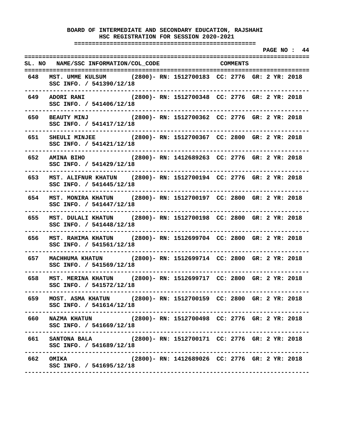**===================================================** 

 **PAGE NO : 44 ================================================================================ SL. NO NAME/SSC INFORMATION/COL\_CODE COMMENTS ================================================================================ 648 MST. UMME KULSUM (2800)- RN: 1512700183 CC: 2776 GR: 2 YR: 2018 SSC INFO. / 541390/12/18 -------------------------------------------------------------------------------- 649 ADORI RANI (2800)- RN: 1512700348 CC: 2776 GR: 2 YR: 2018 SSC INFO. / 541406/12/18 -------------------------------------------------------------------------------- 650 BEAUTY MINJ (2800)- RN: 1512700362 CC: 2776 GR: 2 YR: 2018 SSC INFO. / 541417/12/18 -------------------------------------------------------------------------------- 651 SHEULI MINJEE (2800)- RN: 1512700367 CC: 2800 GR: 2 YR: 2018 SSC INFO. / 541421/12/18 -------------------------------------------------------------------------------- 652 AMINA BIHO (2800)- RN: 1412689263 CC: 2776 GR: 2 YR: 2018 SSC INFO. / 541429/12/18 -------------------------------------------------------------------------------- 653 MST. ALIFNUR KHATUN (2800)- RN: 1512700194 CC: 2776 GR: 2 YR: 2018 SSC INFO. / 541445/12/18 -------------------------------------------------------------------------------- 654 MST. MONIRA KHATUN (2800)- RN: 1512700197 CC: 2800 GR: 2 YR: 2018 SSC INFO. / 541447/12/18 -------------------------------------------------------------------------------- 655 MST. DULALI KHATUN (2800)- RN: 1512700198 CC: 2800 GR: 2 YR: 2018 SSC INFO. / 541448/12/18 -------------------------------------------------------------------------------- 656 MST. RAHIMA KHATUN (2800)- RN: 1512699704 CC: 2800 GR: 2 YR: 2018 SSC INFO. / 541561/12/18 -------------------------------------------------------------------------------- 657 MACHHUMA KHATUN (2800)- RN: 1512699714 CC: 2800 GR: 2 YR: 2018 SSC INFO. / 541569/12/18 -------------------------------------------------------------------------------- 658 MST. MERINA KHATUN (2800)- RN: 1512699717 CC: 2800 GR: 2 YR: 2018 SSC INFO. / 541572/12/18 -------------------------------------------------------------------------------- 659 MOST. ASMA KHATUN (2800)- RN: 1512700159 CC: 2800 GR: 2 YR: 2018 SSC INFO. / 541614/12/18 -------------------------------------------------------------------------------- 660 NAZMA KHATUN (2800)- RN: 1512700498 CC: 2776 GR: 2 YR: 2018 SSC INFO. / 541669/12/18 -------------------------------------------------------------------------------- 661 SANTONA BALA (2800)- RN: 1512700171 CC: 2776 GR: 2 YR: 2018 SSC INFO. / 541689/12/18 -------------------------------------------------------------------------------- 662 OMIKA (2800)- RN: 1412689026 CC: 2776 GR: 2 YR: 2018 SSC INFO. / 541695/12/18 --------------------------------------------------------------------------------**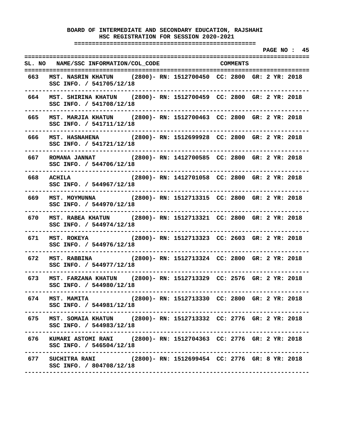**===================================================** 

 **PAGE NO : 45 ================================================================================ SL. NO NAME/SSC INFORMATION/COL\_CODE COMMENTS ================================================================================ 663 MST. NASRIN KHATUN (2800)- RN: 1512700450 CC: 2800 GR: 2 YR: 2018 SSC INFO. / 541705/12/18 -------------------------------------------------------------------------------- 664 MST. SHIRINA KHATUN (2800)- RN: 1512700459 CC: 2800 GR: 2 YR: 2018 SSC INFO. / 541708/12/18 -------------------------------------------------------------------------------- 665 MST. MARJIA KHATUN (2800)- RN: 1512700463 CC: 2800 GR: 2 YR: 2018 SSC INFO. / 541711/12/18 -------------------------------------------------------------------------------- 666 MST. HASNAHENA (2800)- RN: 1512699928 CC: 2800 GR: 2 YR: 2018 SSC INFO. / 541721/12/18 -------------------------------------------------------------------------------- 667 ROMANA JANNAT (2800)- RN: 1412700585 CC: 2800 GR: 2 YR: 2018 SSC INFO. / 544706/12/18 -------------------------------------------------------------------------------- 668 ACHILA (2800)- RN: 1412701058 CC: 2800 GR: 2 YR: 2018 SSC INFO. / 544967/12/18 -------------------------------------------------------------------------------- 669 MST. MOYMUNNA (2800)- RN: 1512713315 CC: 2800 GR: 2 YR: 2018 SSC INFO. / 544970/12/18 -------------------------------------------------------------------------------- 670 MST. RABEA KHATUN (2800)- RN: 1512713321 CC: 2800 GR: 2 YR: 2018 SSC INFO. / 544974/12/18 -------------------------------------------------------------------------------- 671 MST. ROKEYA (2800)- RN: 1512713323 CC: 2603 GR: 2 YR: 2018 SSC INFO. / 544976/12/18 -------------------------------------------------------------------------------- 672 MST. RABBINA (2800)- RN: 1512713324 CC: 2800 GR: 2 YR: 2018 SSC INFO. / 544977/12/18 -------------------------------------------------------------------------------- 673 MST. FARZANA KHATUN (2800)- RN: 1512713329 CC: 2576 GR: 2 YR: 2018 SSC INFO. / 544980/12/18 -------------------------------------------------------------------------------- 674 MST. MAMITA (2800)- RN: 1512713330 CC: 2800 GR: 2 YR: 2018 SSC INFO. / 544981/12/18 -------------------------------------------------------------------------------- 675 MST. SOMAIA KHATUN (2800)- RN: 1512713332 CC: 2776 GR: 2 YR: 2018 SSC INFO. / 544983/12/18 -------------------------------------------------------------------------------- 676 KUMARI ASTOMI RANI (2800)- RN: 1512704363 CC: 2776 GR: 2 YR: 2018 SSC INFO. / 546504/12/18 -------------------------------------------------------------------------------- 677 SUCHITRA RANI (2800)- RN: 1512699454 CC: 2776 GR: 8 YR: 2018 SSC INFO. / 804708/12/18 --------------------------------------------------------------------------------**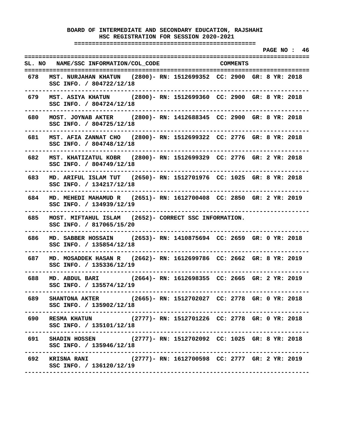**===================================================** 

 **PAGE NO : 46 ================================================================================ SL. NO NAME/SSC INFORMATION/COL\_CODE COMMENTS ================================================================================ 678 MST. NURJAHAN KHATUN (2800)- RN: 1512699352 CC: 2900 GR: 8 YR: 2018 SSC INFO. / 804722/12/18 -------------------------------------------------------------------------------- 679 MST. ASIYA KHATUN (2800)- RN: 1512699360 CC: 2900 GR: 8 YR: 2018 SSC INFO. / 804724/12/18 -------------------------------------------------------------------------------- 680 MOST. JOYNAB AKTER (2800)- RN: 1412688345 CC: 2900 GR: 8 YR: 2018 SSC INFO. / 804725/12/18 -------------------------------------------------------------------------------- 681 MST. AFIA ZANNAT CHO (2800)- RN: 1512699322 CC: 2776 GR: 8 YR: 2018 SSC INFO. / 804748/12/18 -------------------------------------------------------------------------------- 682 MST. KHATIZATUL KOBR (2800)- RN: 1512699329 CC: 2776 GR: 2 YR: 2018 SSC INFO. / 804749/12/18 -------------------------------------------------------------------------------- 683 MD. ARIFUL ISLAM TUT (2650)- RN: 1512701976 CC: 1025 GR: 8 YR: 2018 SSC INFO. / 134217/12/18 -------------------------------------------------------------------------------- 684 MD. MEHEDI MAHAMUD R (2651)- RN: 1612700408 CC: 2850 GR: 2 YR: 2019 SSC INFO. / 134939/12/19 -------------------------------------------------------------------------------- 685 MOST. MIFTAHUL ISLAM (2652)- CORRECT SSC INFORMATION. SSC INFO. / 817065/15/20 -------------------------------------------------------------------------------- 686 MD. SABBER HOSSAIN (2653)- RN: 1410875694 CC: 2659 GR: 0 YR: 2018 SSC INFO. / 135854/12/18 -------------------------------------------------------------------------------- 687 MD. MOSADDEK HASAN R (2662)- RN: 1612699786 CC: 2662 GR: 8 YR: 2019 SSC INFO. / 135336/12/19 -------------------------------------------------------------------------------- 688 MD. ABDUL BARI (2664)- RN: 1612698355 CC: 2665 GR: 2 YR: 2019 SSC INFO. / 135574/12/19 -------------------------------------------------------------------------------- 689 SHANTONA AKTER (2665)- RN: 1512702027 CC: 2778 GR: 0 YR: 2018 SSC INFO. / 135902/12/18 -------------------------------------------------------------------------------- 690 RESMA KHATUN (2777)- RN: 1512701226 CC: 2778 GR: 0 YR: 2018 SSC INFO. / 135101/12/18 -------------------------------------------------------------------------------- 691 SHADIN HOSSEN (2777)- RN: 1512702092 CC: 1025 GR: 8 YR: 2018 SSC INFO. / 135946/12/18 -------------------------------------------------------------------------------- 692 KRISNA RANI (2777)- RN: 1612700598 CC: 2777 GR: 2 YR: 2019 SSC INFO. / 136120/12/19 --------------------------------------------------------------------------------**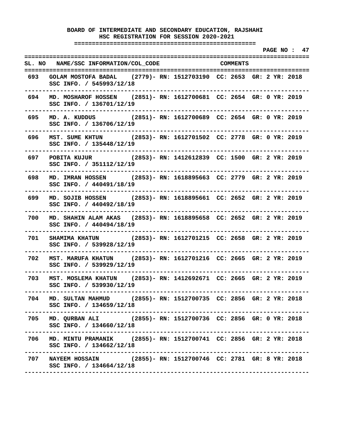**===================================================** 

 **PAGE NO : 47 ================================================================================ SL. NO NAME/SSC INFORMATION/COL\_CODE COMMENTS ================================================================================ 693 GOLAM MOSTOFA BADAL (2779)- RN: 1512703190 CC: 2653 GR: 2 YR: 2018 SSC INFO. / 545993/12/18 -------------------------------------------------------------------------------- 694 MD. MOSHAROF HOSSEN (2851)- RN: 1612700681 CC: 2654 GR: 0 YR: 2019 SSC INFO. / 136701/12/19 -------------------------------------------------------------------------------- 695 MD. A. KUDDUS (2851)- RN: 1612700689 CC: 2654 GR: 0 YR: 2019 SSC INFO. / 136706/12/19 -------------------------------------------------------------------------------- 696 MST. SUME KHTUN (2853)- RN: 1612701502 CC: 2778 GR: 0 YR: 2019 SSC INFO. / 135448/12/19 -------------------------------------------------------------------------------- 697 POBITA KUJUR (2853)- RN: 1412612839 CC: 1500 GR: 2 YR: 2019 SSC INFO. / 351112/12/19 -------------------------------------------------------------------------------- 698 MD. IMRAN HOSSEN (2853)- RN: 1618895663 CC: 2779 GR: 2 YR: 2019 SSC INFO. / 440491/18/19 -------------------------------------------------------------------------------- 699 MD. SOJIB HOSSEN (2853)- RN: 1618895661 CC: 2652 GR: 2 YR: 2019 SSC INFO. / 440492/18/19 -------------------------------------------------------------------------------- 700 MD. SHAHIN ALAM AKAS (2853)- RN: 1618895658 CC: 2652 GR: 2 YR: 2019 SSC INFO. / 440494/18/19 -------------------------------------------------------------------------------- 701 SHAMIMA KHATUN (2853)- RN: 1612701215 CC: 2658 GR: 2 YR: 2019 SSC INFO. / 539928/12/19 -------------------------------------------------------------------------------- 702 MST. MARUFA KHATUN (2853)- RN: 1612701216 CC: 2665 GR: 2 YR: 2019 SSC INFO. / 539929/12/19 -------------------------------------------------------------------------------- 703 MST. MOSLEMA KHATUN (2853)- RN: 1412692671 CC: 2665 GR: 2 YR: 2019 SSC INFO. / 539930/12/19 -------------------------------------------------------------------------------- 704 MD. SULTAN MAHMUD (2855)- RN: 1512700735 CC: 2856 GR: 2 YR: 2018 SSC INFO. / 134659/12/18 -------------------------------------------------------------------------------- 705 MD. QURBAN ALI (2855)- RN: 1512700736 CC: 2856 GR: 0 YR: 2018 SSC INFO. / 134660/12/18 -------------------------------------------------------------------------------- 706 MD. MINTU PRAMANIK (2855)- RN: 1512700741 CC: 2856 GR: 2 YR: 2018 SSC INFO. / 134662/12/18 -------------------------------------------------------------------------------- 707 NAYEEM HOSSAIN (2855)- RN: 1512700746 CC: 2781 GR: 8 YR: 2018 SSC INFO. / 134664/12/18 --------------------------------------------------------------------------------**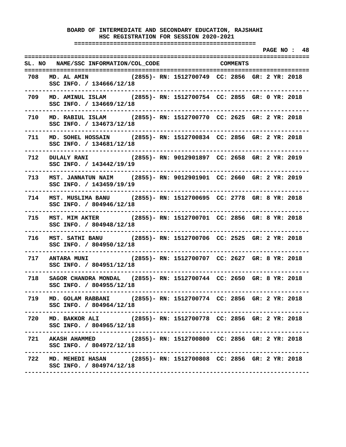**===================================================** 

|     |                                                                                                                                            |                                     |  | PAGE NO: 48 |  |
|-----|--------------------------------------------------------------------------------------------------------------------------------------------|-------------------------------------|--|-------------|--|
|     | SL. NO NAME/SSC INFORMATION/COL_CODE COMMENTS                                                                                              |                                     |  |             |  |
| 708 | MD. AL AMIN (2855)- RN: 1512700749 CC: 2856 GR: 2 YR: 2018<br>SSC INFO. / 134666/12/18<br>--------------------------                       |                                     |  |             |  |
|     | 709 MD. AMINUL ISLAM (2855)- RN: 1512700754 CC: 2855 GR: 0 YR: 2018<br>SSC INFO. / 134669/12/18<br>----------------------------            |                                     |  |             |  |
|     | 710 MD. RABIUL ISLAM (2855)- RN: 1512700770 CC: 2625 GR: 2 YR: 2018<br>SSC INFO. / 134673/12/18                                            |                                     |  |             |  |
|     | 711 MD. SOHEL HOSSAIN (2855) - RN: 1512700834 CC: 2856 GR: 2 YR: 2018<br>SSC INFO. / 134681/12/18<br>. _ _ _ _ _ _ _ _ _ _ _ _ _ _ _ _ _ _ |                                     |  |             |  |
|     | 712 DULALY RANI (2855)- RN: 9012901897 CC: 2658 GR: 2 YR: 2019<br>SSC INFO. / 143442/19/19                                                 |                                     |  |             |  |
|     | 713 MST. JANNATUN NAIM (2855)- RN: 9012901901 CC: 2660 GR: 2 YR: 2019<br>SSC INFO. / 143459/19/19                                          |                                     |  |             |  |
|     | 714 MST. MUSLIMA BANU (2855)- RN: 1512700695 CC: 2778 GR: 8 YR: 2018<br>SSC INFO. / 804946/12/18                                           | ----------------------------------- |  |             |  |
|     | 715 MST. MIM AKTER (2855)- RN: 1512700701 CC: 2856 GR: 8 YR: 2018<br>SSC INFO. / 804948/12/18                                              |                                     |  |             |  |
| 716 | MST. SATHI BANU (2855)- RN: 1512700706 CC: 2525 GR: 2 YR: 2018<br>SSC INFO. / 804950/12/18                                                 |                                     |  |             |  |
| 717 | ANTARA MUNI (2855)- RN: 1512700707 CC: 2627 GR: 8 YR: 2018<br>SSC INFO. / 804951/12/18                                                     | ----------------------------------  |  |             |  |
|     | 718 SAGOR CHANDRA MONDAL (2855)- RN: 1512700744 CC: 2650 GR: 8 YR: 2018<br>SSC INFO. / 804955/12/18                                        |                                     |  |             |  |
| 719 | MD. GOLAM RABBANI (2855)- RN: 1512700774 CC: 2856 GR: 2 YR: 2018<br>SSC INFO. / 804964/12/18                                               |                                     |  |             |  |
|     | 720 MD. BAKKOR ALI (2855) - RN: 1512700778 CC: 2856 GR: 2 YR: 2018<br>SSC INFO. / 804965/12/18                                             |                                     |  |             |  |
|     | 721 AKASH AHAMMED (2855)- RN: 1512700800 CC: 2856 GR: 2 YR: 2018<br>SSC INFO. / 804972/12/18                                               |                                     |  |             |  |
|     | 722 MD. MEHEDI HASAN (2855)- RN: 1512700808 CC: 2856 GR: 2 YR: 2018<br>SSC INFO. / 804974/12/18                                            |                                     |  |             |  |
|     |                                                                                                                                            |                                     |  |             |  |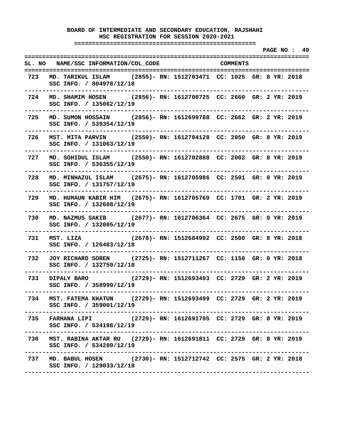**===================================================** 

 **PAGE NO : 49 ================================================================================ SL. NO NAME/SSC INFORMATION/COL\_CODE COMMENTS ================================================================================ 723 MD. TARIKUL ISLAM (2855)- RN: 1512703471 CC: 1025 GR: 8 YR: 2018 SSC INFO. / 804978/12/18 -------------------------------------------------------------------------------- 724 MD. SHAMIM HOSEN (2856)- RN: 1612700725 CC: 2660 GR: 2 YR: 2019 SSC INFO. / 135062/12/19 -------------------------------------------------------------------------------- 725 MD. SUMON HOSSAIN (2856)- RN: 1612699788 CC: 2662 GR: 2 YR: 2019 SSC INFO. / 539354/12/19 -------------------------------------------------------------------------------- 726 MST. MITA PARVIN (2550)- RN: 1612704128 CC: 2050 GR: 8 YR: 2019 SSC INFO. / 131063/12/19 -------------------------------------------------------------------------------- 727 MD. SOHIDUL ISLAM (2550)- RN: 1612702888 CC: 2002 GR: 8 YR: 2019 SSC INFO. / 536355/12/19 -------------------------------------------------------------------------------- 728 MD. MINHAZUL ISLAM (2675)- RN: 1612705986 CC: 2501 GR: 0 YR: 2019 SSC INFO. / 131757/12/19 -------------------------------------------------------------------------------- 729 MD. HUMAUN KABIR HIM (2675)- RN: 1612705769 CC: 1701 GR: 2 YR: 2019 SSC INFO. / 132608/12/19 -------------------------------------------------------------------------------- 730 MD. NAZMUS SAKIB (2677)- RN: 1612706364 CC: 2675 GR: 0 YR: 2019 SSC INFO. / 132005/12/19 -------------------------------------------------------------------------------- 731 MST. LIZA (2678)- RN: 1512684992 CC: 2500 GR: 8 YR: 2018 SSC INFO. / 126483/12/18 -------------------------------------------------------------------------------- 732 JOY RICHARD SOREN (2725)- RN: 1512711267 CC: 1150 GR: 0 YR: 2018 SSC INFO. / 132759/12/18 -------------------------------------------------------------------------------- 733 DIPALY BARO (2729)- RN: 1512693493 CC: 2729 GR: 2 YR: 2019 SSC INFO. / 358999/12/19 -------------------------------------------------------------------------------- 734 MST. FATEMA KHATUN (2729)- RN: 1512693499 CC: 2729 GR: 2 YR: 2019 SSC INFO. / 359001/12/19 -------------------------------------------------------------------------------- 735 FARHANA LIPI (2729)- RN: 1612691795 CC: 2729 GR: 8 YR: 2019 SSC INFO. / 534198/12/19 -------------------------------------------------------------------------------- 736 MST. RABINA AKTAR RU (2729)- RN: 1612691811 CC: 2729 GR: 8 YR: 2019 SSC INFO. / 534209/12/19 -------------------------------------------------------------------------------- 737 MD. BABUL HOSEN (2730)- RN: 1512712742 CC: 2575 GR: 2 YR: 2018 SSC INFO. / 129033/12/18 --------------------------------------------------------------------------------**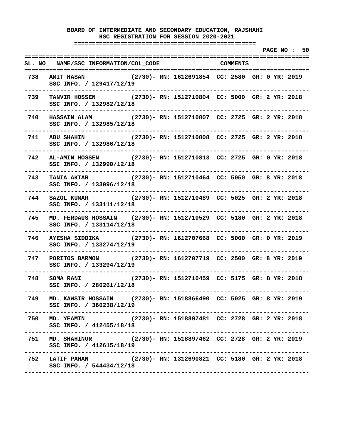**===================================================** 

 **PAGE NO : 50 ================================================================================ SL. NO NAME/SSC INFORMATION/COL\_CODE COMMENTS ================================================================================ 738 AMIT HASAN (2730)- RN: 1612691854 CC: 2580 GR: 0 YR: 2019 SSC INFO. / 129417/12/19 -------------------------------------------------------------------------------- 739 TANVIR HOSSEN (2730)- RN: 1512710804 CC: 5000 GR: 2 YR: 2018 SSC INFO. / 132982/12/18 -------------------------------------------------------------------------------- 740 HASSAIN ALAM (2730)- RN: 1512710807 CC: 2725 GR: 2 YR: 2018 SSC INFO. / 132985/12/18 -------------------------------------------------------------------------------- 741 ABU SHAHIN (2730)- RN: 1512710808 CC: 2725 GR: 2 YR: 2018 SSC INFO. / 132986/12/18 -------------------------------------------------------------------------------- 742 AL-AMIN HOSSEN (2730)- RN: 1512710813 CC: 2725 GR: 0 YR: 2018 SSC INFO. / 132990/12/18 -------------------------------------------------------------------------------- 743 TANIA AKTAR (2730)- RN: 1512710464 CC: 5050 GR: 8 YR: 2018 SSC INFO. / 133096/12/18 -------------------------------------------------------------------------------- 744 SAZOL KUMAR (2730)- RN: 1512710489 CC: 5025 GR: 2 YR: 2018 SSC INFO. / 133111/12/18 -------------------------------------------------------------------------------- 745 MD. FERDAUS HOSSAIN (2730)- RN: 1512710529 CC: 5180 GR: 2 YR: 2018 SSC INFO. / 133114/12/18 -------------------------------------------------------------------------------- 746 AYESHA SIDDIKA (2730)- RN: 1612707668 CC: 5000 GR: 0 YR: 2019 SSC INFO. / 133274/12/19 -------------------------------------------------------------------------------- 747 PORITOS BARMON (2730)- RN: 1612707719 CC: 2500 GR: 8 YR: 2019 SSC INFO. / 133294/12/19 -------------------------------------------------------------------------------- 748 SOMA RANI (2730)- RN: 1512710459 CC: 5175 GR: 8 YR: 2018 SSC INFO. / 280261/12/18 -------------------------------------------------------------------------------- 749 MD. KAWSIR HOSSAIN (2730)- RN: 1518866490 CC: 5025 GR: 8 YR: 2019 SSC INFO. / 360238/12/19 -------------------------------------------------------------------------------- 750 MD. YEAMIN (2730)- RN: 1518897481 CC: 2728 GR: 2 YR: 2018 SSC INFO. / 412455/18/18 -------------------------------------------------------------------------------- 751 MD. SHAHINUR (2730)- RN: 1518897462 CC: 2728 GR: 2 YR: 2019 SSC INFO. / 412615/18/19 -------------------------------------------------------------------------------- 752 LATIF PAHAN (2730)- RN: 1312690821 CC: 5180 GR: 2 YR: 2018 SSC INFO. / 544434/12/18 --------------------------------------------------------------------------------**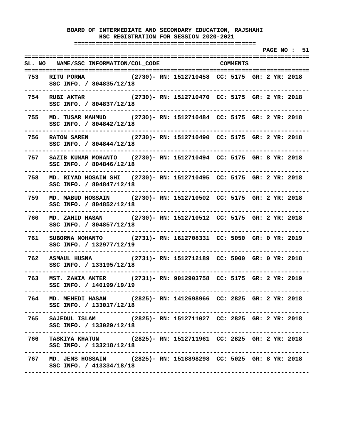**===================================================** 

 **PAGE NO : 51 ================================================================================ SL. NO NAME/SSC INFORMATION/COL\_CODE COMMENTS ================================================================================ 753 RITU PORNA (2730)- RN: 1512710458 CC: 5175 GR: 2 YR: 2018 SSC INFO. / 804835/12/18 -------------------------------------------------------------------------------- 754 RUBI AKTAR (2730)- RN: 1512710470 CC: 5175 GR: 2 YR: 2018 SSC INFO. / 804837/12/18 -------------------------------------------------------------------------------- 755 MD. TUSAR MAHMUD (2730)- RN: 1512710484 CC: 5175 GR: 2 YR: 2018 SSC INFO. / 804842/12/18 -------------------------------------------------------------------------------- 756 RATON SAREN (2730)- RN: 1512710490 CC: 5175 GR: 2 YR: 2018 SSC INFO. / 804844/12/18 -------------------------------------------------------------------------------- 757 SAZIB KUMAR MOHANTO (2730)- RN: 1512710494 CC: 5175 GR: 8 YR: 2018 SSC INFO. / 804846/12/18 -------------------------------------------------------------------------------- 758 MD. RIYAD HOSAIN SHI (2730)- RN: 1512710495 CC: 5175 GR: 2 YR: 2018 SSC INFO. / 804847/12/18 -------------------------------------------------------------------------------- 759 MD. MABUD HOSSAIN (2730)- RN: 1512710502 CC: 5175 GR: 2 YR: 2018 SSC INFO. / 804852/12/18 -------------------------------------------------------------------------------- 760 MD. ZAHID HASAN (2730)- RN: 1512710512 CC: 5175 GR: 2 YR: 2018 SSC INFO. / 804857/12/18 -------------------------------------------------------------------------------- 761 SUBORNA MOHANTO (2731)- RN: 1612708331 CC: 5050 GR: 0 YR: 2019 SSC INFO. / 132977/12/19 -------------------------------------------------------------------------------- 762 ASMAUL HUSNA (2731)- RN: 1512712189 CC: 5000 GR: 0 YR: 2018 SSC INFO. / 133195/12/18 -------------------------------------------------------------------------------- 763 MST. ZAKIA AKTER (2731)- RN: 9012903758 CC: 5175 GR: 2 YR: 2019 SSC INFO. / 140199/19/19 -------------------------------------------------------------------------------- 764 MD. MEHEDI HASAN (2825)- RN: 1412698966 CC: 2825 GR: 2 YR: 2018 SSC INFO. / 133017/12/18 -------------------------------------------------------------------------------- 765 SAJEDUL ISLAM (2825)- RN: 1512711027 CC: 2825 GR: 2 YR: 2018 SSC INFO. / 133029/12/18 -------------------------------------------------------------------------------- 766 TASKIYA KHATUN (2825)- RN: 1512711961 CC: 2825 GR: 2 YR: 2018 SSC INFO. / 133218/12/18 -------------------------------------------------------------------------------- 767 MD. JEMS HOSSAIN (2825)- RN: 1518898298 CC: 5025 GR: 8 YR: 2018 SSC INFO. / 413334/18/18 --------------------------------------------------------------------------------**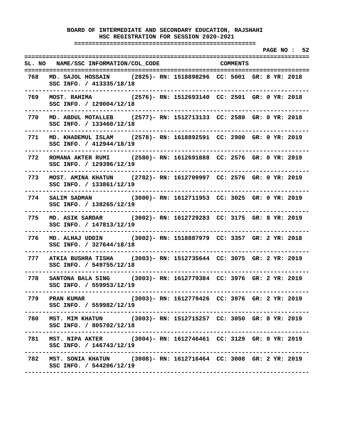**===================================================** 

|         |                                                                                                                                   |  |                                                |  |  | PAGE NO : 52 |  |
|---------|-----------------------------------------------------------------------------------------------------------------------------------|--|------------------------------------------------|--|--|--------------|--|
|         | SL. NO NAME/SSC INFORMATION/COL_CODE COMMENTS                                                                                     |  |                                                |  |  |              |  |
| 768     | MD. SAJOL HOSSAIN (2825)- RN: 1518898296 CC: 5001 GR: 8 YR: 2018<br>SSC INFO. / 413335/18/18<br>----------------------------      |  | -------------------------------------          |  |  |              |  |
| 769     | MOST. RAHIMA (2576)- RN: 1512693140 CC: 2501 GR: 0 YR: 2018<br>SSC INFO. / 129004/12/18<br>-----------------------------          |  |                                                |  |  |              |  |
|         | 770 MD. ABDUL MOTALLEB (2577)-RN: 1512713133 CC: 2580 GR: 0 YR: 2018<br>SSC INFO. / 133460/12/18<br>----------------------------- |  |                                                |  |  |              |  |
|         | 771 MD. KHADEMUL ISLAM (2578)-RN: 1618892591 CC: 2900 GR: 0 YR: 2019<br>SSC INFO. / 412944/18/19                                  |  |                                                |  |  |              |  |
|         | 772 ROMANA AKTER RUMI (2580) - RN: 1612691888 CC: 2576 GR: 0 YR: 2019<br>SSC INFO. / 129396/12/19<br>------------------           |  |                                                |  |  |              |  |
| 773     | MOST. AMINA KHATUN (2782)- RN: 1612709997 CC: 2576 GR: 0 YR: 2019<br>SSC INFO. / 133861/12/19<br>----------------                 |  |                                                |  |  |              |  |
|         | 774 SALIM SADMAN (3000)- RN: 1612711953 CC: 3025 GR: 0 YR: 2019<br>SSC INFO. / 138265/12/19<br>-------------                      |  |                                                |  |  |              |  |
| 775     | MD. ASIK SARDAR (3002)- RN: 1612729283 CC: 3175 GR: 8 YR: 2019<br>SSC INFO. / 147813/12/19                                        |  |                                                |  |  |              |  |
| 776     | MD. ALHAJ UDDIN (3002) - RN: 1518887979 CC: 3357 GR: 2 YR: 2018<br>SSC INFO. / 327644/18/18                                       |  | ---------------------------                    |  |  |              |  |
| 777 - 1 | ATKIA BUSHRA TISHA (3003)- RN: 1512735644 CC: 3075 GR: 2 YR: 2019<br>SSC INFO. / 549755/12/18                                     |  |                                                |  |  |              |  |
| 778     | SANTONA BALA SING (3003)- RN: 1612779384 CC: 3976 GR: 2 YR: 2019<br>SSC INFO. / 559953/12/19                                      |  |                                                |  |  |              |  |
| 779     | <b>PRAN KUMAR</b><br>SSC INFO. / 559982/12/19                                                                                     |  | (3003)- RN: 1612779426 CC: 3976 GR: 2 YR: 2019 |  |  |              |  |
| 780     | MST. MIM KHATUN (3003)- RN: 1512715257 CC: 3050 GR: 8 YR: 2019<br>SSC INFO. / 805702/12/18                                        |  |                                                |  |  |              |  |
| 781     | MST. NIPA AKTER (3004)- RN: 1612746461 CC: 3129 GR: 0 YR: 2019<br>SSC INFO. / 146743/12/19                                        |  |                                                |  |  |              |  |
| 782     | MST. SONIA KHATUN (3008)- RN: 1612716464 CC: 3008 GR: 2 YR: 2019<br>SSC INFO. / 544206/12/19                                      |  |                                                |  |  |              |  |
|         |                                                                                                                                   |  |                                                |  |  |              |  |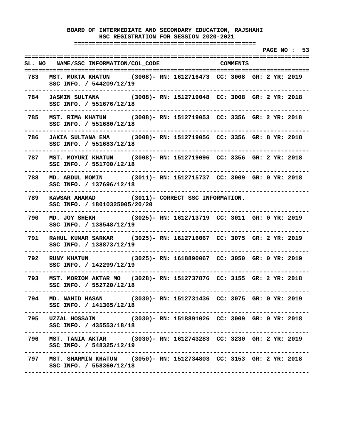**===================================================** 

 **PAGE NO : 53 ================================================================================ SL. NO NAME/SSC INFORMATION/COL\_CODE COMMENTS ================================================================================ 783 MST. MUKTA KHATUN (3008)- RN: 1612716473 CC: 3008 GR: 2 YR: 2019 SSC INFO. / 544209/12/19 -------------------------------------------------------------------------------- 784 JASMIN SULTANA (3008)- RN: 1512719048 CC: 3008 GR: 2 YR: 2018 SSC INFO. / 551676/12/18 -------------------------------------------------------------------------------- 785 MST. RIMA KHATUN (3008)- RN: 1512719053 CC: 3356 GR: 2 YR: 2018 SSC INFO. / 551680/12/18 -------------------------------------------------------------------------------- 786 JAKIA SULTANA EMA (3008)- RN: 1512719056 CC: 3356 GR: 8 YR: 2018 SSC INFO. / 551683/12/18 -------------------------------------------------------------------------------- 787 MST. MOYURI KHATUN (3008)- RN: 1512719096 CC: 3356 GR: 2 YR: 2018 SSC INFO. / 551700/12/18 -------------------------------------------------------------------------------- 788 MD. ABDUL MOMIN (3011)- RN: 1512715737 CC: 3009 GR: 0 YR: 2018 SSC INFO. / 137696/12/18 -------------------------------------------------------------------------------- 789 KAWSAR AHAMAD (3011)- CORRECT SSC INFORMATION. SSC INFO. / 18010325005/20/20 -------------------------------------------------------------------------------- 790 MD. JOY SHEKH (3025)- RN: 1612713719 CC: 3011 GR: 0 YR: 2019 SSC INFO. / 138548/12/19 -------------------------------------------------------------------------------- 791 RAHUL KUMAR SARKAR (3025)- RN: 1612716067 CC: 3075 GR: 2 YR: 2019 SSC INFO. / 138873/12/19 -------------------------------------------------------------------------------- 792 RUNY KHATUN (3025)- RN: 1618890067 CC: 3050 GR: 0 YR: 2019 SSC INFO. / 142299/12/19 -------------------------------------------------------------------------------- 793 MST. MORIOM AKTAR MO (3028)- RN: 1512737876 CC: 3155 GR: 2 YR: 2018 SSC INFO. / 552720/12/18 -------------------------------------------------------------------------------- 794 MD. NAHID HASAN (3030)- RN: 1512731436 CC: 3075 GR: 0 YR: 2019 SSC INFO. / 141365/12/18 -------------------------------------------------------------------------------- 795 UZZAL HOSSAIN (3030)- RN: 1518891026 CC: 3009 GR: 0 YR: 2018 SSC INFO. / 435553/18/18 -------------------------------------------------------------------------------- 796 MST. TANIA AKTAR (3030)- RN: 1612743283 CC: 3230 GR: 2 YR: 2019 SSC INFO. / 548325/12/19 -------------------------------------------------------------------------------- 797 MST. SHARMIN KHATUN (3050)- RN: 1512734803 CC: 3153 GR: 2 YR: 2018 SSC INFO. / 558360/12/18 --------------------------------------------------------------------------------**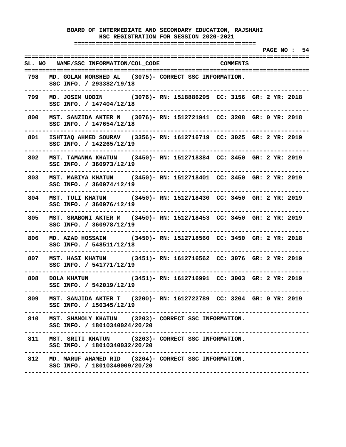**===================================================** 

 **PAGE NO : 54 ================================================================================ SL. NO NAME/SSC INFORMATION/COL\_CODE COMMENTS ================================================================================ 798 MD. GOLAM MORSHED AL (3075)- CORRECT SSC INFORMATION. SSC INFO. / 293382/19/18 -------------------------------------------------------------------------------- 799 MD. JOSIM UDDIN (3076)- RN: 1518886295 CC: 3156 GR: 2 YR: 2018 SSC INFO. / 147404/12/18 -------------------------------------------------------------------------------- 800 MST. SANZIDA AKTER N (3076)- RN: 1512721941 CC: 3208 GR: 0 YR: 2018 SSC INFO. / 147654/12/18 -------------------------------------------------------------------------------- 801 ISHTIAQ AHMED SOURAV (3356)- RN: 1612716719 CC: 3025 GR: 2 YR: 2019 SSC INFO. / 142265/12/19 -------------------------------------------------------------------------------- 802 MST. TAMANNA KHATUN (3450)- RN: 1512718384 CC: 3450 GR: 2 YR: 2019 SSC INFO. / 360973/12/19 -------------------------------------------------------------------------------- 803 MST. MABIYA KHATUN (3450)- RN: 1512718401 CC: 3450 GR: 2 YR: 2019 SSC INFO. / 360974/12/19 -------------------------------------------------------------------------------- 804 MST. TULI KHATUN (3450)- RN: 1512718430 CC: 3450 GR: 2 YR: 2019 SSC INFO. / 360976/12/19 -------------------------------------------------------------------------------- 805 MST. SRABONI AKTER M (3450)- RN: 1512718453 CC: 3450 GR: 2 YR: 2019 SSC INFO. / 360978/12/19 -------------------------------------------------------------------------------- 806 MD. AZAD HOSSAIN (3450)- RN: 1512718560 CC: 3450 GR: 2 YR: 2018 SSC INFO. / 548511/12/18 -------------------------------------------------------------------------------- 807 MST. HASI KHATUN (3451)- RN: 1612716562 CC: 3076 GR: 2 YR: 2019 SSC INFO. / 541771/12/19 -------------------------------------------------------------------------------- 808 DOLA KHATUN (3451)- RN: 1612716991 CC: 3003 GR: 2 YR: 2019 SSC INFO. / 542019/12/19 -------------------------------------------------------------------------------- 809 MST. SANJIDA AKTER T (3200)- RN: 1612722789 CC: 3204 GR: 0 YR: 2019 SSC INFO. / 150345/12/19 -------------------------------------------------------------------------------- 810 MST. SHAMOLY KHATUN (3203)- CORRECT SSC INFORMATION. SSC INFO. / 18010340024/20/20 -------------------------------------------------------------------------------- 811 MST. SRITI KHATUN (3203)- CORRECT SSC INFORMATION. SSC INFO. / 18010340032/20/20 -------------------------------------------------------------------------------- 812 MD. MARUF AHAMED RID (3204)- CORRECT SSC INFORMATION. SSC INFO. / 18010340009/20/20 --------------------------------------------------------------------------------**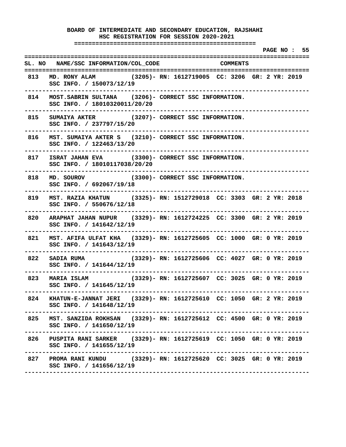# **BOARD OF INTERMEDIATE AND SECONDARY EDUCATION, RAJSHAHI HSC REGISTRATION FOR SESSION 2020-2021 =================================================== PAGE NO : 55 ================================================================================ SL. NO NAME/SSC INFORMATION/COL\_CODE COMMENTS ================================================================================ 813 MD. RONY ALAM (3205)- RN: 1612719005 CC: 3206 GR: 2 YR: 2019 SSC INFO. / 150073/12/19 -------------------------------------------------------------------------------- 814 MOST.SABRIN SULTANA (3206)- CORRECT SSC INFORMATION. SSC INFO. / 18010320011/20/20 -------------------------------------------------------------------------------- 815 SUMAIYA AKTER (3207)- CORRECT SSC INFORMATION. SSC INFO. / 237797/15/20 -------------------------------------------------------------------------------- 816 MST. SUMAIYA AKTER S (3210)- CORRECT SSC INFORMATION. SSC INFO. / 122463/13/20 -------------------------------------------------------------------------------- 817 ISRAT JAHAN EVA (3300)- CORRECT SSC INFORMATION. SSC INFO. / 18010117038/20/20 -------------------------------------------------------------------------------- 818 MD. SOUROV (3300)- CORRECT SSC INFORMATION. SSC INFO. / 692067/19/18 -------------------------------------------------------------------------------- 819 MST. RAZIA KHATUN (3325)- RN: 1512729018 CC: 3303 GR: 2 YR: 2018 SSC INFO. / 550676/12/18 -------------------------------------------------------------------------------- 820 ARAPHAT JAHAN NUPUR (3329)- RN: 1612724225 CC: 3300 GR: 2 YR: 2019 SSC INFO. / 141642/12/19 -------------------------------------------------------------------------------- 821 MST. AFIFA ULFAT KHA (3329)- RN: 1612725605 CC: 1000 GR: 0 YR: 2019 SSC INFO. / 141643/12/19 -------------------------------------------------------------------------------- 822 SADIA RUMA (3329)- RN: 1612725606 CC: 4027 GR: 0 YR: 2019 SSC INFO. / 141644/12/19 -------------------------------------------------------------------------------- 823 MARIA ISLAM (3329)- RN: 1612725607 CC: 3025 GR: 0 YR: 2019 SSC INFO. / 141645/12/19 -------------------------------------------------------------------------------- 824 KHATUN-E-JANNAT JERI (3329)- RN: 1612725610 CC: 1050 GR: 2 YR: 2019 SSC INFO. / 141648/12/19 -------------------------------------------------------------------------------- 825 MST. SANZIDA ROKHSAN (3329)- RN: 1612725612 CC: 4500 GR: 0 YR: 2019 SSC INFO. / 141650/12/19 -------------------------------------------------------------------------------- 826 PUSPITA RANI SARKER (3329)- RN: 1612725619 CC: 1050 GR: 0 YR: 2019 SSC INFO. / 141655/12/19 -------------------------------------------------------------------------------- 827 PROMA RANI KUNDU (3329)- RN: 1612725620 CC: 3025 GR: 0 YR: 2019 SSC INFO. / 141656/12/19 --------------------------------------------------------------------------------**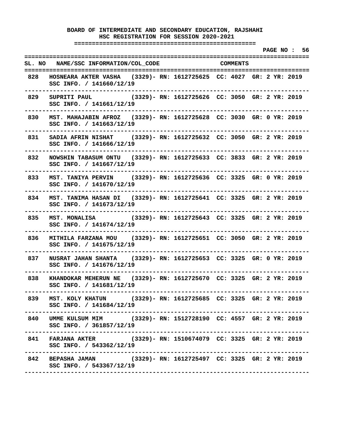**===================================================** 

 **PAGE NO : 56 ================================================================================ SL. NO NAME/SSC INFORMATION/COL\_CODE COMMENTS ================================================================================ 828 HOSNEARA AKTER VASHA (3329)- RN: 1612725625 CC: 4027 GR: 2 YR: 2019 SSC INFO. / 141660/12/19 -------------------------------------------------------------------------------- 829 SUPRITI PAUL (3329)- RN: 1612725626 CC: 3050 GR: 2 YR: 2019 SSC INFO. / 141661/12/19 -------------------------------------------------------------------------------- 830 MST. MAHAJABIN AFROZ (3329)- RN: 1612725628 CC: 3030 GR: 0 YR: 2019 SSC INFO. / 141663/12/19 -------------------------------------------------------------------------------- 831 SADIA AFRIN NISHAT (3329)- RN: 1612725632 CC: 3050 GR: 2 YR: 2019 SSC INFO. / 141666/12/19 -------------------------------------------------------------------------------- 832 NOWSHIN TABASUM ONTU (3329)- RN: 1612725633 CC: 3833 GR: 2 YR: 2019 SSC INFO. / 141667/12/19 -------------------------------------------------------------------------------- 833 MST. TANIYA PERVIN (3329)- RN: 1612725636 CC: 3325 GR: 0 YR: 2019 SSC INFO. / 141670/12/19 -------------------------------------------------------------------------------- 834 MST. TANIMA HASAN DI (3329)- RN: 1612725641 CC: 3325 GR: 2 YR: 2019 SSC INFO. / 141673/12/19 -------------------------------------------------------------------------------- 835 MST. MONALISA (3329)- RN: 1612725643 CC: 3325 GR: 2 YR: 2019 SSC INFO. / 141674/12/19 -------------------------------------------------------------------------------- 836 MITHILA FARZANA MOU (3329)- RN: 1612725651 CC: 3050 GR: 2 YR: 2019 SSC INFO. / 141675/12/19 -------------------------------------------------------------------------------- 837 NUSRAT JAHAN SHANTA (3329)- RN: 1612725653 CC: 3325 GR: 0 YR: 2019 SSC INFO. / 141676/12/19 -------------------------------------------------------------------------------- 838 KHANDOKAR MEHERUN NE (3329)- RN: 1612725670 CC: 3325 GR: 2 YR: 2019 SSC INFO. / 141681/12/19 -------------------------------------------------------------------------------- 839 MST. KOLY KHATUN (3329)- RN: 1612725685 CC: 3325 GR: 2 YR: 2019 SSC INFO. / 141684/12/19 -------------------------------------------------------------------------------- 840 UMME KULSUM MIM (3329)- RN: 1512728190 CC: 4557 GR: 2 YR: 2019 SSC INFO. / 361857/12/19 -------------------------------------------------------------------------------- 841 FARJANA AKTER (3329)- RN: 1510674079 CC: 3325 GR: 2 YR: 2019 SSC INFO. / 543362/12/19 -------------------------------------------------------------------------------- 842 BEPASHA JAMAN (3329)- RN: 1612725497 CC: 3325 GR: 2 YR: 2019 SSC INFO. / 543367/12/19 --------------------------------------------------------------------------------**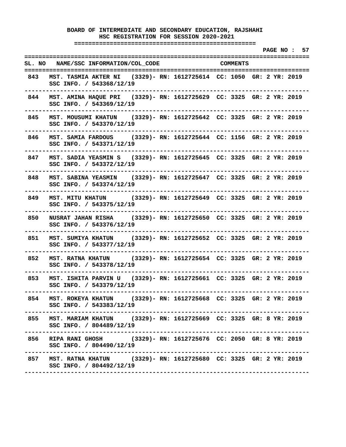**===================================================** 

 **PAGE NO : 57 ================================================================================ SL. NO NAME/SSC INFORMATION/COL\_CODE COMMENTS ================================================================================ 843 MST. TASMIA AKTER NI (3329)- RN: 1612725614 CC: 1050 GR: 2 YR: 2019 SSC INFO. / 543368/12/19 -------------------------------------------------------------------------------- 844 MST. AMINA HAQUE PRI (3329)- RN: 1612725629 CC: 3325 GR: 2 YR: 2019 SSC INFO. / 543369/12/19 -------------------------------------------------------------------------------- 845 MST. MOUSUMI KHATUN (3329)- RN: 1612725642 CC: 3325 GR: 2 YR: 2019 SSC INFO. / 543370/12/19 -------------------------------------------------------------------------------- 846 MST. SAMIA FARDOUS (3329)- RN: 1612725644 CC: 1156 GR: 2 YR: 2019 SSC INFO. / 543371/12/19 -------------------------------------------------------------------------------- 847 MST. SADIA YEASMIN S (3329)- RN: 1612725645 CC: 3325 GR: 2 YR: 2019 SSC INFO. / 543372/12/19 -------------------------------------------------------------------------------- 848 MST. SABINA YEASMIN (3329)- RN: 1612725647 CC: 3325 GR: 2 YR: 2019 SSC INFO. / 543374/12/19 -------------------------------------------------------------------------------- 849 MST. MITU KHATUN (3329)- RN: 1612725649 CC: 3325 GR: 2 YR: 2019 SSC INFO. / 543375/12/19 -------------------------------------------------------------------------------- 850 NUSRAT JAHAN RISHA (3329)- RN: 1612725650 CC: 3325 GR: 2 YR: 2019 SSC INFO. / 543376/12/19 -------------------------------------------------------------------------------- 851 MST. SUMIYA KHATUN (3329)- RN: 1612725652 CC: 3325 GR: 2 YR: 2019 SSC INFO. / 543377/12/19 -------------------------------------------------------------------------------- 852 MST. RATNA KHATUN (3329)- RN: 1612725654 CC: 3325 GR: 2 YR: 2019 SSC INFO. / 543378/12/19 -------------------------------------------------------------------------------- 853 MST. ISHITA PARVIN U (3329)- RN: 1612725661 CC: 3325 GR: 2 YR: 2019 SSC INFO. / 543379/12/19 -------------------------------------------------------------------------------- 854 MST. ROKEYA KHATUN (3329)- RN: 1612725668 CC: 3325 GR: 2 YR: 2019 SSC INFO. / 543383/12/19 -------------------------------------------------------------------------------- 855 MST. MARIAM KHATUN (3329)- RN: 1612725669 CC: 3325 GR: 8 YR: 2019 SSC INFO. / 804489/12/19 -------------------------------------------------------------------------------- 856 RIPA RANI GHOSH (3329)- RN: 1612725676 CC: 2050 GR: 8 YR: 2019 SSC INFO. / 804490/12/19 -------------------------------------------------------------------------------- 857 MST. RATNA KHATUN (3329)- RN: 1612725680 CC: 3325 GR: 2 YR: 2019 SSC INFO. / 804492/12/19 --------------------------------------------------------------------------------**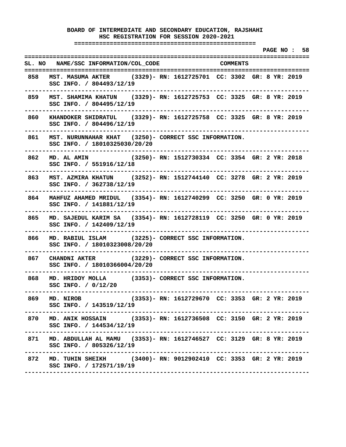**===================================================** 

 **PAGE NO : 58 ================================================================================ SL. NO NAME/SSC INFORMATION/COL\_CODE COMMENTS ================================================================================ 858 MST. MASUMA AKTER (3329)- RN: 1612725701 CC: 3302 GR: 8 YR: 2019 SSC INFO. / 804493/12/19 -------------------------------------------------------------------------------- 859 MST. SHAMIMA KHATUN (3329)- RN: 1612725753 CC: 3325 GR: 8 YR: 2019 SSC INFO. / 804495/12/19 -------------------------------------------------------------------------------- 860 KHANDOKER SHIDRATUL (3329)- RN: 1612725758 CC: 3325 GR: 8 YR: 2019 SSC INFO. / 804496/12/19 -------------------------------------------------------------------------------- 861 MST. NURUNNAHAR KHAT (3250)- CORRECT SSC INFORMATION. SSC INFO. / 18010325030/20/20 -------------------------------------------------------------------------------- 862 MD. AL AMIN (3250)- RN: 1512730334 CC: 3354 GR: 2 YR: 2018 SSC INFO. / 551916/12/18 -------------------------------------------------------------------------------- 863 MST. AZMIRA KHATUN (3252)- RN: 1512744140 CC: 3278 GR: 2 YR: 2019 SSC INFO. / 362738/12/19 -------------------------------------------------------------------------------- 864 MAHFUZ AHAMED MRIDUL (3354)- RN: 1612740299 CC: 3250 GR: 0 YR: 2019 SSC INFO. / 141881/12/19 -------------------------------------------------------------------------------- 865 MD. SAJEDUL KARIM SA (3354)- RN: 1612728119 CC: 3250 GR: 0 YR: 2019 SSC INFO. / 142409/12/19 -------------------------------------------------------------------------------- 866 MD. RABIUL ISLAM (3225)- CORRECT SSC INFORMATION. SSC INFO. / 18010323008/20/20 -------------------------------------------------------------------------------- 867 CHANDNI AKTER (3229)- CORRECT SSC INFORMATION. SSC INFO. / 18010366004/20/20 -------------------------------------------------------------------------------- 868 MD. HRIDOY MOLLA (3353)- CORRECT SSC INFORMATION. SSC INFO. / 0/12/20 -------------------------------------------------------------------------------- 869 MD. NIROB (3353)- RN: 1612729670 CC: 3353 GR: 2 YR: 2019 SSC INFO. / 143519/12/19 -------------------------------------------------------------------------------- 870 MD. ANIK HOSSAIN (3353)- RN: 1612736508 CC: 3150 GR: 2 YR: 2019 SSC INFO. / 144534/12/19 -------------------------------------------------------------------------------- 871 MD. ABDULLAH AL MAMU (3353)- RN: 1612746527 CC: 3129 GR: 8 YR: 2019 SSC INFO. / 805326/12/19 -------------------------------------------------------------------------------- 872 MD. TUHIN SHEIKH (3400)- RN: 9012902410 CC: 3353 GR: 2 YR: 2019 SSC INFO. / 172571/19/19 --------------------------------------------------------------------------------**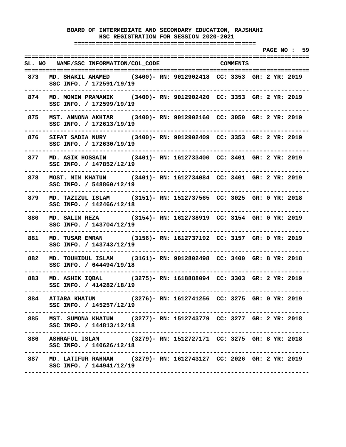**===================================================** 

 **PAGE NO : 59 ================================================================================ SL. NO NAME/SSC INFORMATION/COL\_CODE COMMENTS ================================================================================ 873 MD. SHAKIL AHAMED (3400)- RN: 9012902418 CC: 3353 GR: 2 YR: 2019 SSC INFO. / 172591/19/19 -------------------------------------------------------------------------------- 874 MD. MOMIN PRAMANIK (3400)- RN: 9012902420 CC: 3353 GR: 2 YR: 2019 SSC INFO. / 172599/19/19 -------------------------------------------------------------------------------- 875 MST. ANNONA AKHTAR (3400)- RN: 9012902160 CC: 3050 GR: 2 YR: 2019 SSC INFO. / 172613/19/19 -------------------------------------------------------------------------------- 876 SIFAT SADIA NURY (3400)- RN: 9012902409 CC: 3353 GR: 2 YR: 2019 SSC INFO. / 172630/19/19 -------------------------------------------------------------------------------- 877 MD. ASIK HOSSAIN (3401)- RN: 1612733400 CC: 3401 GR: 2 YR: 2019 SSC INFO. / 147852/12/19 -------------------------------------------------------------------------------- 878 MOST. MIM KHATUN (3401)- RN: 1612734084 CC: 3401 GR: 2 YR: 2019 SSC INFO. / 548860/12/19 -------------------------------------------------------------------------------- 879 MD. TAZIZUL ISLAM (3151)- RN: 1512737565 CC: 3025 GR: 0 YR: 2018 SSC INFO. / 142466/12/18 -------------------------------------------------------------------------------- 880 MD. SALIM REZA (3154)- RN: 1612738919 CC: 3154 GR: 0 YR: 2019 SSC INFO. / 143704/12/19 -------------------------------------------------------------------------------- 881 MD. TUSAR EMRAN (3156)- RN: 1612737192 CC: 3157 GR: 0 YR: 2019 SSC INFO. / 143743/12/19 -------------------------------------------------------------------------------- 882 MD. TOUHIDUL ISLAM (3161)- RN: 9012802498 CC: 3400 GR: 8 YR: 2018 SSC INFO. / 644494/19/18 -------------------------------------------------------------------------------- 883 MD. ASHIK IQBAL (3275)- RN: 1618888094 CC: 3303 GR: 2 YR: 2019 SSC INFO. / 414282/18/19 -------------------------------------------------------------------------------- 884 ATIARA KHATUN (3276)- RN: 1612741256 CC: 3275 GR: 0 YR: 2019 SSC INFO. / 145257/12/19 -------------------------------------------------------------------------------- 885 MST. SUMONA KHATUN (3277)- RN: 1512743779 CC: 3277 GR: 2 YR: 2018 SSC INFO. / 144813/12/18 -------------------------------------------------------------------------------- 886 ASHRAFUL ISLAM (3279)- RN: 1512727171 CC: 3275 GR: 8 YR: 2018 SSC INFO. / 140626/12/18 -------------------------------------------------------------------------------- 887 MD. LATIFUR RAHMAN (3279)- RN: 1612743127 CC: 2026 GR: 2 YR: 2019 SSC INFO. / 144941/12/19 --------------------------------------------------------------------------------**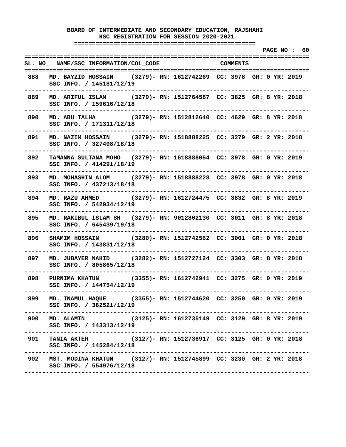**===================================================** 

 **PAGE NO : 60 ================================================================================ SL. NO NAME/SSC INFORMATION/COL\_CODE COMMENTS ================================================================================ 888 MD. BAYZID HOSSAIN (3279)- RN: 1612742269 CC: 3978 GR: 0 YR: 2019 SSC INFO. / 145181/12/19 -------------------------------------------------------------------------------- 889 MD. ARIFUL ISLAM (3279)- RN: 1512764587 CC: 3825 GR: 8 YR: 2018 SSC INFO. / 159616/12/18 -------------------------------------------------------------------------------- 890 MD. ABU TALHA (3279)- RN: 1512812640 CC: 4629 GR: 8 YR: 2018 SSC INFO. / 171311/12/18 -------------------------------------------------------------------------------- 891 MD. NAZIM HOSSAIN (3279)- RN: 1518888225 CC: 3279 GR: 2 YR: 2018 SSC INFO. / 327498/18/18 -------------------------------------------------------------------------------- 892 TAMANNA SULTANA MOHO (3279)- RN: 1618888054 CC: 3978 GR: 0 YR: 2019 SSC INFO. / 414291/18/19 -------------------------------------------------------------------------------- 893 MD. MOHASHIN ALOM (3279)- RN: 1518888228 CC: 3978 GR: 0 YR: 2018 SSC INFO. / 437213/18/18 -------------------------------------------------------------------------------- 894 MD. RAZU AHMED (3279)- RN: 1612724475 CC: 3832 GR: 8 YR: 2019 SSC INFO. / 542934/12/19 -------------------------------------------------------------------------------- 895 MD. RAKIBUL ISLAM SH (3279)- RN: 9012802130 CC: 3011 GR: 8 YR: 2018 SSC INFO. / 645439/19/18 -------------------------------------------------------------------------------- 896 SHAMIM HOSSAIN (3280)- RN: 1512742562 CC: 3001 GR: 0 YR: 2018 SSC INFO. / 143831/12/18 -------------------------------------------------------------------------------- 897 MD. JUBAYER NAHID (3282)- RN: 1512727124 CC: 3303 GR: 8 YR: 2018 SSC INFO. / 805865/12/18 -------------------------------------------------------------------------------- 898 PURNIMA KHATUN (3355)- RN: 1612742941 CC: 3275 GR: 0 YR: 2019 SSC INFO. / 144754/12/19 -------------------------------------------------------------------------------- 899 MD. INAMUL HAQUE (3355)- RN: 1512744620 CC: 3250 GR: 0 YR: 2019 SSC INFO. / 362521/12/19 -------------------------------------------------------------------------------- 900 MD. ALAMIN (3125)- RN: 1612735149 CC: 3129 GR: 8 YR: 2019 SSC INFO. / 143313/12/19 -------------------------------------------------------------------------------- 901 TANIA AKTER (3127)- RN: 1512736917 CC: 3125 GR: 0 YR: 2018 SSC INFO. / 145284/12/18 -------------------------------------------------------------------------------- 902 MST. MODINA KHATUN (3127)- RN: 1512745899 CC: 3230 GR: 2 YR: 2018 SSC INFO. / 554976/12/18 --------------------------------------------------------------------------------**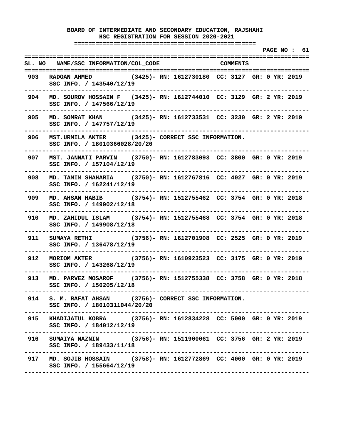**===================================================** 

 **PAGE NO : 61 ================================================================================ SL. NO NAME/SSC INFORMATION/COL\_CODE COMMENTS ================================================================================ 903 RADOAN AHMED (3425)- RN: 1612730180 CC: 3127 GR: 0 YR: 2019 SSC INFO. / 143540/12/19 -------------------------------------------------------------------------------- 904 MD. SOUROV HOSSAIN F (3425)- RN: 1612744010 CC: 3129 GR: 2 YR: 2019 SSC INFO. / 147566/12/19 -------------------------------------------------------------------------------- 905 MD. SOMRAT KHAN (3425)- RN: 1612733531 CC: 3230 GR: 2 YR: 2019 SSC INFO. / 147757/12/19 -------------------------------------------------------------------------------- 906 MST.URMILA AKTER (3425)- CORRECT SSC INFORMATION. SSC INFO. / 18010366028/20/20 -------------------------------------------------------------------------------- 907 MST. JANNATI PARVIN (3750)- RN: 1612783093 CC: 3800 GR: 0 YR: 2019 SSC INFO. / 157104/12/19 -------------------------------------------------------------------------------- 908 MD. TAMIM SHAHARIA (3750)- RN: 1612767816 CC: 4027 GR: 0 YR: 2019 SSC INFO. / 162241/12/19 -------------------------------------------------------------------------------- 909 MD. AHSAN HABIB (3754)- RN: 1512755462 CC: 3754 GR: 0 YR: 2018 SSC INFO. / 149902/12/18 -------------------------------------------------------------------------------- 910 MD. ZAHIDUL ISLAM (3754)- RN: 1512755468 CC: 3754 GR: 0 YR: 2018 SSC INFO. / 149908/12/18 -------------------------------------------------------------------------------- 911 SUMAYA RETHI (3756)- RN: 1612701908 CC: 2525 GR: 0 YR: 2019 SSC INFO. / 136478/12/19 -------------------------------------------------------------------------------- 912 MORIOM AKTER (3756)- RN: 1610923523 CC: 3175 GR: 0 YR: 2019 SSC INFO. / 143268/12/19 -------------------------------------------------------------------------------- 913 MD. PARVEZ MOSAROF (3756)- RN: 1512755338 CC: 3758 GR: 0 YR: 2018 SSC INFO. / 150205/12/18 -------------------------------------------------------------------------------- 914 S. M. RAFAT AHSAN (3756)- CORRECT SSC INFORMATION. SSC INFO. / 18010311044/20/20 -------------------------------------------------------------------------------- 915 KHADIJATUL KOBRA (3756)- RN: 1612834228 CC: 5000 GR: 0 YR: 2019 SSC INFO. / 184012/12/19 -------------------------------------------------------------------------------- 916 SUMAIYA NAZNIN (3756)- RN: 1511900061 CC: 3756 GR: 2 YR: 2019 SSC INFO. / 189433/11/18 -------------------------------------------------------------------------------- 917 MD. SOJIB HOSSAIN (3758)- RN: 1612772869 CC: 4000 GR: 0 YR: 2019 SSC INFO. / 155664/12/19 --------------------------------------------------------------------------------**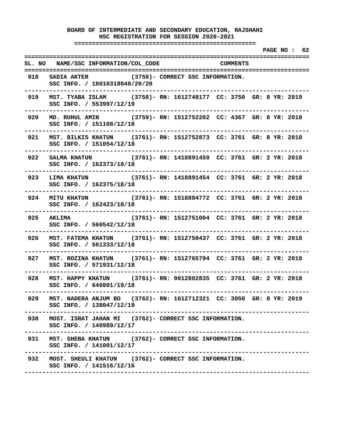**===================================================** 

 **PAGE NO : 62 ================================================================================ SL. NO NAME/SSC INFORMATION/COL\_CODE COMMENTS ================================================================================ 918 SADIA AKTER (3758)- CORRECT SSC INFORMATION. SSC INFO. / 18010318048/20/20 -------------------------------------------------------------------------------- 919 MST. TYABA ISLAM (3758)- RN: 1612748177 CC: 3750 GR: 8 YR: 2019 SSC INFO. / 553997/12/19 -------------------------------------------------------------------------------- 920 MD. RUHUL AMIN (3759)- RN: 1512752202 CC: 4367 GR: 8 YR: 2018 SSC INFO. / 151108/12/18 -------------------------------------------------------------------------------- 921 MST. BILKIS KHATUN (3761)- RN: 1512752873 CC: 3761 GR: 8 YR: 2018 SSC INFO. / 151054/12/18 -------------------------------------------------------------------------------- 922 SALMA KHATUN (3761)- RN: 1418891459 CC: 3761 GR: 2 YR: 2018 SSC INFO. / 162373/18/18 -------------------------------------------------------------------------------- 923 LIMA KHATUN (3761)- RN: 1418891454 CC: 3761 GR: 2 YR: 2018 SSC INFO. / 162375/18/18 -------------------------------------------------------------------------------- 924 MITU KHATUN (3761)- RN: 1518884772 CC: 3761 GR: 2 YR: 2018 SSC INFO. / 162423/18/18 -------------------------------------------------------------------------------- 925 AKLIMA (3761)- RN: 1512751004 CC: 3761 GR: 2 YR: 2018 SSC INFO. / 560542/12/18 -------------------------------------------------------------------------------- 926 MST. FATEMA KHATUN (3761)- RN: 1512750437 CC: 3761 GR: 2 YR: 2018 SSC INFO. / 561333/12/18 -------------------------------------------------------------------------------- 927 MST. ROZINA KHATUN (3761)- RN: 1512765794 CC: 3761 GR: 2 YR: 2018 SSC INFO. / 571931/12/18 -------------------------------------------------------------------------------- 928 MST. HAPPY KHATUN (3761)- RN: 9012802835 CC: 3761 GR: 2 YR: 2018 SSC INFO. / 640801/19/18 -------------------------------------------------------------------------------- 929 MST. NADERA ANJUM BO (3762)- RN: 1612712321 CC: 3050 GR: 0 YR: 2019 SSC INFO. / 138047/12/19 -------------------------------------------------------------------------------- 930 MOST. ISRAT JAHAN MI (3762)- CORRECT SSC INFORMATION. SSC INFO. / 140989/12/17 -------------------------------------------------------------------------------- 931 MST. SHEBA KHATUN (3762)- CORRECT SSC INFORMATION. SSC INFO. / 141001/12/17 -------------------------------------------------------------------------------- 932 MOST. SHEULI KHATUN (3762)- CORRECT SSC INFORMATION. SSC INFO. / 141516/12/16 --------------------------------------------------------------------------------**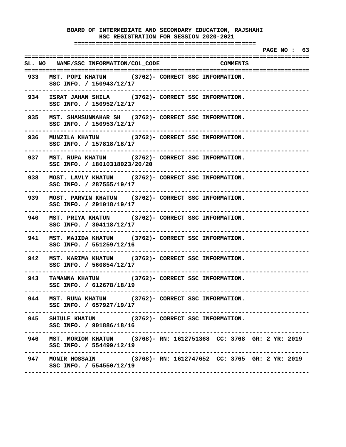**BOARD OF INTERMEDIATE AND SECONDARY EDUCATION, RAJSHAHI HSC REGISTRATION FOR SESSION 2020-2021 =================================================== PAGE NO : 63 ================================================================================ SL. NO NAME/SSC INFORMATION/COL\_CODE COMMENTS ================================================================================ 933 MST. POPI KHATUN (3762)- CORRECT SSC INFORMATION. SSC INFO. / 150943/12/17 -------------------------------------------------------------------------------- 934 ISRAT JAHAN SHILA (3762)- CORRECT SSC INFORMATION. SSC INFO. / 150952/12/17 -------------------------------------------------------------------------------- 935 MST. SHAMSUNNAHAR SH (3762)- CORRECT SSC INFORMATION. SSC INFO. / 150953/12/17 -------------------------------------------------------------------------------- 936 MUNZILA KHATUN (3762)- CORRECT SSC INFORMATION. SSC INFO. / 157818/18/17 -------------------------------------------------------------------------------- 937 MST. RUPA KHATUN (3762)- CORRECT SSC INFORMATION. SSC INFO. / 18010318023/20/20 -------------------------------------------------------------------------------- 938 MOST. LAVLY KHATUN (3762)- CORRECT SSC INFORMATION. SSC INFO. / 287555/19/17 -------------------------------------------------------------------------------- 939 MOST. PARVIN KHATUN (3762)- CORRECT SSC INFORMATION. SSC INFO. / 291018/19/17 -------------------------------------------------------------------------------- 940 MST. PRIYA KHATUN (3762)- CORRECT SSC INFORMATION. SSC INFO. / 304118/12/17 -------------------------------------------------------------------------------- 941 MST. MAJIDA KHATUN (3762)- CORRECT SSC INFORMATION. SSC INFO. / 551259/12/16 -------------------------------------------------------------------------------- 942 MST. KARIMA KHATUN (3762)- CORRECT SSC INFORMATION. SSC INFO. / 560854/12/17 -------------------------------------------------------------------------------- 943 TAMANNA KHATUN (3762)- CORRECT SSC INFORMATION. SSC INFO. / 612678/18/19 -------------------------------------------------------------------------------- 944 MST. RUNA KHATUN (3762)- CORRECT SSC INFORMATION. SSC INFO. / 657927/19/17 -------------------------------------------------------------------------------- 945 SHIULE KHATUN (3762)- CORRECT SSC INFORMATION. SSC INFO. / 901886/18/16 -------------------------------------------------------------------------------- 946 MST. MORIOM KHATUN (3768)- RN: 1612751368 CC: 3768 GR: 2 YR: 2019 SSC INFO. / 554499/12/19 -------------------------------------------------------------------------------- 947 MONIR HOSSAIN (3768)- RN: 1612747652 CC: 3765 GR: 2 YR: 2019 SSC INFO. / 554550/12/19 --------------------------------------------------------------------------------**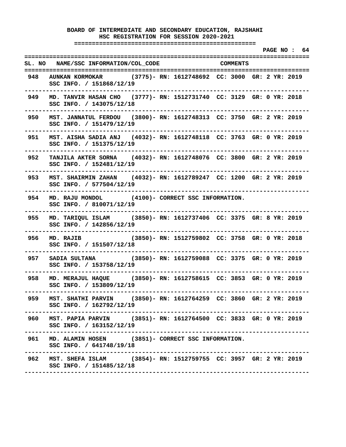**===================================================** 

 **PAGE NO : 64 ================================================================================ SL. NO NAME/SSC INFORMATION/COL\_CODE COMMENTS ================================================================================ 948 AUNKAN KORMOKAR (3775)- RN: 1612748692 CC: 3000 GR: 2 YR: 2019 SSC INFO. / 151868/12/19 -------------------------------------------------------------------------------- 949 MD. TANVIR HASAN CHO (3777)- RN: 1512731740 CC: 3129 GR: 0 YR: 2018 SSC INFO. / 143075/12/18 -------------------------------------------------------------------------------- 950 MST. JANNATUL FERDOU (3800)- RN: 1612748313 CC: 3750 GR: 2 YR: 2019 SSC INFO. / 151479/12/19 -------------------------------------------------------------------------------- 951 MST. AISHA SADIA ANJ (4032)- RN: 1612748118 CC: 3763 GR: 0 YR: 2019 SSC INFO. / 151375/12/19 -------------------------------------------------------------------------------- 952 TANJILA AKTER SORNA (4032)- RN: 1612748076 CC: 3800 GR: 2 YR: 2019 SSC INFO. / 152481/12/19 -------------------------------------------------------------------------------- 953 MST. SHAIRMIN ZAHAN (4032)- RN: 1612789247 CC: 1200 GR: 2 YR: 2019 SSC INFO. / 577504/12/19 -------------------------------------------------------------------------------- 954 MD. RAJU MONDOL (4100)- CORRECT SSC INFORMATION. SSC INFO. / 810071/12/19 -------------------------------------------------------------------------------- 955 MD. TARIQUL ISLAM (3850)- RN: 1612737406 CC: 3375 GR: 8 YR: 2019 SSC INFO. / 142856/12/19 -------------------------------------------------------------------------------- 956 MD. RAJIB (3850)- RN: 1512759802 CC: 3758 GR: 0 YR: 2018 SSC INFO. / 151507/12/18 -------------------------------------------------------------------------------- 957 SADIA SULTANA (3850)- RN: 1612759088 CC: 3375 GR: 0 YR: 2019 SSC INFO. / 153758/12/19 -------------------------------------------------------------------------------- 958 MD. MERAJUL HAQUE (3850)- RN: 1612758615 CC: 3853 GR: 0 YR: 2019 SSC INFO. / 153809/12/19 -------------------------------------------------------------------------------- 959 MST. SHATHI PARVIN (3850)- RN: 1612764259 CC: 3860 GR: 2 YR: 2019 SSC INFO. / 162792/12/19 -------------------------------------------------------------------------------- 960 MST. PAPIA PARVIN (3851)- RN: 1612764500 CC: 3833 GR: 0 YR: 2019 SSC INFO. / 163152/12/19 -------------------------------------------------------------------------------- 961 MD. ALAMIN HOSEN (3851)- CORRECT SSC INFORMATION. SSC INFO. / 641748/19/18 -------------------------------------------------------------------------------- 962 MST. SHEFA ISLAM (3854)- RN: 1512759755 CC: 3957 GR: 2 YR: 2019 SSC INFO. / 151485/12/18 --------------------------------------------------------------------------------**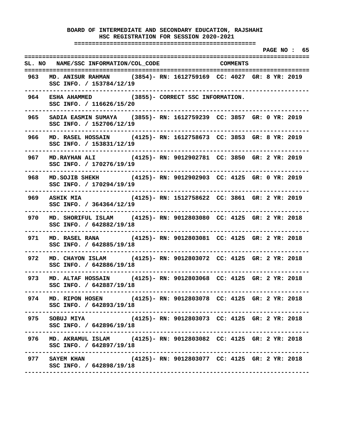**===================================================** 

 **PAGE NO : 65 ================================================================================ SL. NO NAME/SSC INFORMATION/COL\_CODE COMMENTS ================================================================================ 963 MD. ANISUR RAHMAN (3854)- RN: 1612759169 CC: 4027 GR: 8 YR: 2019 SSC INFO. / 153784/12/19 -------------------------------------------------------------------------------- 964 ESHA AHAMMED (3855)- CORRECT SSC INFORMATION. SSC INFO. / 116626/15/20 -------------------------------------------------------------------------------- 965 SADIA EASMIN SUMAYA (3855)- RN: 1612759239 CC: 3857 GR: 0 YR: 2019 SSC INFO. / 152706/12/19 -------------------------------------------------------------------------------- 966 MD. RASEL HOSSAIN (4125)- RN: 1612758673 CC: 3853 GR: 8 YR: 2019 SSC INFO. / 153831/12/19 -------------------------------------------------------------------------------- 967 MD.RAYHAN ALI (4125)- RN: 9012902781 CC: 3850 GR: 2 YR: 2019 SSC INFO. / 170276/19/19 -------------------------------------------------------------------------------- 968 MD.SOJIB SHEKH (4125)- RN: 9012902903 CC: 4125 GR: 0 YR: 2019 SSC INFO. / 170294/19/19 -------------------------------------------------------------------------------- 969 ASHIK MIA (4125)- RN: 1512758622 CC: 3861 GR: 2 YR: 2019 SSC INFO. / 364364/12/19 -------------------------------------------------------------------------------- 970 MD. SHORIFUL ISLAM (4125)- RN: 9012803080 CC: 4125 GR: 2 YR: 2018 SSC INFO. / 642882/19/18 -------------------------------------------------------------------------------- 971 MD. RASEL RANA (4125)- RN: 9012803081 CC: 4125 GR: 2 YR: 2018 SSC INFO. / 642885/19/18 -------------------------------------------------------------------------------- 972 MD. CHAYON ISLAM (4125)- RN: 9012803072 CC: 4125 GR: 2 YR: 2018 SSC INFO. / 642886/19/18 -------------------------------------------------------------------------------- 973 MD. ALTAF HOSSAIN (4125)- RN: 9012803068 CC: 4125 GR: 2 YR: 2018 SSC INFO. / 642887/19/18 -------------------------------------------------------------------------------- 974 MD. RIPON HOSEN (4125)- RN: 9012803078 CC: 4125 GR: 2 YR: 2018 SSC INFO. / 642893/19/18 -------------------------------------------------------------------------------- 975 SOBUJ MIYA (4125)- RN: 9012803073 CC: 4125 GR: 2 YR: 2018 SSC INFO. / 642896/19/18 -------------------------------------------------------------------------------- 976 MD. AKRAMUL ISLAM (4125)- RN: 9012803082 CC: 4125 GR: 2 YR: 2018 SSC INFO. / 642897/19/18 -------------------------------------------------------------------------------- 977 SAYEM KHAN (4125)- RN: 9012803077 CC: 4125 GR: 2 YR: 2018 SSC INFO. / 642898/19/18 --------------------------------------------------------------------------------**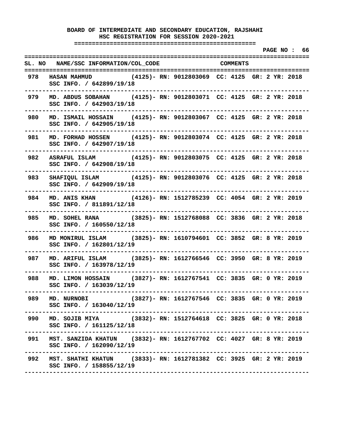**===================================================** 

 **PAGE NO : 66 ================================================================================ SL. NO NAME/SSC INFORMATION/COL\_CODE COMMENTS ================================================================================ 978 HASAN MAHMUD (4125)- RN: 9012803069 CC: 4125 GR: 2 YR: 2018 SSC INFO. / 642899/19/18 -------------------------------------------------------------------------------- 979 MD. ABDUS SOBAHAN (4125)- RN: 9012803071 CC: 4125 GR: 2 YR: 2018 SSC INFO. / 642903/19/18 -------------------------------------------------------------------------------- 980 MD. ISMAIL HOSSAIN (4125)- RN: 9012803067 CC: 4125 GR: 2 YR: 2018 SSC INFO. / 642905/19/18 -------------------------------------------------------------------------------- 981 MD. FORHAD HOSSEN (4125)- RN: 9012803074 CC: 4125 GR: 2 YR: 2018 SSC INFO. / 642907/19/18 -------------------------------------------------------------------------------- 982 ASRAFUL ISLAM (4125)- RN: 9012803075 CC: 4125 GR: 2 YR: 2018 SSC INFO. / 642908/19/18 -------------------------------------------------------------------------------- 983 SHAFIQUL ISLAM (4125)- RN: 9012803076 CC: 4125 GR: 2 YR: 2018 SSC INFO. / 642909/19/18 -------------------------------------------------------------------------------- 984 MD. ANIS KHAN (4126)- RN: 1512785239 CC: 4054 GR: 2 YR: 2019 SSC INFO. / 811891/12/18 -------------------------------------------------------------------------------- 985 MD. SOHEL RANA (3825)- RN: 1512768088 CC: 3836 GR: 2 YR: 2018 SSC INFO. / 160550/12/18 -------------------------------------------------------------------------------- 986 MD MONIRUL ISLAM (3825)- RN: 1610794601 CC: 3852 GR: 8 YR: 2019 SSC INFO. / 162801/12/19 -------------------------------------------------------------------------------- 987 MD. ARIFUL ISLAM (3825)- RN: 1612766546 CC: 3950 GR: 8 YR: 2019 SSC INFO. / 163978/12/19 -------------------------------------------------------------------------------- 988 MD. LIMON HOSSAIN (3827)- RN: 1612767541 CC: 3835 GR: 0 YR: 2019 SSC INFO. / 163039/12/19 -------------------------------------------------------------------------------- 989 MD. NURNOBI (3827)- RN: 1612767546 CC: 3835 GR: 0 YR: 2019 SSC INFO. / 163040/12/19 -------------------------------------------------------------------------------- 990 MD. SOJIB MIYA (3832)- RN: 1512764618 CC: 3825 GR: 0 YR: 2018 SSC INFO. / 161125/12/18 -------------------------------------------------------------------------------- 991 MST. SANZIDA KHATUN (3832)- RN: 1612767702 CC: 4027 GR: 8 YR: 2019 SSC INFO. / 162090/12/19 -------------------------------------------------------------------------------- 992 MST. SHATHI KHATUN (3833)- RN: 1612781382 CC: 3925 GR: 2 YR: 2019 SSC INFO. / 158855/12/19 --------------------------------------------------------------------------------**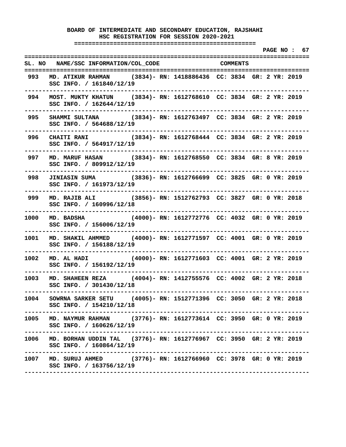**===================================================** 

 **PAGE NO : 67 ================================================================================ SL. NO NAME/SSC INFORMATION/COL\_CODE COMMENTS ================================================================================ 993 MD. ATIKUR RAHMAN (3834)- RN: 1418886436 CC: 3834 GR: 2 YR: 2019 SSC INFO. / 161840/12/19 -------------------------------------------------------------------------------- 994 MOST. MUKTY KHATUN (3834)- RN: 1612768610 CC: 3834 GR: 2 YR: 2019 SSC INFO. / 162644/12/19 -------------------------------------------------------------------------------- 995 SHAMMI SULTANA (3834)- RN: 1612763497 CC: 3834 GR: 2 YR: 2019 SSC INFO. / 564688/12/19 -------------------------------------------------------------------------------- 996 CHAITI RANI (3834)- RN: 1612768444 CC: 3834 GR: 2 YR: 2019 SSC INFO. / 564917/12/19 -------------------------------------------------------------------------------- 997 MD. MARUF HASAN (3834)- RN: 1612768550 CC: 3834 GR: 8 YR: 2019 SSC INFO. / 809912/12/19 -------------------------------------------------------------------------------- 998 JINIASIN SUMA (3836)- RN: 1612766699 CC: 3825 GR: 0 YR: 2019 SSC INFO. / 161973/12/19 -------------------------------------------------------------------------------- 999 MD. RAJIB ALI (3856)- RN: 1512762793 CC: 3827 GR: 0 YR: 2018 SSC INFO. / 160996/12/18 -------------------------------------------------------------------------------- 1000 MD. BADSHA (4000)- RN: 1612772776 CC: 4032 GR: 0 YR: 2019 SSC INFO. / 156006/12/19 -------------------------------------------------------------------------------- 1001 MD. SHAKIL AHMMED (4000)- RN: 1612771597 CC: 4001 GR: 0 YR: 2019 SSC INFO. / 156188/12/19 -------------------------------------------------------------------------------- 1002 MD. AL HADI (4000)- RN: 1612771603 CC: 4001 GR: 2 YR: 2019 SSC INFO. / 156192/12/19 -------------------------------------------------------------------------------- 1003 MD. SHAHEEN REZA (4004)- RN: 1412755576 CC: 4002 GR: 2 YR: 2018 SSC INFO. / 301430/12/18 -------------------------------------------------------------------------------- 1004 SOWRNA SARKER SETU (4005)- RN: 1512771396 CC: 3050 GR: 2 YR: 2018 SSC INFO. / 154210/12/18 -------------------------------------------------------------------------------- 1005 MD. NAYMUR RAHMAN (3776)- RN: 1612773614 CC: 3950 GR: 0 YR: 2019 SSC INFO. / 160626/12/19 -------------------------------------------------------------------------------- 1006 MD. BORHAN UDDIN TAL (3776)- RN: 1612776967 CC: 3950 GR: 2 YR: 2019 SSC INFO. / 160864/12/19 -------------------------------------------------------------------------------- 1007 MD. SURUJ AHMED (3776)- RN: 1612766960 CC: 3978 GR: 0 YR: 2019 SSC INFO. / 163756/12/19 --------------------------------------------------------------------------------**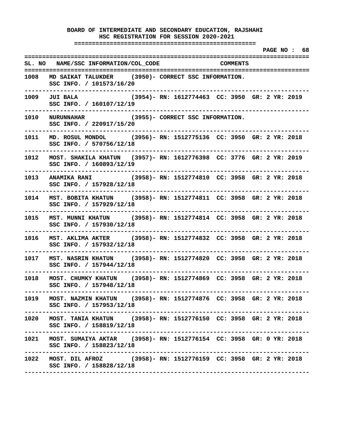**===================================================** 

 **PAGE NO : 68 ================================================================================ SL. NO NAME/SSC INFORMATION/COL\_CODE COMMENTS ================================================================================ 1008 MD SAIKAT TALUKDER (3950)- CORRECT SSC INFORMATION. SSC INFO. / 101573/16/20 -------------------------------------------------------------------------------- 1009 JUI BALA (3954)- RN: 1612774463 CC: 3950 GR: 2 YR: 2019 SSC INFO. / 160107/12/19 -------------------------------------------------------------------------------- 1010 NURUNNAHAR (3955)- CORRECT SSC INFORMATION. SSC INFO. / 220917/15/20 -------------------------------------------------------------------------------- 1011 MD. ROSUL MONDOL (3956)- RN: 1512775136 CC: 3950 GR: 2 YR: 2018 SSC INFO. / 570756/12/18 -------------------------------------------------------------------------------- 1012 MOST. SHAKILA KHATUN (3957)- RN: 1612776398 CC: 3776 GR: 2 YR: 2019 SSC INFO. / 160893/12/19 -------------------------------------------------------------------------------- 1013 ANAMIKA RANI (3958)- RN: 1512774810 CC: 3958 GR: 2 YR: 2018 SSC INFO. / 157928/12/18 -------------------------------------------------------------------------------- 1014 MST. BOBITA KHATUN (3958)- RN: 1512774811 CC: 3958 GR: 2 YR: 2018 SSC INFO. / 157929/12/18 -------------------------------------------------------------------------------- 1015 MST. MUNNI KHATUN (3958)- RN: 1512774814 CC: 3958 GR: 2 YR: 2018 SSC INFO. / 157930/12/18 -------------------------------------------------------------------------------- 1016 MST. AKLIMA AKTER (3958)- RN: 1512774832 CC: 3958 GR: 2 YR: 2018 SSC INFO. / 157932/12/18 -------------------------------------------------------------------------------- 1017 MST. NASRIN KHATUN (3958)- RN: 1512774820 CC: 3958 GR: 2 YR: 2018 SSC INFO. / 157944/12/18 -------------------------------------------------------------------------------- 1018 MOST. CHUMKY KHATUN (3958)- RN: 1512774869 CC: 3958 GR: 2 YR: 2018 SSC INFO. / 157948/12/18 -------------------------------------------------------------------------------- 1019 MOST. NAZMIN KHATUN (3958)- RN: 1512774876 CC: 3958 GR: 2 YR: 2018 SSC INFO. / 157953/12/18 -------------------------------------------------------------------------------- 1020 MOST. TANIA KHATUN (3958)- RN: 1512776150 CC: 3958 GR: 2 YR: 2018 SSC INFO. / 158819/12/18 -------------------------------------------------------------------------------- 1021 MOST. SUMAIYA AKTAR (3958)- RN: 1512776154 CC: 3958 GR: 0 YR: 2018 SSC INFO. / 158823/12/18 -------------------------------------------------------------------------------- 1022 MOST. DIL AFROZ (3958)- RN: 1512776159 CC: 3958 GR: 2 YR: 2018 SSC INFO. / 158828/12/18 --------------------------------------------------------------------------------**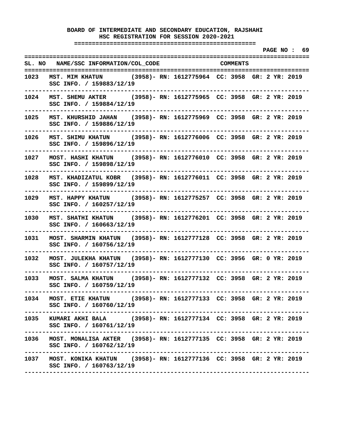**===================================================** 

 **PAGE NO : 69 ================================================================================ SL. NO NAME/SSC INFORMATION/COL\_CODE COMMENTS ================================================================================ 1023 MST. MIM KHATUN (3958)- RN: 1612775964 CC: 3958 GR: 2 YR: 2019 SSC INFO. / 159883/12/19 -------------------------------------------------------------------------------- 1024 MST. SHEMU AKTER (3958)- RN: 1612775965 CC: 3958 GR: 2 YR: 2019 SSC INFO. / 159884/12/19 -------------------------------------------------------------------------------- 1025 MST. KHURSHID JAHAN (3958)- RN: 1612775969 CC: 3958 GR: 2 YR: 2019 SSC INFO. / 159886/12/19 -------------------------------------------------------------------------------- 1026 MST. SHIMU KHATUN (3958)- RN: 1612776006 CC: 3958 GR: 2 YR: 2019 SSC INFO. / 159896/12/19 -------------------------------------------------------------------------------- 1027 MOST. HASHI KHATUN (3958)- RN: 1612776010 CC: 3958 GR: 2 YR: 2019 SSC INFO. / 159898/12/19 -------------------------------------------------------------------------------- 1028 MST. KHADIZATUL KOBR (3958)- RN: 1612776011 CC: 3958 GR: 2 YR: 2019 SSC INFO. / 159899/12/19 -------------------------------------------------------------------------------- 1029 MST. HAPPY KHATUN (3958)- RN: 1612775257 CC: 3958 GR: 2 YR: 2019 SSC INFO. / 160257/12/19 -------------------------------------------------------------------------------- 1030 MST. SHATHI KHATUN (3958)- RN: 1612776201 CC: 3958 GR: 2 YR: 2019 SSC INFO. / 160663/12/19 -------------------------------------------------------------------------------- 1031 MOST. SHARMIN KHATUN (3958)- RN: 1612777128 CC: 3958 GR: 2 YR: 2019 SSC INFO. / 160756/12/19 -------------------------------------------------------------------------------- 1032 MOST. JULEKHA KHATUN (3958)- RN: 1612777130 CC: 3956 GR: 0 YR: 2019 SSC INFO. / 160757/12/19 -------------------------------------------------------------------------------- 1033 MOST. SALMA KHATUN (3958)- RN: 1612777132 CC: 3958 GR: 2 YR: 2019 SSC INFO. / 160759/12/19 -------------------------------------------------------------------------------- 1034 MOST. ETIE KHATUN (3958)- RN: 1612777133 CC: 3958 GR: 2 YR: 2019 SSC INFO. / 160760/12/19 -------------------------------------------------------------------------------- 1035 KUMARI AKHI BALA (3958)- RN: 1612777134 CC: 3958 GR: 2 YR: 2019 SSC INFO. / 160761/12/19 -------------------------------------------------------------------------------- 1036 MOST. MONALISA AKTER (3958)- RN: 1612777135 CC: 3958 GR: 2 YR: 2019 SSC INFO. / 160762/12/19 -------------------------------------------------------------------------------- 1037 MOST. KONIKA KHATUN (3958)- RN: 1612777136 CC: 3958 GR: 2 YR: 2019 SSC INFO. / 160763/12/19 --------------------------------------------------------------------------------**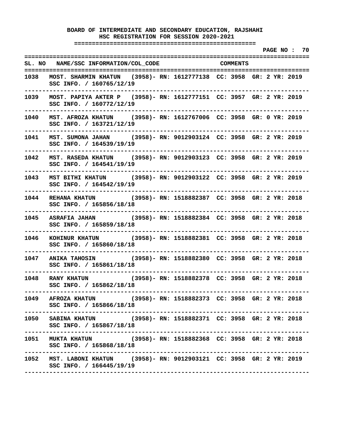**===================================================** 

 **PAGE NO : 70 ================================================================================ SL. NO NAME/SSC INFORMATION/COL\_CODE COMMENTS ================================================================================ 1038 MOST. SHARMIN KHATUN (3958)- RN: 1612777138 CC: 3958 GR: 2 YR: 2019 SSC INFO. / 160765/12/19 -------------------------------------------------------------------------------- 1039 MOST. PAPIYA AKTER P (3958)- RN: 1612777151 CC: 3957 GR: 2 YR: 2019 SSC INFO. / 160772/12/19 -------------------------------------------------------------------------------- 1040 MST. AFROZA KHATUN (3958)- RN: 1612767006 CC: 3958 GR: 0 YR: 2019 SSC INFO. / 163721/12/19 -------------------------------------------------------------------------------- 1041 MST. SUMONA JAHAN (3958)- RN: 9012903124 CC: 3958 GR: 2 YR: 2019 SSC INFO. / 164539/19/19 -------------------------------------------------------------------------------- 1042 MST. RASEDA KHATUN (3958)- RN: 9012903123 CC: 3958 GR: 2 YR: 2019 SSC INFO. / 164541/19/19 -------------------------------------------------------------------------------- 1043 MST BITHI KHATUN (3958)- RN: 9012903122 CC: 3958 GR: 2 YR: 2019 SSC INFO. / 164542/19/19 -------------------------------------------------------------------------------- 1044 REHANA KHATUN (3958)- RN: 1518882387 CC: 3958 GR: 2 YR: 2018 SSC INFO. / 165856/18/18 -------------------------------------------------------------------------------- 1045 ASRAFIA JAHAN (3958)- RN: 1518882384 CC: 3958 GR: 2 YR: 2018 SSC INFO. / 165859/18/18 -------------------------------------------------------------------------------- 1046 KOHINUR KHATUN (3958)- RN: 1518882381 CC: 3958 GR: 2 YR: 2018 SSC INFO. / 165860/18/18 -------------------------------------------------------------------------------- 1047 ANIKA TAHOSIN (3958)- RN: 1518882380 CC: 3958 GR: 2 YR: 2018 SSC INFO. / 165861/18/18 -------------------------------------------------------------------------------- 1048 RANY KHATUN (3958)- RN: 1518882378 CC: 3958 GR: 2 YR: 2018 SSC INFO. / 165862/18/18 -------------------------------------------------------------------------------- 1049 AFROZA KHATUN (3958)- RN: 1518882373 CC: 3958 GR: 2 YR: 2018 SSC INFO. / 165866/18/18 -------------------------------------------------------------------------------- 1050 SABINA KHATUN (3958)- RN: 1518882371 CC: 3958 GR: 2 YR: 2018 SSC INFO. / 165867/18/18 -------------------------------------------------------------------------------- 1051 MUKTA KHATUN (3958)- RN: 1518882368 CC: 3958 GR: 2 YR: 2018 SSC INFO. / 165868/18/18 -------------------------------------------------------------------------------- 1052 MST. LABONI KHATUN (3958)- RN: 9012903121 CC: 3958 GR: 2 YR: 2019 SSC INFO. / 166445/19/19 --------------------------------------------------------------------------------**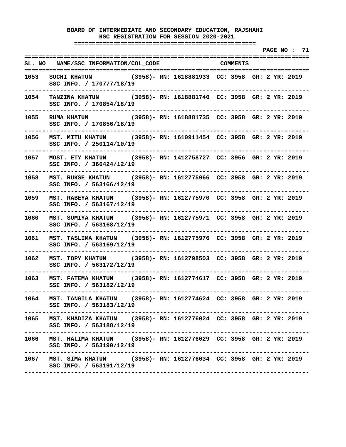**===================================================** 

 **PAGE NO : 71 ================================================================================ SL. NO NAME/SSC INFORMATION/COL\_CODE COMMENTS ================================================================================ 1053 SUCHI KHATUN (3958)- RN: 1618881933 CC: 3958 GR: 2 YR: 2019 SSC INFO. / 170777/18/19 -------------------------------------------------------------------------------- 1054 TANZINA KHATUN (3958)- RN: 1618881740 CC: 3958 GR: 2 YR: 2019 SSC INFO. / 170854/18/19 -------------------------------------------------------------------------------- 1055 RUMA KHATUN (3958)- RN: 1618881735 CC: 3958 GR: 2 YR: 2019 SSC INFO. / 170856/18/19 -------------------------------------------------------------------------------- 1056 MST. MITU KHATUN (3958)- RN: 1610911454 CC: 3958 GR: 2 YR: 2019 SSC INFO. / 250114/10/19 -------------------------------------------------------------------------------- 1057 MOST. ETY KHATUN (3958)- RN: 1412758727 CC: 3956 GR: 2 YR: 2019 SSC INFO. / 366424/12/19 -------------------------------------------------------------------------------- 1058 MST. RUKSE KHATUN (3958)- RN: 1612775966 CC: 3958 GR: 2 YR: 2019 SSC INFO. / 563166/12/19 -------------------------------------------------------------------------------- 1059 MST. RABEYA KHATUN (3958)- RN: 1612775970 CC: 3958 GR: 2 YR: 2019 SSC INFO. / 563167/12/19 -------------------------------------------------------------------------------- 1060 MST. SUMIYA KHATUN (3958)- RN: 1612775971 CC: 3958 GR: 2 YR: 2019 SSC INFO. / 563168/12/19 -------------------------------------------------------------------------------- 1061 MST. TASLIMA KHATUN (3958)- RN: 1612775976 CC: 3958 GR: 2 YR: 2019 SSC INFO. / 563169/12/19 -------------------------------------------------------------------------------- 1062 MST. TOPY KHATUN (3958)- RN: 1612798503 CC: 3958 GR: 2 YR: 2019 SSC INFO. / 563172/12/19 -------------------------------------------------------------------------------- 1063 MST. FATEMA KHATUN (3958)- RN: 1612774617 CC: 3958 GR: 2 YR: 2019 SSC INFO. / 563182/12/19 -------------------------------------------------------------------------------- 1064 MST. TANGILA KHATUN (3958)- RN: 1612774624 CC: 3958 GR: 2 YR: 2019 SSC INFO. / 563183/12/19 -------------------------------------------------------------------------------- 1065 MST. KHADIZA KHATUN (3958)- RN: 1612776024 CC: 3958 GR: 2 YR: 2019 SSC INFO. / 563188/12/19 -------------------------------------------------------------------------------- 1066 MST. HALIMA KHATUN (3958)- RN: 1612776029 CC: 3958 GR: 2 YR: 2019 SSC INFO. / 563190/12/19 -------------------------------------------------------------------------------- 1067 MST. SIMA KHATUN (3958)- RN: 1612776034 CC: 3958 GR: 2 YR: 2019 SSC INFO. / 563191/12/19 --------------------------------------------------------------------------------**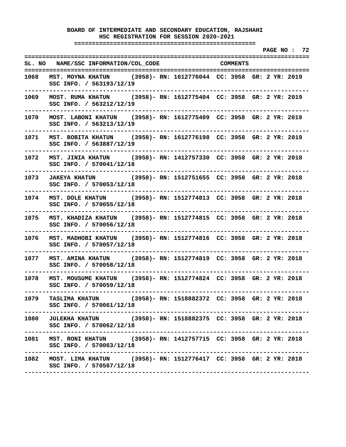**===================================================** 

 **PAGE NO : 72 ================================================================================ SL. NO NAME/SSC INFORMATION/COL\_CODE COMMENTS ================================================================================ 1068 MST. MOYNA KHATUN (3958)- RN: 1612776044 CC: 3958 GR: 2 YR: 2019 SSC INFO. / 563193/12/19 -------------------------------------------------------------------------------- 1069 MOST. RUMA KHATUN (3958)- RN: 1612775404 CC: 3958 GR: 2 YR: 2019 SSC INFO. / 563212/12/19 -------------------------------------------------------------------------------- 1070 MOST. LABONI KHATUN (3958)- RN: 1612775409 CC: 3958 GR: 2 YR: 2019 SSC INFO. / 563213/12/19 -------------------------------------------------------------------------------- 1071 MST. BOBITA KHATUN (3958)- RN: 1612776198 CC: 3958 GR: 2 YR: 2019 SSC INFO. / 563887/12/19 -------------------------------------------------------------------------------- 1072 MST. JINIA KHATUN (3958)- RN: 1412757330 CC: 3958 GR: 2 YR: 2018 SSC INFO. / 570041/12/18 -------------------------------------------------------------------------------- 1073 JAKEYA KHATUN (3958)- RN: 1512751655 CC: 3958 GR: 2 YR: 2018 SSC INFO. / 570053/12/18 -------------------------------------------------------------------------------- 1074 MST. DOLE KHATUN (3958)- RN: 1512774813 CC: 3958 GR: 2 YR: 2018 SSC INFO. / 570055/12/18 -------------------------------------------------------------------------------- 1075 MST. KHADIZA KHATUN (3958)- RN: 1512774815 CC: 3958 GR: 2 YR: 2018 SSC INFO. / 570056/12/18 -------------------------------------------------------------------------------- 1076 MST. MADHOBI KHATUN (3958)- RN: 1512774816 CC: 3958 GR: 2 YR: 2018 SSC INFO. / 570057/12/18 -------------------------------------------------------------------------------- 1077 MST. AMINA KHATUN (3958)- RN: 1512774819 CC: 3958 GR: 2 YR: 2018 SSC INFO. / 570058/12/18 -------------------------------------------------------------------------------- 1078 MST. MOUSUME KHATUN (3958)- RN: 1512774824 CC: 3958 GR: 2 YR: 2018 SSC INFO. / 570059/12/18 -------------------------------------------------------------------------------- 1079 TASLIMA KHATUN (3958)- RN: 1518882372 CC: 3958 GR: 2 YR: 2018 SSC INFO. / 570061/12/18 -------------------------------------------------------------------------------- 1080 JULEKHA KHATUN (3958)- RN: 1518882375 CC: 3958 GR: 2 YR: 2018 SSC INFO. / 570062/12/18 -------------------------------------------------------------------------------- 1081 MST. RONI KHATUN (3958)- RN: 1412757715 CC: 3958 GR: 2 YR: 2018 SSC INFO. / 570063/12/18 -------------------------------------------------------------------------------- 1082 MOST. LIMA KHATUN (3958)- RN: 1512776417 CC: 3958 GR: 2 YR: 2018 SSC INFO. / 570567/12/18 --------------------------------------------------------------------------------**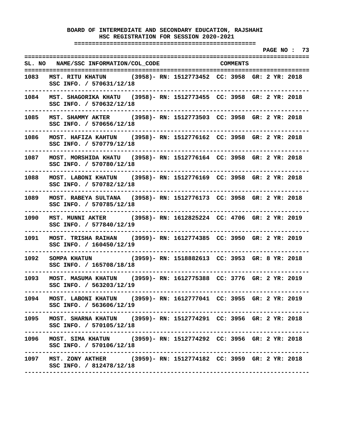**===================================================** 

 **PAGE NO : 73 ================================================================================ SL. NO NAME/SSC INFORMATION/COL\_CODE COMMENTS ================================================================================ 1083 MST. RITU KHATUN (3958)- RN: 1512773452 CC: 3958 GR: 2 YR: 2018 SSC INFO. / 570631/12/18 -------------------------------------------------------------------------------- 1084 MST. SHAGORIKA KHATU (3958)- RN: 1512773455 CC: 3958 GR: 2 YR: 2018 SSC INFO. / 570632/12/18 -------------------------------------------------------------------------------- 1085 MST. SHAMMY AKTER (3958)- RN: 1512773503 CC: 3958 GR: 2 YR: 2018 SSC INFO. / 570656/12/18 -------------------------------------------------------------------------------- 1086 MOST. HAFIZA KAHTUN (3958)- RN: 1512776162 CC: 3958 GR: 2 YR: 2018 SSC INFO. / 570779/12/18 -------------------------------------------------------------------------------- 1087 MOST. MORSHIDA KHATU (3958)- RN: 1512776164 CC: 3958 GR: 2 YR: 2018 SSC INFO. / 570780/12/18 -------------------------------------------------------------------------------- 1088 MOST. LABONI KHATUN (3958)- RN: 1512776169 CC: 3958 GR: 2 YR: 2018 SSC INFO. / 570782/12/18 -------------------------------------------------------------------------------- 1089 MOST. RABEYA SULTANA (3958)- RN: 1512776173 CC: 3958 GR: 2 YR: 2018 SSC INFO. / 570785/12/18 -------------------------------------------------------------------------------- 1090 MST. MUNNI AKTER (3958)- RN: 1612825224 CC: 4706 GR: 2 YR: 2019 SSC INFO. / 577840/12/19 -------------------------------------------------------------------------------- 1091 MOST. TRISHA RAIHAN (3959)- RN: 1612774385 CC: 3950 GR: 2 YR: 2019 SSC INFO. / 160450/12/19 -------------------------------------------------------------------------------- 1092 SOMPA KHATUN (3959)- RN: 1518882613 CC: 3953 GR: 8 YR: 2018 SSC INFO. / 165708/18/18 -------------------------------------------------------------------------------- 1093 MOST. MASUMA KHATUN (3959)- RN: 1612775388 CC: 3776 GR: 2 YR: 2019 SSC INFO. / 563203/12/19 -------------------------------------------------------------------------------- 1094 MOST. LABONI KHATUN (3959)- RN: 1612777041 CC: 3955 GR: 2 YR: 2019 SSC INFO. / 563606/12/19 -------------------------------------------------------------------------------- 1095 MOST. SHARNA KHATUN (3959)- RN: 1512774291 CC: 3956 GR: 2 YR: 2018 SSC INFO. / 570105/12/18 -------------------------------------------------------------------------------- 1096 MOST. SIMA KHATUN (3959)- RN: 1512774292 CC: 3956 GR: 2 YR: 2018 SSC INFO. / 570106/12/18 -------------------------------------------------------------------------------- 1097 MST. ZONY AKTHER (3959)- RN: 1512774182 CC: 3959 GR: 2 YR: 2018 SSC INFO. / 812478/12/18 --------------------------------------------------------------------------------**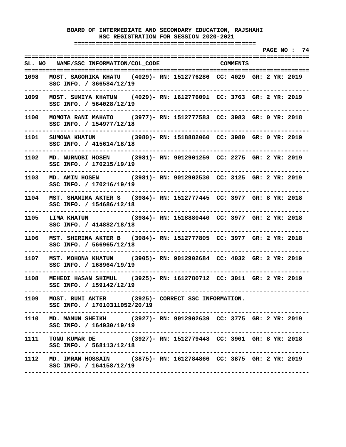**===================================================** 

 **PAGE NO : 74 ================================================================================ SL. NO NAME/SSC INFORMATION/COL\_CODE COMMENTS ================================================================================ 1098 MOST. SAGORIKA KHATU (4029)- RN: 1512776286 CC: 4029 GR: 2 YR: 2019 SSC INFO. / 366584/12/19 -------------------------------------------------------------------------------- 1099 MOST. SUMIYA KHATUN (4029)- RN: 1612776091 CC: 3763 GR: 2 YR: 2019 SSC INFO. / 564028/12/19 -------------------------------------------------------------------------------- 1100 MOMOTA RANI MAHATO (3977)- RN: 1512777583 CC: 3983 GR: 0 YR: 2018 SSC INFO. / 154977/12/18 -------------------------------------------------------------------------------- 1101 SUMONA KHATUN (3980)- RN: 1518882060 CC: 3980 GR: 0 YR: 2019 SSC INFO. / 415614/18/18 -------------------------------------------------------------------------------- 1102 MD. NURNOBI HOSEN (3981)- RN: 9012901259 CC: 2275 GR: 2 YR: 2019 SSC INFO. / 170215/19/19 -------------------------------------------------------------------------------- 1103 MD. AMIN HOSEN (3981)- RN: 9012902530 CC: 3125 GR: 2 YR: 2019 SSC INFO. / 170216/19/19 -------------------------------------------------------------------------------- 1104 MST. SHAMIMA AKTER S (3984)- RN: 1512777445 CC: 3977 GR: 8 YR: 2018 SSC INFO. / 154686/12/18 -------------------------------------------------------------------------------- 1105 LIMA KHATUN (3984)- RN: 1518880440 CC: 3977 GR: 2 YR: 2018 SSC INFO. / 414882/18/18 -------------------------------------------------------------------------------- 1106 MST. SHIRINA AKTER B (3984)- RN: 1512777805 CC: 3977 GR: 2 YR: 2018 SSC INFO. / 566965/12/18 -------------------------------------------------------------------------------- 1107 MST. MOHONA KHATUN (3905)- RN: 9012902684 CC: 4032 GR: 2 YR: 2019 SSC INFO. / 168964/19/19 -------------------------------------------------------------------------------- 1108 MEHEDI HASAN SHIMUL (3925)- RN: 1612780712 CC: 3011 GR: 2 YR: 2019 SSC INFO. / 159142/12/19 -------------------------------------------------------------------------------- 1109 MOST. RUMI AKTER (3925)- CORRECT SSC INFORMATION. SSC INFO. / 17010311052/20/19 -------------------------------------------------------------------------------- 1110 MD. MAMUN SHEIKH (3927)- RN: 9012902639 CC: 3775 GR: 2 YR: 2019 SSC INFO. / 164930/19/19 -------------------------------------------------------------------------------- 1111 TONU KUMAR DE (3927)- RN: 1512779448 CC: 3901 GR: 8 YR: 2018 SSC INFO. / 568113/12/18 -------------------------------------------------------------------------------- 1112 MD. IMRAN HOSSAIN (3875)- RN: 1612784866 CC: 3875 GR: 2 YR: 2019 SSC INFO. / 164158/12/19 --------------------------------------------------------------------------------**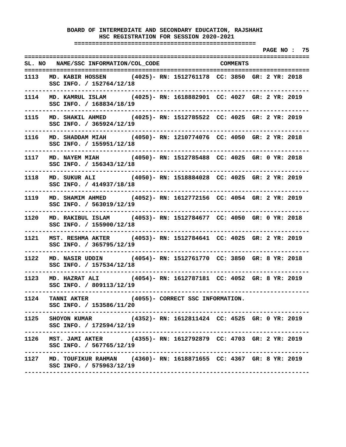**===================================================** 

 **PAGE NO : 75 ================================================================================ SL. NO NAME/SSC INFORMATION/COL\_CODE COMMENTS ================================================================================ 1113 MD. KABIR HOSSEN (4025)- RN: 1512761178 CC: 3850 GR: 2 YR: 2018 SSC INFO. / 152764/12/18 -------------------------------------------------------------------------------- 1114 MD. KAMRUL ISLAM (4025)- RN: 1618882901 CC: 4027 GR: 2 YR: 2019 SSC INFO. / 168834/18/19 -------------------------------------------------------------------------------- 1115 MD. SHAKIL AHMED (4025)- RN: 1512785522 CC: 4025 GR: 2 YR: 2019 SSC INFO. / 365924/12/19 -------------------------------------------------------------------------------- 1116 MD. SHADDAM MIAH (4050)- RN: 1210774076 CC: 4050 GR: 2 YR: 2018 SSC INFO. / 155951/12/18 -------------------------------------------------------------------------------- 1117 MD. NAYEM MIAH (4050)- RN: 1512785488 CC: 4025 GR: 0 YR: 2018 SSC INFO. / 156343/12/18 -------------------------------------------------------------------------------- 1118 MD. SUKUR ALI (4050)- RN: 1518884028 CC: 4025 GR: 2 YR: 2019 SSC INFO. / 414937/18/18 -------------------------------------------------------------------------------- 1119 MD. SHAMIM AHMED (4052)- RN: 1612772156 CC: 4054 GR: 2 YR: 2019 SSC INFO. / 563019/12/19 -------------------------------------------------------------------------------- 1120 MD. RAKIBUL ISLAM (4053)- RN: 1512784677 CC: 4050 GR: 0 YR: 2018 SSC INFO. / 155900/12/18 -------------------------------------------------------------------------------- 1121 MST. RESHMA AKTER (4053)- RN: 1512784641 CC: 4025 GR: 2 YR: 2019 SSC INFO. / 365795/12/19 -------------------------------------------------------------------------------- 1122 MD. NASIR UDDIN (4054)- RN: 1512761770 CC: 3850 GR: 8 YR: 2018 SSC INFO. / 157534/12/18 -------------------------------------------------------------------------------- 1123 MD. HAZRAT ALI (4054)- RN: 1612787181 CC: 4052 GR: 8 YR: 2019 SSC INFO. / 809113/12/19 -------------------------------------------------------------------------------- 1124 TANNI AKTER (4055)- CORRECT SSC INFORMATION. SSC INFO. / 153586/11/20 -------------------------------------------------------------------------------- 1125 SHOYON KUMAR (4352)- RN: 1612811424 CC: 4525 GR: 0 YR: 2019 SSC INFO. / 172594/12/19 -------------------------------------------------------------------------------- 1126 MST. JAMI AKTER (4355)- RN: 1612792879 CC: 4703 GR: 2 YR: 2019 SSC INFO. / 567765/12/19 -------------------------------------------------------------------------------- 1127 MD. TOUFIKUR RAHMAN (4360)- RN: 1618871655 CC: 4367 GR: 8 YR: 2019 SSC INFO. / 575963/12/19 --------------------------------------------------------------------------------**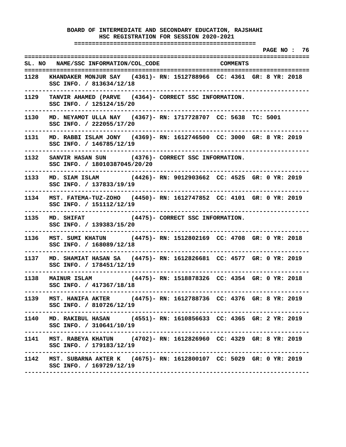**===================================================** 

|      |                                                                                                                            | PAGE NO : 76 |
|------|----------------------------------------------------------------------------------------------------------------------------|--------------|
|      | SL. NO NAME/SSC INFORMATION/COL_CODE COMMENTS                                                                              |              |
|      | 1128 KHANDAKER MONJUR SAY (4361)- RN: 1512788966 CC: 4361 GR: 8 YR: 2018<br>SSC INFO. / 813634/12/18                       |              |
| 1129 | TANVIR AHAMED (PARVE (4364)- CORRECT SSC INFORMATION.<br>SSC INFO. / 125124/15/20                                          |              |
|      | 1130 MD. NEYAMOT ULLA NAY (4367)- RN: 1717728707 CC: 5638 TC: 5001<br>SSC INFO. / 222055/17/20                             |              |
|      | 1131 MD. RABBI ISLAM JONY (4369)- RN: 1612746500 CC: 3000 GR: 8 YR: 2019<br>SSC INFO. / 146785/12/19                       |              |
|      | --------------<br>1132 SANVIR HASAN SUN (4376) - CORRECT SSC INFORMATION.<br>SSC INFO. / 18010387045/20/20                 |              |
|      | 1133 MD. SIAM ISLAM (4426)-RN: 9012903662 CC: 4525 GR: 0 YR: 2019<br>SSC INFO. / 137833/19/19                              |              |
|      | 1134 MST. FATEMA-TUZ-ZOHO (4450)- RN: 1612747852 CC: 4101 GR: 0 YR: 2019<br>SSC INFO. / 151112/12/19<br>------------------ |              |
|      | 1135 MD. SHIFAT (4475)- CORRECT SSC INFORMATION.<br>SSC INFO. / 139383/15/20<br>------------                               |              |
|      | 1136 MST. SUMI KHATUN (4475)- RN: 1512802169 CC: 4708 GR: 0 YR: 2018<br>SSC INFO. / 168089/12/18                           |              |
|      | 1137 MD. SHAMIAT HASAN SA (4475)- RN: 1612826681 CC: 4577 GR: 0 YR: 2019<br>SSC INFO. / 178451/12/19                       |              |
|      | 1138 MAINUR ISLAM (4475)- RN: 1518878326 CC: 4354 GR: 0 YR: 2018<br>SSC INFO. / 417367/18/18                               |              |
| 1139 | MST. HANIFA AKTER (4475)- RN: 1612788736 CC: 4376 GR: 8 YR: 2019<br>SSC INFO. / 810726/12/19                               |              |
|      | 1140 MD. RAKIBUL HASAN (4551)- RN: 1610856633 CC: 4365 GR: 2 YR: 2019<br>SSC INFO. / 310641/10/19                          |              |
|      | 1141 MST. RABEYA KHATUN (4702)- RN: 1612826960 CC: 4329 GR: 8 YR: 2019<br>SSC INFO. / 179183/12/19                         |              |
|      | 1142 MST. SUBARNA AKTER K (4675)- RN: 1612800107 CC: 5029 GR: 0 YR: 2019<br>SSC INFO. / 169729/12/19                       |              |
|      |                                                                                                                            |              |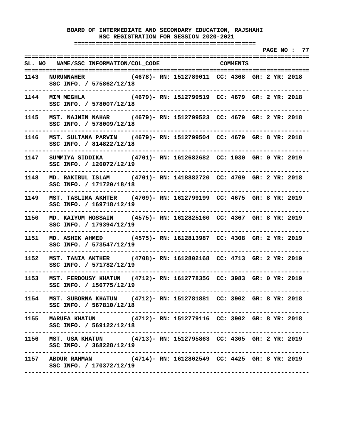**===================================================** 

 **PAGE NO : 77 ================================================================================ SL. NO NAME/SSC INFORMATION/COL\_CODE COMMENTS ================================================================================ 1143 NURUNNAHER (4678)- RN: 1512789011 CC: 4368 GR: 2 YR: 2018 SSC INFO. / 575862/12/18 -------------------------------------------------------------------------------- 1144 MIM MEGHLA (4679)- RN: 1512799519 CC: 4679 GR: 2 YR: 2018 SSC INFO. / 578007/12/18 -------------------------------------------------------------------------------- 1145 MST. NAJNIN NAHAR (4679)- RN: 1512799523 CC: 4679 GR: 2 YR: 2018 SSC INFO. / 578009/12/18 -------------------------------------------------------------------------------- 1146 MST. SULTANA PARVIN (4679)- RN: 1512799504 CC: 4679 GR: 8 YR: 2018 SSC INFO. / 814822/12/18 -------------------------------------------------------------------------------- 1147 SUMMIYA SIDDIKA (4701)- RN: 1612682682 CC: 1030 GR: 0 YR: 2019 SSC INFO. / 126072/12/19 -------------------------------------------------------------------------------- 1148 MD. RAKIBUL ISLAM (4701)- RN: 1418882720 CC: 4709 GR: 2 YR: 2018 SSC INFO. / 171720/18/18 -------------------------------------------------------------------------------- 1149 MST. TASLIMA AKHTER (4709)- RN: 1612799199 CC: 4675 GR: 8 YR: 2019 SSC INFO. / 169718/12/19 -------------------------------------------------------------------------------- 1150 MD. KAIYUM HOSSAIN (4575)- RN: 1612825160 CC: 4367 GR: 8 YR: 2019 SSC INFO. / 179394/12/19 -------------------------------------------------------------------------------- 1151 MD. ASHIK AHMED (4575)- RN: 1612813987 CC: 4308 GR: 2 YR: 2019 SSC INFO. / 573547/12/19 -------------------------------------------------------------------------------- 1152 MST. TANIA AKTHER (4708)- RN: 1612802168 CC: 4713 GR: 2 YR: 2019 SSC INFO. / 571782/12/19 -------------------------------------------------------------------------------- 1153 MST. FERDOUSY KHATUN (4712)- RN: 1612778356 CC: 3983 GR: 0 YR: 2019 SSC INFO. / 156775/12/19 -------------------------------------------------------------------------------- 1154 MST. SUBORNA KHATUN (4712)- RN: 1512781881 CC: 3902 GR: 8 YR: 2018 SSC INFO. / 567810/12/18 -------------------------------------------------------------------------------- 1155 MARUFA KHATUN (4712)- RN: 1512779116 CC: 3902 GR: 8 YR: 2018 SSC INFO. / 569122/12/18 -------------------------------------------------------------------------------- 1156 MST. USA KHATUN (4713)- RN: 1512795863 CC: 4305 GR: 2 YR: 2019 SSC INFO. / 368228/12/19 -------------------------------------------------------------------------------- 1157 ABDUR RAHMAN (4714)- RN: 1612802549 CC: 4425 GR: 8 YR: 2019 SSC INFO. / 170372/12/19 --------------------------------------------------------------------------------**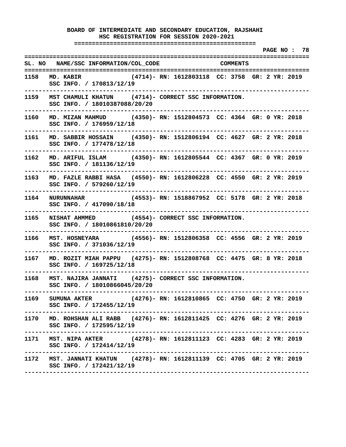**===================================================** 

 **PAGE NO : 78 ================================================================================ SL. NO NAME/SSC INFORMATION/COL\_CODE COMMENTS ================================================================================ 1158 MD. KABIR (4714)- RN: 1612803118 CC: 3758 GR: 2 YR: 2019 SSC INFO. / 170813/12/19 -------------------------------------------------------------------------------- 1159 MST CHAMULI KHATUN (4714)- CORRECT SSC INFORMATION. SSC INFO. / 18010387088/20/20 -------------------------------------------------------------------------------- 1160 MD. MIZAN MAHMUD (4350)- RN: 1512804573 CC: 4364 GR: 0 YR: 2018 SSC INFO. / 176959/12/18 -------------------------------------------------------------------------------- 1161 MD. SABBIR HOSSAIN (4350)- RN: 1512806194 CC: 4627 GR: 2 YR: 2018 SSC INFO. / 177478/12/18 -------------------------------------------------------------------------------- 1162 MD. ARIFUL ISLAM (4350)- RN: 1612805544 CC: 4367 GR: 0 YR: 2019 SSC INFO. / 181136/12/19 -------------------------------------------------------------------------------- 1163 MD. FAZLE RABBI HASA (4550)- RN: 1612806228 CC: 4550 GR: 2 YR: 2019 SSC INFO. / 579260/12/19 -------------------------------------------------------------------------------- 1164 NURUNNAHAR (4553)- RN: 1518867952 CC: 5178 GR: 2 YR: 2018 SSC INFO. / 417090/18/18 -------------------------------------------------------------------------------- 1165 NISHAT AHMMED (4554)- CORRECT SSC INFORMATION. SSC INFO. / 18010861810/20/20 -------------------------------------------------------------------------------- 1166 MST. HOSNEYARA (4556)- RN: 1512806358 CC: 4556 GR: 2 YR: 2019 SSC INFO. / 371036/12/19 -------------------------------------------------------------------------------- 1167 MD. ROZIT MIAH PAPPU (4275)- RN: 1512808768 CC: 4475 GR: 8 YR: 2018 SSC INFO. / 169725/12/18 -------------------------------------------------------------------------------- 1168 MST. NAJIRA JANNATI (4275)- CORRECT SSC INFORMATION. SSC INFO. / 18010866045/20/20 -------------------------------------------------------------------------------- 1169 SUMUNA AKTER (4276)- RN: 1612810865 CC: 4750 GR: 2 YR: 2019 SSC INFO. / 172455/12/19 -------------------------------------------------------------------------------- 1170 MD. ROHSHAN ALI RABB (4276)- RN: 1612811425 CC: 4276 GR: 2 YR: 2019 SSC INFO. / 172595/12/19 -------------------------------------------------------------------------------- 1171 MST. NIPA AKTER (4278)- RN: 1612811123 CC: 4283 GR: 2 YR: 2019 SSC INFO. / 172414/12/19 -------------------------------------------------------------------------------- 1172 MST. JANNATI KHATUN (4278)- RN: 1612811139 CC: 4705 GR: 2 YR: 2019 SSC INFO. / 172421/12/19 --------------------------------------------------------------------------------**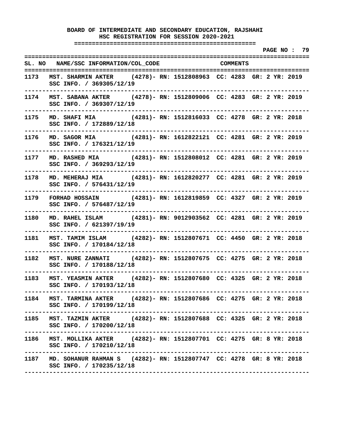**===================================================** 

 **PAGE NO : 79 ================================================================================ SL. NO NAME/SSC INFORMATION/COL\_CODE COMMENTS ================================================================================ 1173 MST. SHARMIN AKTER (4278)- RN: 1512808963 CC: 4283 GR: 2 YR: 2019 SSC INFO. / 369305/12/19 -------------------------------------------------------------------------------- 1174 MST. SABANA AKTER (4278)- RN: 1512809006 CC: 4283 GR: 2 YR: 2019 SSC INFO. / 369307/12/19 -------------------------------------------------------------------------------- 1175 MD. SHAFI MIA (4281)- RN: 1512816033 CC: 4278 GR: 2 YR: 2018 SSC INFO. / 172889/12/18 -------------------------------------------------------------------------------- 1176 MD. SAGOR MIA (4281)- RN: 1612822121 CC: 4281 GR: 2 YR: 2019 SSC INFO. / 176321/12/19 -------------------------------------------------------------------------------- 1177 MD. RASHED MIA (4281)- RN: 1512808012 CC: 4281 GR: 2 YR: 2019 SSC INFO. / 369293/12/19 -------------------------------------------------------------------------------- 1178 MD. MEHERAJ MIA (4281)- RN: 1612820277 CC: 4281 GR: 2 YR: 2019 SSC INFO. / 576431/12/19 -------------------------------------------------------------------------------- 1179 FORHAD HOSSAIN (4281)- RN: 1612819859 CC: 4327 GR: 2 YR: 2019 SSC INFO. / 576487/12/19 -------------------------------------------------------------------------------- 1180 MD. RAHEL ISLAM (4281)- RN: 9012903562 CC: 4281 GR: 2 YR: 2019 SSC INFO. / 621397/19/19 -------------------------------------------------------------------------------- 1181 MST. TAMIM ISLAM (4282)- RN: 1512807671 CC: 4450 GR: 2 YR: 2018 SSC INFO. / 170184/12/18 -------------------------------------------------------------------------------- 1182 MST. NURE ZANNATI (4282)- RN: 1512807675 CC: 4275 GR: 2 YR: 2018 SSC INFO. / 170188/12/18 -------------------------------------------------------------------------------- 1183 MST. YEASMIN AKTER (4282)- RN: 1512807680 CC: 4325 GR: 2 YR: 2018 SSC INFO. / 170193/12/18 -------------------------------------------------------------------------------- 1184 MST. TARMINA AKTER (4282)- RN: 1512807686 CC: 4275 GR: 2 YR: 2018 SSC INFO. / 170199/12/18 -------------------------------------------------------------------------------- 1185 MST. TAZMIN AKTER (4282)- RN: 1512807688 CC: 4325 GR: 2 YR: 2018 SSC INFO. / 170200/12/18 -------------------------------------------------------------------------------- 1186 MST. MOLLIKA AKTER (4282)- RN: 1512807701 CC: 4275 GR: 8 YR: 2018 SSC INFO. / 170210/12/18 -------------------------------------------------------------------------------- 1187 MD. SOHANUR RAHMAN S (4282)- RN: 1512807747 CC: 4278 GR: 8 YR: 2018 SSC INFO. / 170235/12/18 --------------------------------------------------------------------------------**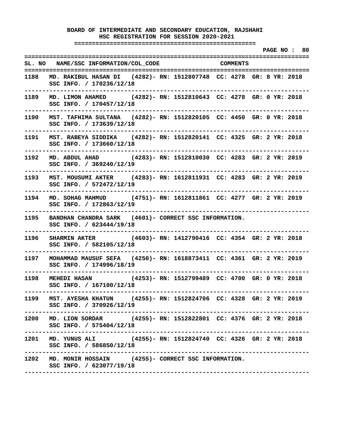**===================================================** 

 **PAGE NO : 80 ================================================================================ SL. NO NAME/SSC INFORMATION/COL\_CODE COMMENTS ================================================================================ 1188 MD. RAKIBUL HASAN DI (4282)- RN: 1512807748 CC: 4278 GR: 8 YR: 2018 SSC INFO. / 170236/12/18 -------------------------------------------------------------------------------- 1189 MD. LIMON AHAMED (4282)- RN: 1512810643 CC: 4278 GR: 0 YR: 2018 SSC INFO. / 170457/12/18 -------------------------------------------------------------------------------- 1190 MST. TAFHIMA SULTANA (4282)- RN: 1512820105 CC: 4450 GR: 0 YR: 2018 SSC INFO. / 173639/12/18 -------------------------------------------------------------------------------- 1191 MST. RABEYA SIDDIKA (4282)- RN: 1512820141 CC: 4325 GR: 2 YR: 2018 SSC INFO. / 173660/12/18 -------------------------------------------------------------------------------- 1192 MD. ABDUL AHAD (4283)- RN: 1512810030 CC: 4283 GR: 2 YR: 2019 SSC INFO. / 369240/12/19 -------------------------------------------------------------------------------- 1193 MST. MOUSUMI AKTER (4283)- RN: 1612811931 CC: 4283 GR: 2 YR: 2019 SSC INFO. / 572472/12/19 -------------------------------------------------------------------------------- 1194 MD. SOHAG MAHMUD (4751)- RN: 1612811861 CC: 4277 GR: 2 YR: 2019 SSC INFO. / 172863/12/19 -------------------------------------------------------------------------------- 1195 BANDHAN CHANDRA SARK (4601)- CORRECT SSC INFORMATION. SSC INFO. / 623444/19/18 -------------------------------------------------------------------------------- 1196 SHARMIN AKTER (4603)- RN: 1412790416 CC: 4354 GR: 2 YR: 2018 SSC INFO. / 582105/12/18 -------------------------------------------------------------------------------- 1197 MOHAMMAD MAUSUF SEFA (4250)- RN: 1618873411 CC: 4361 GR: 2 YR: 2019 SSC INFO. / 174996/18/19 -------------------------------------------------------------------------------- 1198 MEHEDI HASAN (4253)- RN: 1512799489 CC: 4700 GR: 0 YR: 2018 SSC INFO. / 167100/12/18 -------------------------------------------------------------------------------- 1199 MST. AYESHA KHATUN (4255)- RN: 1512824706 CC: 4328 GR: 2 YR: 2019 SSC INFO. / 370926/12/19 -------------------------------------------------------------------------------- 1200 MD. LION SORDAR (4255)- RN: 1512822801 CC: 4376 GR: 2 YR: 2018 SSC INFO. / 575404/12/18 -------------------------------------------------------------------------------- 1201 MD. YUNUS ALI (4255)- RN: 1512824740 CC: 4326 GR: 2 YR: 2018 SSC INFO. / 586850/12/18 -------------------------------------------------------------------------------- 1202 MD. MONIR HOSSAIN (4255)- CORRECT SSC INFORMATION. SSC INFO. / 623077/19/18 --------------------------------------------------------------------------------**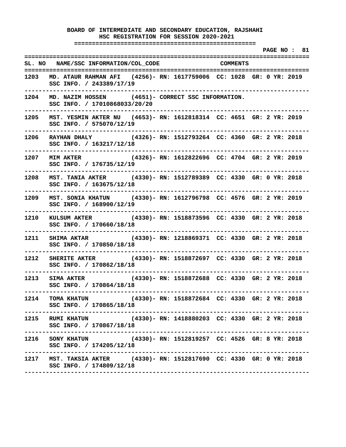**===================================================** 

 **PAGE NO : 81 ================================================================================ SL. NO NAME/SSC INFORMATION/COL\_CODE COMMENTS ================================================================================ 1203 MD. ATAUR RAHMAN AFI (4256)- RN: 1617759006 CC: 1028 GR: 0 YR: 2019 SSC INFO. / 243389/17/19 -------------------------------------------------------------------------------- 1204 MD. NAZIM HOSSEN (4651)- CORRECT SSC INFORMATION. SSC INFO. / 17010868033/20/20 -------------------------------------------------------------------------------- 1205 MST. YESMIN AKTER NU (4653)- RN: 1612818314 CC: 4651 GR: 2 YR: 2019 SSC INFO. / 575070/12/19 -------------------------------------------------------------------------------- 1206 RAYHAN DHALY (4326)- RN: 1512793264 CC: 4360 GR: 2 YR: 2018 SSC INFO. / 163217/12/18 -------------------------------------------------------------------------------- 1207 MIM AKTER (4326)- RN: 1612822696 CC: 4704 GR: 2 YR: 2019 SSC INFO. / 176735/12/19 -------------------------------------------------------------------------------- 1208 MST. TANIA AKTER (4330)- RN: 1512789389 CC: 4330 GR: 0 YR: 2018 SSC INFO. / 163675/12/18 -------------------------------------------------------------------------------- 1209 MST. SONIA KHATUN (4330)- RN: 1612796798 CC: 4576 GR: 2 YR: 2019 SSC INFO. / 168900/12/19 -------------------------------------------------------------------------------- 1210 KULSUM AKTER (4330)- RN: 1518873596 CC: 4330 GR: 2 YR: 2018 SSC INFO. / 170660/18/18 -------------------------------------------------------------------------------- 1211 SHIMA AKTAR (4330)- RN: 1218869371 CC: 4330 GR: 2 YR: 2018 SSC INFO. / 170850/18/18 -------------------------------------------------------------------------------- 1212 SHERITE AKTER (4330)- RN: 1518872697 CC: 4330 GR: 2 YR: 2018 SSC INFO. / 170862/18/18 -------------------------------------------------------------------------------- 1213 SIMA AKTER (4330)- RN: 1518872688 CC: 4330 GR: 2 YR: 2018 SSC INFO. / 170864/18/18 -------------------------------------------------------------------------------- 1214 TOMA KHATUN (4330)- RN: 1518872684 CC: 4330 GR: 2 YR: 2018 SSC INFO. / 170865/18/18 -------------------------------------------------------------------------------- 1215 RUMI KHATUN (4330)- RN: 1418880203 CC: 4330 GR: 2 YR: 2018 SSC INFO. / 170867/18/18 -------------------------------------------------------------------------------- 1216 SONY KHATUN (4330)- RN: 1512819257 CC: 4526 GR: 8 YR: 2018 SSC INFO. / 174205/12/18 -------------------------------------------------------------------------------- 1217 MST. TAKSIA AKTER (4330)- RN: 1512817690 CC: 4330 GR: 0 YR: 2018 SSC INFO. / 174809/12/18 --------------------------------------------------------------------------------**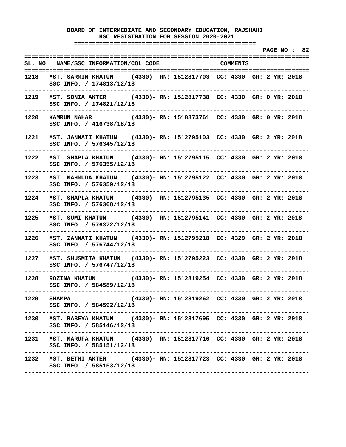**===================================================** 

 **PAGE NO : 82 ================================================================================ SL. NO NAME/SSC INFORMATION/COL\_CODE COMMENTS ================================================================================ 1218 MST. SARMIN KHATUN (4330)- RN: 1512817703 CC: 4330 GR: 2 YR: 2018 SSC INFO. / 174813/12/18 -------------------------------------------------------------------------------- 1219 MST. SONIA AKTER (4330)- RN: 1512817738 CC: 4330 GR: 0 YR: 2018 SSC INFO. / 174821/12/18 -------------------------------------------------------------------------------- 1220 KAMRUN NAHAR (4330)- RN: 1518873761 CC: 4330 GR: 0 YR: 2018 SSC INFO. / 416738/18/18 -------------------------------------------------------------------------------- 1221 MST. JANNATI KHATUN (4330)- RN: 1512795103 CC: 4330 GR: 2 YR: 2018 SSC INFO. / 576345/12/18 -------------------------------------------------------------------------------- 1222 MST. SHAPLA KHATUN (4330)- RN: 1512795115 CC: 4330 GR: 2 YR: 2018 SSC INFO. / 576355/12/18 -------------------------------------------------------------------------------- 1223 MST. MAHMUDA KHATUN (4330)- RN: 1512795122 CC: 4330 GR: 2 YR: 2018 SSC INFO. / 576359/12/18 -------------------------------------------------------------------------------- 1224 MST. SHAPLA KHATUN (4330)- RN: 1512795135 CC: 4330 GR: 2 YR: 2018 SSC INFO. / 576368/12/18 -------------------------------------------------------------------------------- 1225 MST. SUMI KHATUN (4330)- RN: 1512795141 CC: 4330 GR: 2 YR: 2018 SSC INFO. / 576372/12/18 -------------------------------------------------------------------------------- 1226 MST. ZANNATI KHATUN (4330)- RN: 1512795218 CC: 4329 GR: 2 YR: 2018 SSC INFO. / 576744/12/18 -------------------------------------------------------------------------------- 1227 MST. SHUSMITA KHATUN (4330)- RN: 1512795223 CC: 4330 GR: 2 YR: 2018 SSC INFO. / 576747/12/18 -------------------------------------------------------------------------------- 1228 ROZINA KHATUN (4330)- RN: 1512819254 CC: 4330 GR: 2 YR: 2018 SSC INFO. / 584589/12/18 -------------------------------------------------------------------------------- 1229 SHAMPA (4330)- RN: 1512819262 CC: 4330 GR: 2 YR: 2018 SSC INFO. / 584592/12/18 -------------------------------------------------------------------------------- 1230 MST. RABEYA KHATUN (4330)- RN: 1512817695 CC: 4330 GR: 2 YR: 2018 SSC INFO. / 585146/12/18 -------------------------------------------------------------------------------- 1231 MST. MARUFA KHATUN (4330)- RN: 1512817716 CC: 4330 GR: 2 YR: 2018 SSC INFO. / 585151/12/18 -------------------------------------------------------------------------------- 1232 MST. BETHI AKTER (4330)- RN: 1512817723 CC: 4330 GR: 2 YR: 2018 SSC INFO. / 585153/12/18 --------------------------------------------------------------------------------**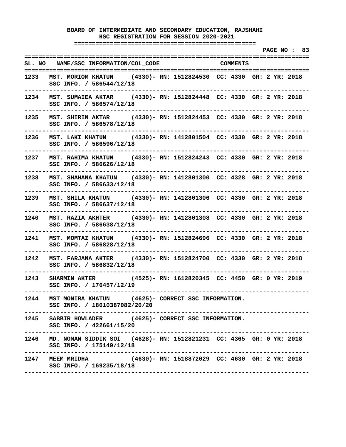**===================================================** 

 **PAGE NO : 83 ================================================================================ SL. NO NAME/SSC INFORMATION/COL\_CODE COMMENTS ================================================================================ 1233 MST. MORIOM KHATUN (4330)- RN: 1512824530 CC: 4330 GR: 2 YR: 2018 SSC INFO. / 586544/12/18 -------------------------------------------------------------------------------- 1234 MST. SUMAIEA AKTAR (4330)- RN: 1512824448 CC: 4330 GR: 2 YR: 2018 SSC INFO. / 586574/12/18 -------------------------------------------------------------------------------- 1235 MST. SHIRIN AKTAR (4330)- RN: 1512824453 CC: 4330 GR: 2 YR: 2018 SSC INFO. / 586578/12/18 -------------------------------------------------------------------------------- 1236 MST. LAKI KHATUN (4330)- RN: 1412801504 CC: 4330 GR: 2 YR: 2018 SSC INFO. / 586596/12/18 -------------------------------------------------------------------------------- 1237 MST. RAHIMA KHATUN (4330)- RN: 1512824243 CC: 4330 GR: 2 YR: 2018 SSC INFO. / 586626/12/18 -------------------------------------------------------------------------------- 1238 MST. SHAHANA KHATUN (4330)- RN: 1412801300 CC: 4328 GR: 2 YR: 2018 SSC INFO. / 586633/12/18 -------------------------------------------------------------------------------- 1239 MST. SHILA KHATUN (4330)- RN: 1412801306 CC: 4330 GR: 2 YR: 2018 SSC INFO. / 586637/12/18 -------------------------------------------------------------------------------- 1240 MST. RAZIA AKHTER (4330)- RN: 1412801308 CC: 4330 GR: 2 YR: 2018 SSC INFO. / 586638/12/18 -------------------------------------------------------------------------------- 1241 MST. MOMTAZ KHATUN (4330)- RN: 1512824696 CC: 4330 GR: 2 YR: 2018 SSC INFO. / 586828/12/18 -------------------------------------------------------------------------------- 1242 MST. FARJANA AKTER (4330)- RN: 1512824700 CC: 4330 GR: 2 YR: 2018 SSC INFO. / 586832/12/18 -------------------------------------------------------------------------------- 1243 SHARMIN AKTER (4525)- RN: 1612820345 CC: 4450 GR: 0 YR: 2019 SSC INFO. / 176457/12/19 -------------------------------------------------------------------------------- 1244 MST MONIRA KHATUN (4625)- CORRECT SSC INFORMATION. SSC INFO. / 18010387082/20/20 -------------------------------------------------------------------------------- 1245 SABBIR HOWLADER (4625)- CORRECT SSC INFORMATION. SSC INFO. / 422661/15/20 -------------------------------------------------------------------------------- 1246 MD. NOMAN SIDDIK SOI (4628)- RN: 1512821231 CC: 4365 GR: 0 YR: 2018 SSC INFO. / 175149/12/18 -------------------------------------------------------------------------------- 1247 MEEM MRIDHA (4630)- RN: 1518872029 CC: 4630 GR: 2 YR: 2018 SSC INFO. / 169235/18/18 --------------------------------------------------------------------------------**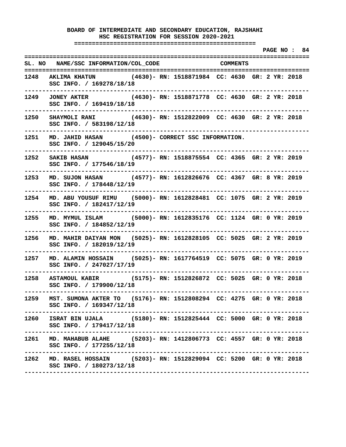**===================================================** 

 **PAGE NO : 84 ================================================================================ SL. NO NAME/SSC INFORMATION/COL\_CODE COMMENTS ================================================================================ 1248 AKLIMA KHATUN (4630)- RN: 1518871984 CC: 4630 GR: 2 YR: 2018 SSC INFO. / 169278/18/18 -------------------------------------------------------------------------------- 1249 JONEY AKTER (4630)- RN: 1518871778 CC: 4630 GR: 2 YR: 2018 SSC INFO. / 169419/18/18 -------------------------------------------------------------------------------- 1250 SHAYMOLI RANI (4630)- RN: 1512822009 CC: 4630 GR: 2 YR: 2018 SSC INFO. / 583198/12/18 -------------------------------------------------------------------------------- 1251 MD. JAHID HASAN (4500)- CORRECT SSC INFORMATION. SSC INFO. / 129045/15/20 -------------------------------------------------------------------------------- 1252 SAKIB HASAN (4577)- RN: 1518875554 CC: 4365 GR: 2 YR: 2019 SSC INFO. / 177546/18/19 -------------------------------------------------------------------------------- 1253 MD. SUJON HASAN (4577)- RN: 1612826676 CC: 4367 GR: 8 YR: 2019 SSC INFO. / 178448/12/19 -------------------------------------------------------------------------------- 1254 MD. ABU YOUSUF RIMU (5000)- RN: 1612828481 CC: 1075 GR: 2 YR: 2019 SSC INFO. / 182417/12/19 -------------------------------------------------------------------------------- 1255 MD. MYMUL ISLAM (5000)- RN: 1612835176 CC: 1124 GR: 0 YR: 2019 SSC INFO. / 184852/12/19 -------------------------------------------------------------------------------- 1256 MD. MAHIR DAIYAN MON (5025)- RN: 1612828105 CC: 5025 GR: 2 YR: 2019 SSC INFO. / 182019/12/19 -------------------------------------------------------------------------------- 1257 MD. ALAMIN HOSSAIN (5025)- RN: 1617764519 CC: 5075 GR: 0 YR: 2019 SSC INFO. / 247027/17/19 -------------------------------------------------------------------------------- 1258 ASTAMOUL KABIR (5175)- RN: 1512826872 CC: 5025 GR: 0 YR: 2018 SSC INFO. / 179900/12/18 -------------------------------------------------------------------------------- 1259 MST. SUMONA AKTER TO (5176)- RN: 1512808294 CC: 4275 GR: 0 YR: 2018 SSC INFO. / 169347/12/18 -------------------------------------------------------------------------------- 1260 ISRAT BIN UJALA (5180)- RN: 1512825444 CC: 5000 GR: 0 YR: 2018 SSC INFO. / 179417/12/18 -------------------------------------------------------------------------------- 1261 MD. MAHABUB ALAHE (5203)- RN: 1412806773 CC: 4557 GR: 0 YR: 2018 SSC INFO. / 177255/12/18 -------------------------------------------------------------------------------- 1262 MD. RASEL HOSSAIN (5203)- RN: 1512829094 CC: 5200 GR: 0 YR: 2018 SSC INFO. / 180273/12/18 --------------------------------------------------------------------------------**